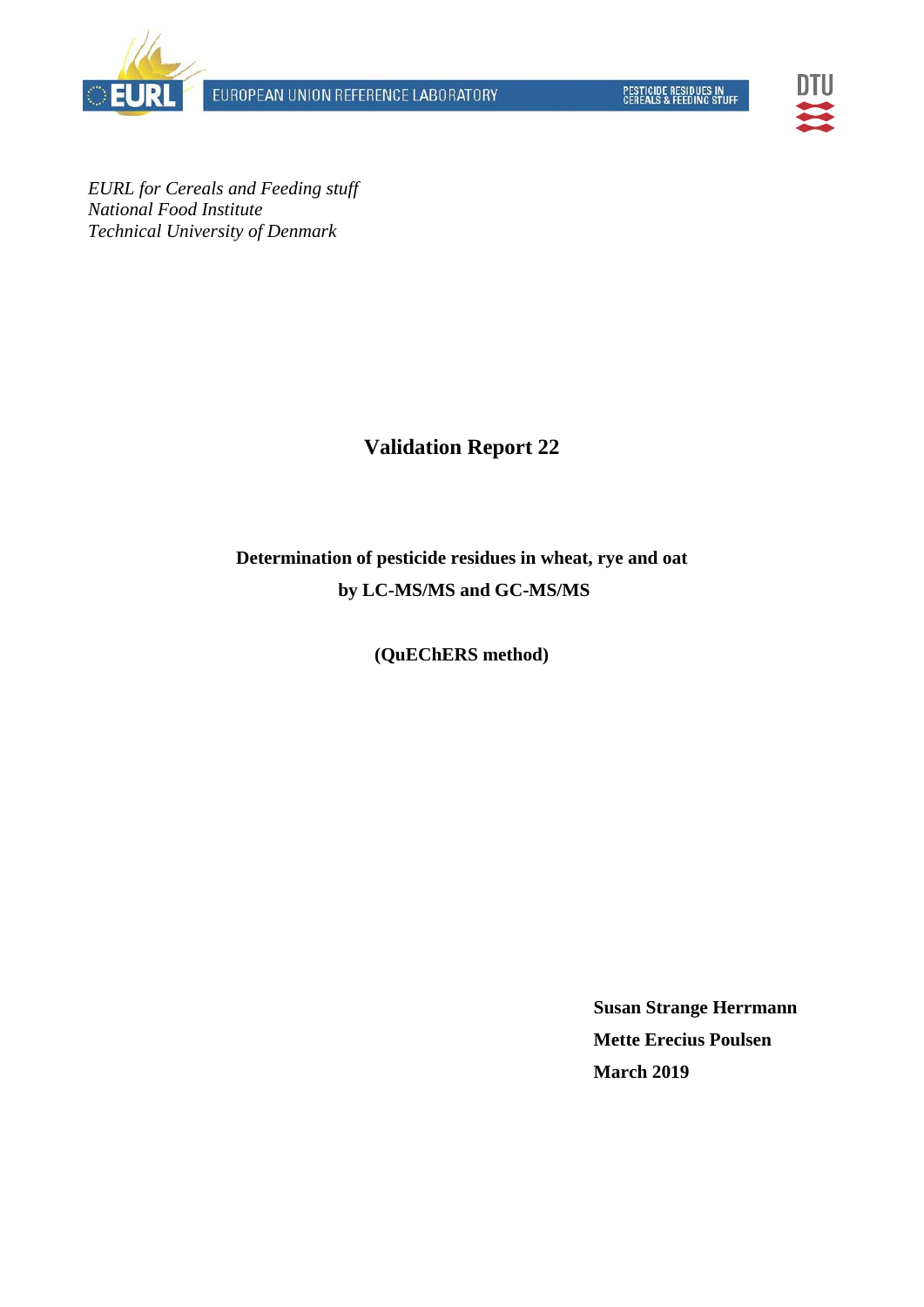EUROPEAN UNION REFERENCE LABORATORY





*EURL for Cereals and Feeding stuff National Food Institute Technical University of Denmark* 

# **Validation Report 22**

# **Determination of pesticide residues in wheat, rye and oat by LC-MS/MS and GC-MS/MS**

# **(QuEChERS method)**

**Susan Strange Herrmann Mette Erecius Poulsen March 2019**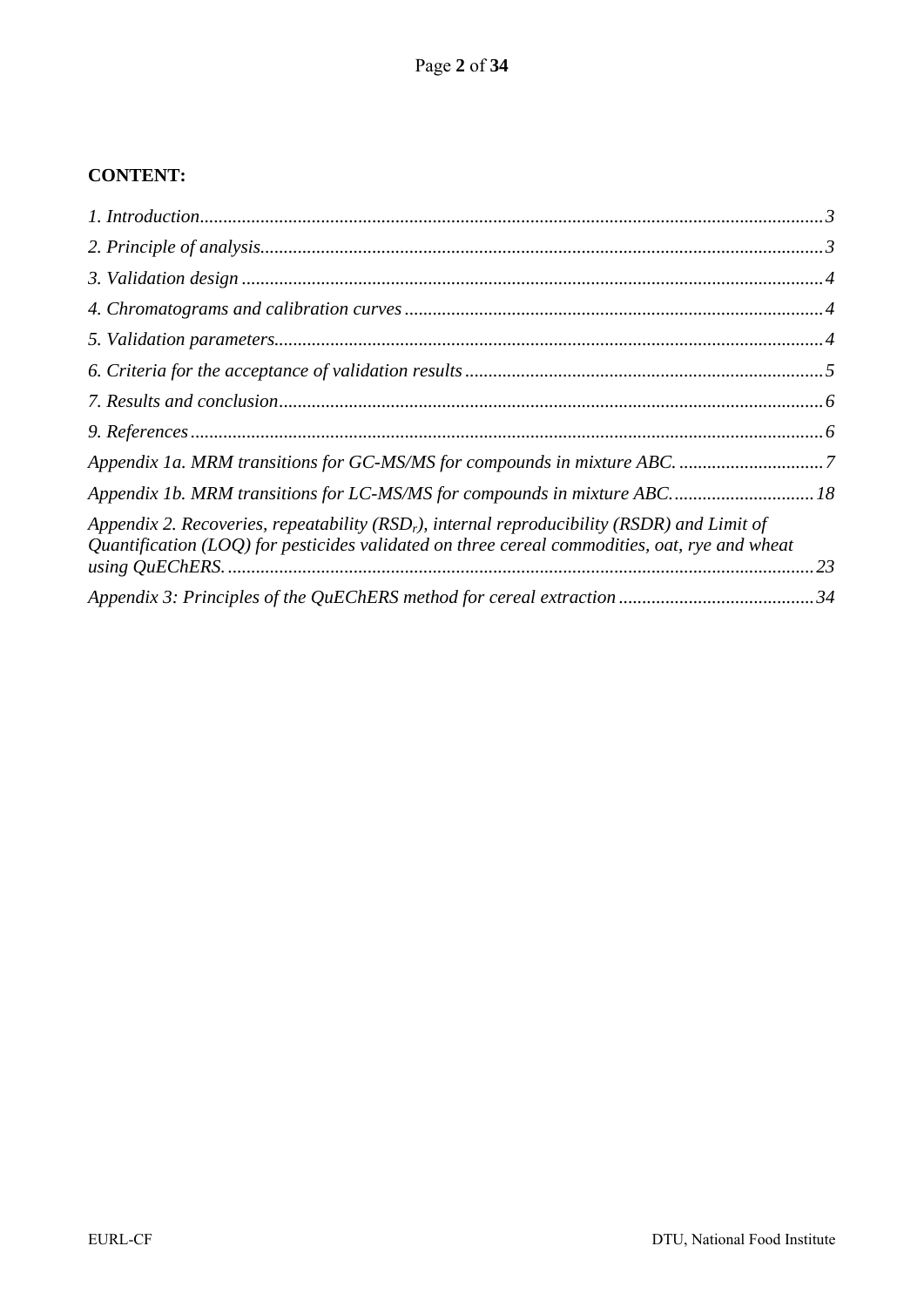# **CONTENT:**

| Appendix 1b. MRM transitions for LC-MS/MS for compounds in mixture ABC 18                                                                                                                           |    |
|-----------------------------------------------------------------------------------------------------------------------------------------------------------------------------------------------------|----|
| Appendix 2. Recoveries, repeatability ( $RSDr$ ), internal reproducibility ( $RSDR$ ) and Limit of<br>Quantification (LOQ) for pesticides validated on three cereal commodities, oat, rye and wheat | 23 |
|                                                                                                                                                                                                     |    |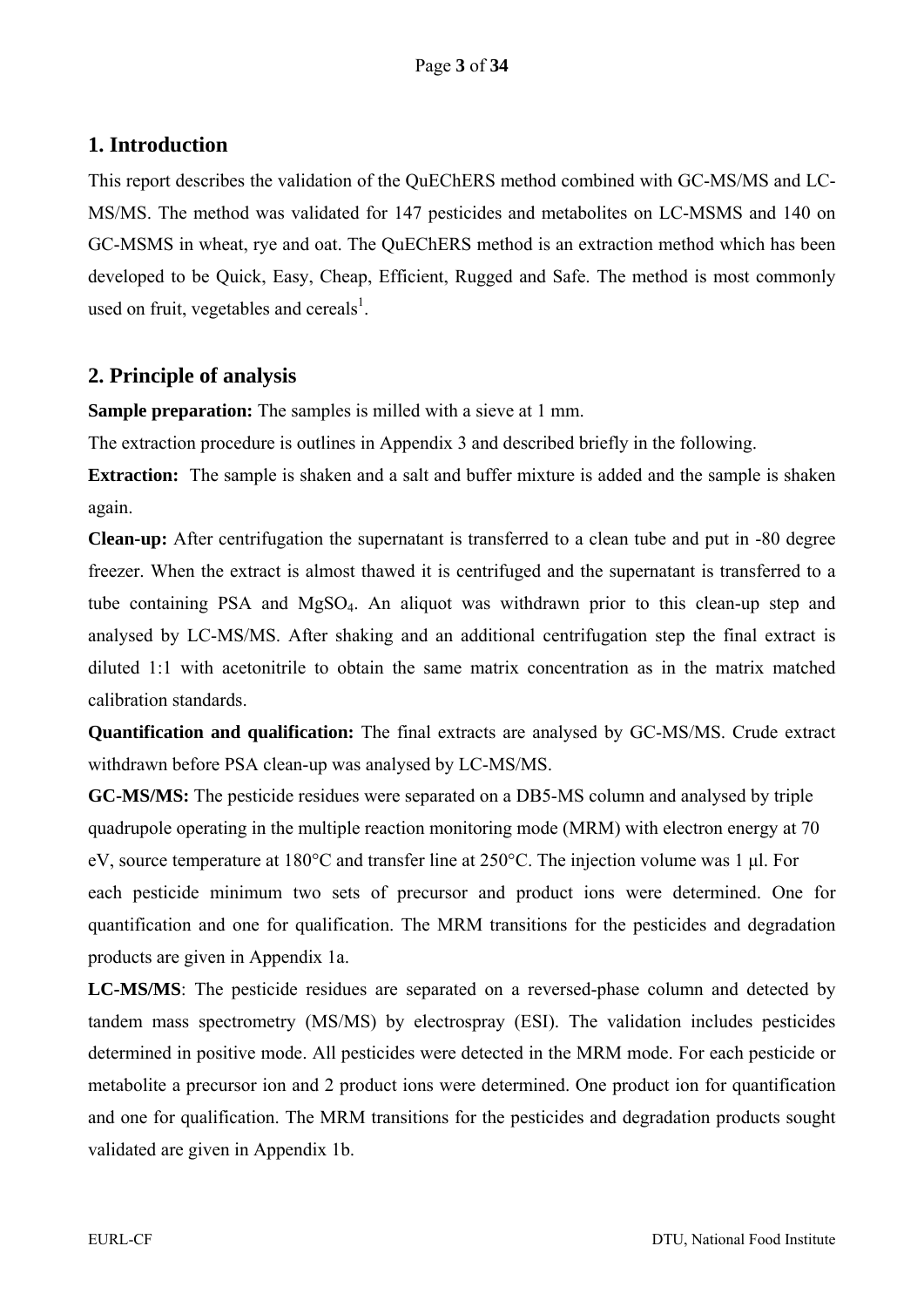# **1. Introduction**

This report describes the validation of the QuEChERS method combined with GC-MS/MS and LC-MS/MS. The method was validated for 147 pesticides and metabolites on LC-MSMS and 140 on GC-MSMS in wheat, rye and oat. The QuEChERS method is an extraction method which has been developed to be Quick, Easy, Cheap, Efficient, Rugged and Safe. The method is most commonly used on fruit, vegetables and cereals<sup>1</sup>.

# **2. Principle of analysis**

**Sample preparation:** The samples is milled with a sieve at 1 mm.

The extraction procedure is outlines in Appendix 3 and described briefly in the following.

**Extraction:** The sample is shaken and a salt and buffer mixture is added and the sample is shaken again.

**Clean-up:** After centrifugation the supernatant is transferred to a clean tube and put in -80 degree freezer. When the extract is almost thawed it is centrifuged and the supernatant is transferred to a tube containing PSA and MgSO4. An aliquot was withdrawn prior to this clean-up step and analysed by LC-MS/MS. After shaking and an additional centrifugation step the final extract is diluted 1:1 with acetonitrile to obtain the same matrix concentration as in the matrix matched calibration standards.

**Quantification and qualification:** The final extracts are analysed by GC-MS/MS. Crude extract withdrawn before PSA clean-up was analysed by LC-MS/MS.

**GC-MS/MS:** The pesticide residues were separated on a DB5-MS column and analysed by triple quadrupole operating in the multiple reaction monitoring mode (MRM) with electron energy at 70 eV, source temperature at 180°C and transfer line at 250°C. The injection volume was 1 μl. For each pesticide minimum two sets of precursor and product ions were determined. One for quantification and one for qualification. The MRM transitions for the pesticides and degradation products are given in Appendix 1a.

**LC-MS/MS**: The pesticide residues are separated on a reversed-phase column and detected by tandem mass spectrometry (MS/MS) by electrospray (ESI). The validation includes pesticides determined in positive mode. All pesticides were detected in the MRM mode. For each pesticide or metabolite a precursor ion and 2 product ions were determined. One product ion for quantification and one for qualification. The MRM transitions for the pesticides and degradation products sought validated are given in Appendix 1b.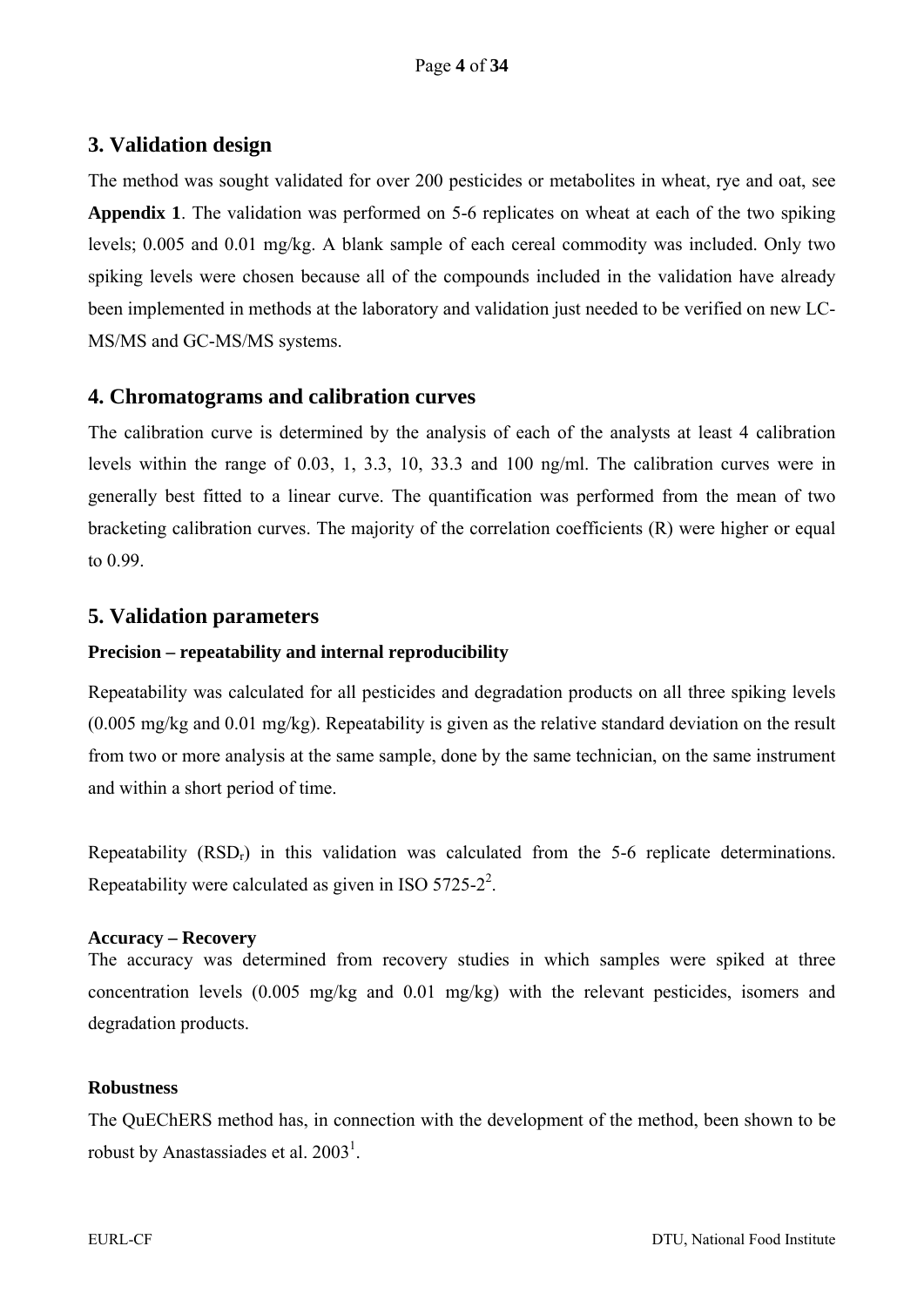# **3. Validation design**

The method was sought validated for over 200 pesticides or metabolites in wheat, rye and oat, see **Appendix 1**. The validation was performed on 5-6 replicates on wheat at each of the two spiking levels; 0.005 and 0.01 mg/kg. A blank sample of each cereal commodity was included. Only two spiking levels were chosen because all of the compounds included in the validation have already been implemented in methods at the laboratory and validation just needed to be verified on new LC-MS/MS and GC-MS/MS systems.

#### **4. Chromatograms and calibration curves**

The calibration curve is determined by the analysis of each of the analysts at least 4 calibration levels within the range of 0.03, 1, 3.3, 10, 33.3 and 100 ng/ml. The calibration curves were in generally best fitted to a linear curve. The quantification was performed from the mean of two bracketing calibration curves. The majority of the correlation coefficients (R) were higher or equal to 0.99.

#### **5. Validation parameters**

#### **Precision – repeatability and internal reproducibility**

Repeatability was calculated for all pesticides and degradation products on all three spiking levels (0.005 mg/kg and 0.01 mg/kg). Repeatability is given as the relative standard deviation on the result from two or more analysis at the same sample, done by the same technician, on the same instrument and within a short period of time.

Repeatability (RSDr) in this validation was calculated from the 5-6 replicate determinations. Repeatability were calculated as given in ISO 5725-2<sup>2</sup>.

#### **Accuracy – Recovery**

The accuracy was determined from recovery studies in which samples were spiked at three concentration levels (0.005 mg/kg and 0.01 mg/kg) with the relevant pesticides, isomers and degradation products.

#### **Robustness**

The QuEChERS method has, in connection with the development of the method, been shown to be robust by Anastassiades et al.  $2003<sup>1</sup>$ .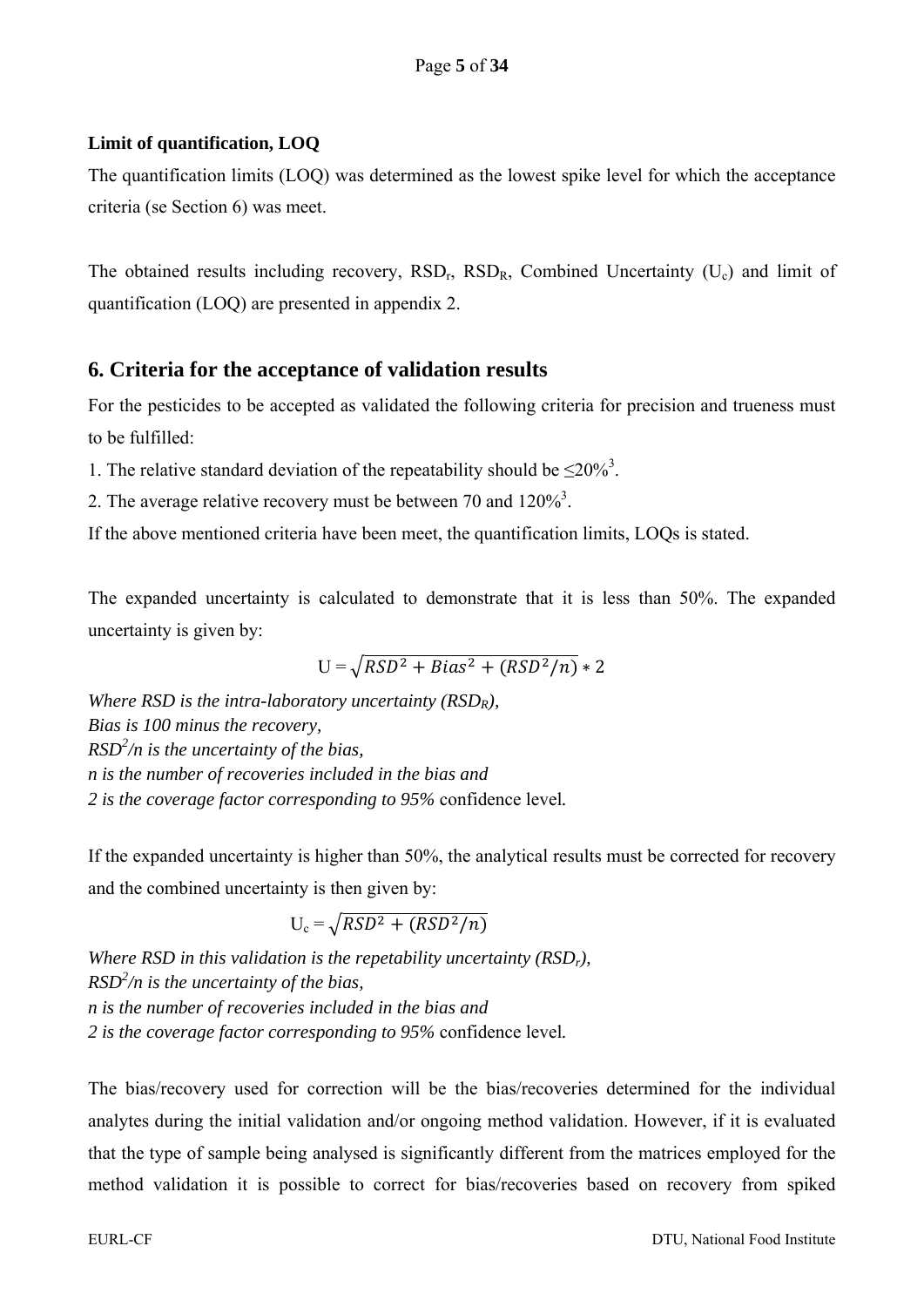#### **Limit of quantification, LOQ**

The quantification limits (LOQ) was determined as the lowest spike level for which the acceptance criteria (se Section 6) was meet.

The obtained results including recovery,  $RSD<sub>r</sub>$ ,  $RSD<sub>R</sub>$ , Combined Uncertainty (U<sub>c</sub>) and limit of quantification (LOQ) are presented in appendix 2.

## **6. Criteria for the acceptance of validation results**

For the pesticides to be accepted as validated the following criteria for precision and trueness must to be fulfilled:

1. The relative standard deviation of the repeatability should be  $\leq 20\%$ <sup>3</sup>.

2. The average relative recovery must be between 70 and  $120\%$ <sup>3</sup>.

If the above mentioned criteria have been meet, the quantification limits, LOQs is stated.

The expanded uncertainty is calculated to demonstrate that it is less than 50%. The expanded uncertainty is given by:

$$
U = \sqrt{RSD^2 + Bias^2 + (RSD^2/n)} * 2
$$

*Where RSD is the intra-laboratory uncertainty (RSDR), Bias is 100 minus the recovery, RSD2 /n is the uncertainty of the bias, n is the number of recoveries included in the bias and 2 is the coverage factor corresponding to 95%* confidence level*.* 

If the expanded uncertainty is higher than 50%, the analytical results must be corrected for recovery and the combined uncertainty is then given by:

 $U_c = \sqrt{RSD^2 + (RSD^2/n)}$ 

*Where RSD in this validation is the repetability uncertainty (RSDr), RSD2 /n is the uncertainty of the bias, n is the number of recoveries included in the bias and 2 is the coverage factor corresponding to 95%* confidence level*.*

The bias/recovery used for correction will be the bias/recoveries determined for the individual analytes during the initial validation and/or ongoing method validation. However, if it is evaluated that the type of sample being analysed is significantly different from the matrices employed for the method validation it is possible to correct for bias/recoveries based on recovery from spiked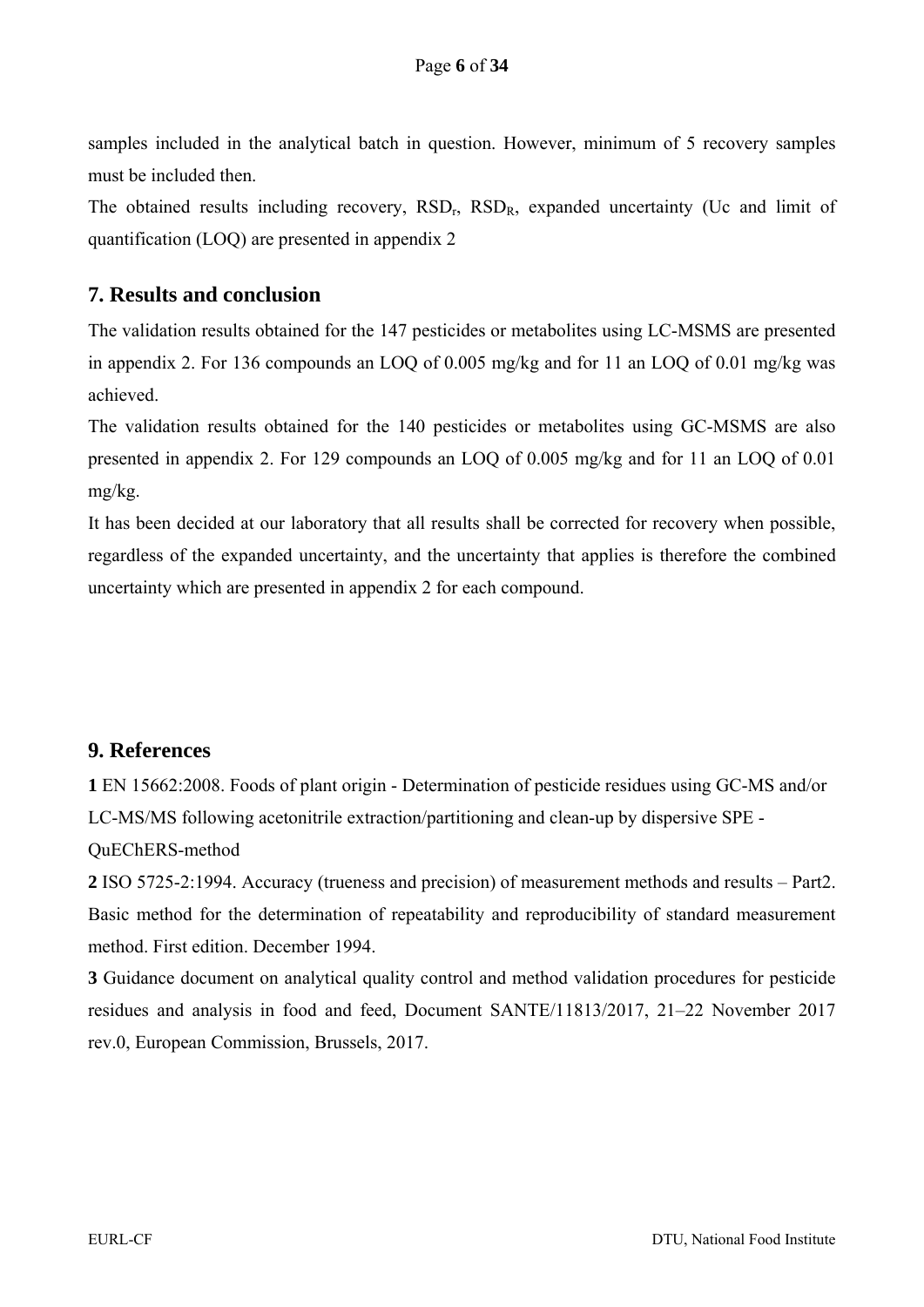samples included in the analytical batch in question. However, minimum of 5 recovery samples must be included then.

The obtained results including recovery,  $RSD<sub>r</sub>$ ,  $RSD<sub>R</sub>$ , expanded uncertainty (Uc and limit of quantification (LOQ) are presented in appendix 2

## **7. Results and conclusion**

The validation results obtained for the 147 pesticides or metabolites using LC-MSMS are presented in appendix 2. For 136 compounds an LOQ of 0.005 mg/kg and for 11 an LOQ of 0.01 mg/kg was achieved.

The validation results obtained for the 140 pesticides or metabolites using GC-MSMS are also presented in appendix 2. For 129 compounds an LOQ of 0.005 mg/kg and for 11 an LOQ of 0.01 mg/kg.

It has been decided at our laboratory that all results shall be corrected for recovery when possible, regardless of the expanded uncertainty, and the uncertainty that applies is therefore the combined uncertainty which are presented in appendix 2 for each compound.

#### **9. References**

**1** EN 15662:2008. Foods of plant origin - Determination of pesticide residues using GC-MS and/or LC-MS/MS following acetonitrile extraction/partitioning and clean-up by dispersive SPE - QuEChERS-method

**2** ISO 5725-2:1994. Accuracy (trueness and precision) of measurement methods and results – Part2. Basic method for the determination of repeatability and reproducibility of standard measurement method. First edition. December 1994.

**3** Guidance document on analytical quality control and method validation procedures for pesticide residues and analysis in food and feed, Document SANTE/11813/2017, 21–22 November 2017 rev.0, European Commission, Brussels, 2017.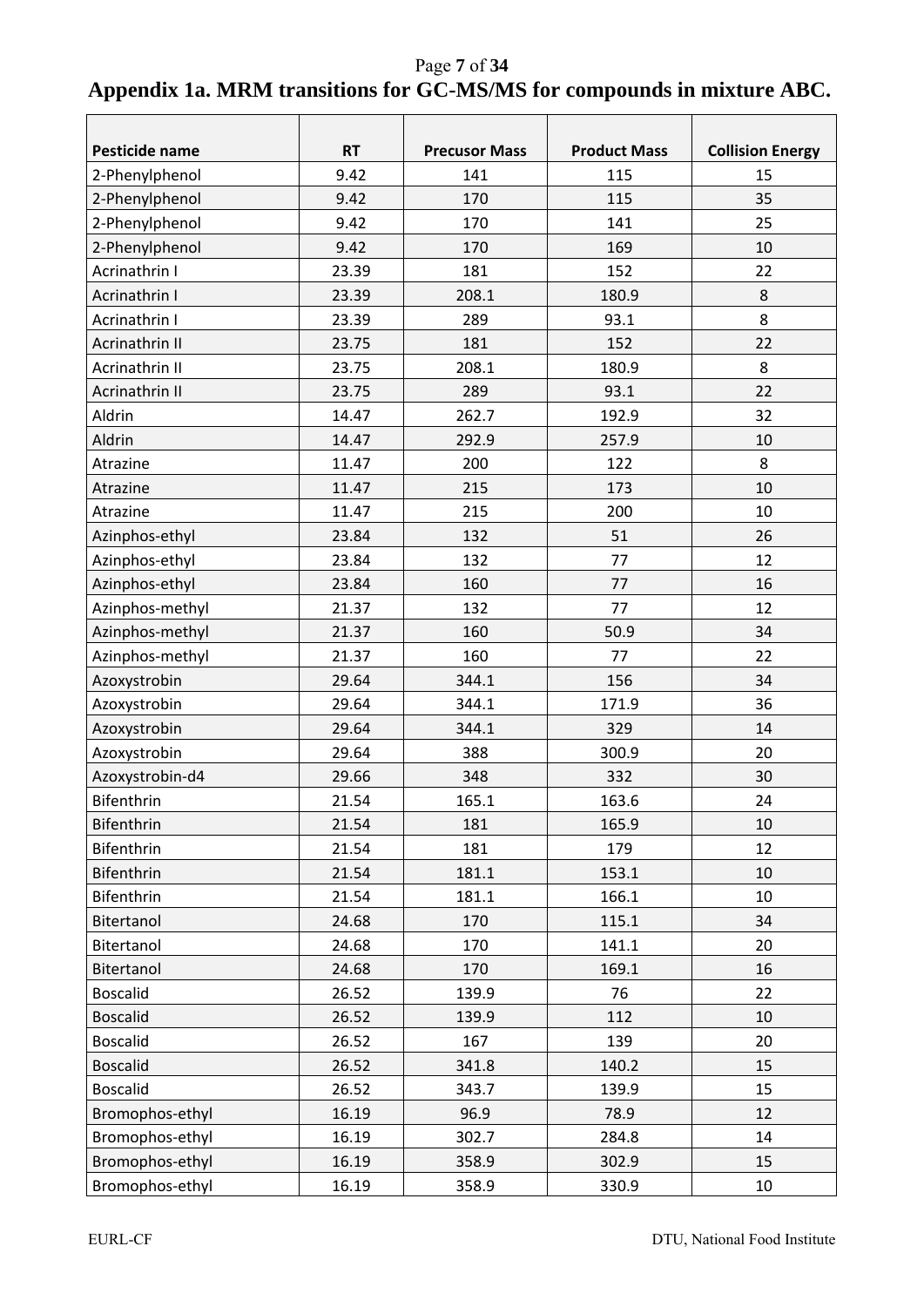Page **7** of **34 Appendix 1a. MRM transitions for GC-MS/MS for compounds in mixture ABC.** 

| Pesticide name  | <b>RT</b> | <b>Precusor Mass</b> | <b>Product Mass</b> | <b>Collision Energy</b> |
|-----------------|-----------|----------------------|---------------------|-------------------------|
| 2-Phenylphenol  | 9.42      | 141                  | 115                 | 15                      |
| 2-Phenylphenol  | 9.42      | 170                  | 115                 | 35                      |
| 2-Phenylphenol  | 9.42      | 170                  | 141                 | 25                      |
| 2-Phenylphenol  | 9.42      | 170                  | 169                 | 10                      |
| Acrinathrin I   | 23.39     | 181                  | 152                 | 22                      |
| Acrinathrin I   | 23.39     | 208.1                | 180.9               | 8                       |
| Acrinathrin I   | 23.39     | 289                  | 93.1                | 8                       |
| Acrinathrin II  | 23.75     | 181                  | 152                 | 22                      |
| Acrinathrin II  | 23.75     | 208.1                | 180.9               | 8                       |
| Acrinathrin II  | 23.75     | 289                  | 93.1                | 22                      |
| Aldrin          | 14.47     | 262.7                | 192.9               | 32                      |
| Aldrin          | 14.47     | 292.9                | 257.9               | 10                      |
| Atrazine        | 11.47     | 200                  | 122                 | 8                       |
| Atrazine        | 11.47     | 215                  | 173                 | 10                      |
| Atrazine        | 11.47     | 215                  | 200                 | 10                      |
| Azinphos-ethyl  | 23.84     | 132                  | 51                  | 26                      |
| Azinphos-ethyl  | 23.84     | 132                  | 77                  | 12                      |
| Azinphos-ethyl  | 23.84     | 160                  | 77                  | 16                      |
| Azinphos-methyl | 21.37     | 132                  | 77                  | 12                      |
| Azinphos-methyl | 21.37     | 160                  | 50.9                | 34                      |
| Azinphos-methyl | 21.37     | 160                  | 77                  | 22                      |
| Azoxystrobin    | 29.64     | 344.1                | 156                 | 34                      |
| Azoxystrobin    | 29.64     | 344.1                | 171.9               | 36                      |
| Azoxystrobin    | 29.64     | 344.1                | 329                 | 14                      |
| Azoxystrobin    | 29.64     | 388                  | 300.9               | 20                      |
| Azoxystrobin-d4 | 29.66     | 348                  | 332                 | 30                      |
| Bifenthrin      | 21.54     | 165.1                | 163.6               | 24                      |
| Bifenthrin      | 21.54     | 181                  | 165.9               | 10                      |
| Bifenthrin      | 21.54     | 181                  | 179                 | 12                      |
| Bifenthrin      | 21.54     | 181.1                | 153.1               | 10                      |
| Bifenthrin      | 21.54     | 181.1                | 166.1               | 10                      |
| Bitertanol      | 24.68     | 170                  | 115.1               | 34                      |
| Bitertanol      | 24.68     | 170                  | 141.1               | 20                      |
| Bitertanol      | 24.68     | 170                  | 169.1               | 16                      |
| <b>Boscalid</b> | 26.52     | 139.9                | 76                  | 22                      |
| <b>Boscalid</b> | 26.52     | 139.9                | 112                 | 10                      |
| <b>Boscalid</b> | 26.52     | 167                  | 139                 | 20                      |
| <b>Boscalid</b> | 26.52     | 341.8                | 140.2               | 15                      |
| <b>Boscalid</b> | 26.52     | 343.7                | 139.9               | 15                      |
| Bromophos-ethyl | 16.19     | 96.9                 | 78.9                | 12                      |
| Bromophos-ethyl | 16.19     | 302.7                | 284.8               | 14                      |
| Bromophos-ethyl | 16.19     | 358.9                | 302.9               | 15                      |
| Bromophos-ethyl | 16.19     | 358.9                | 330.9               | 10                      |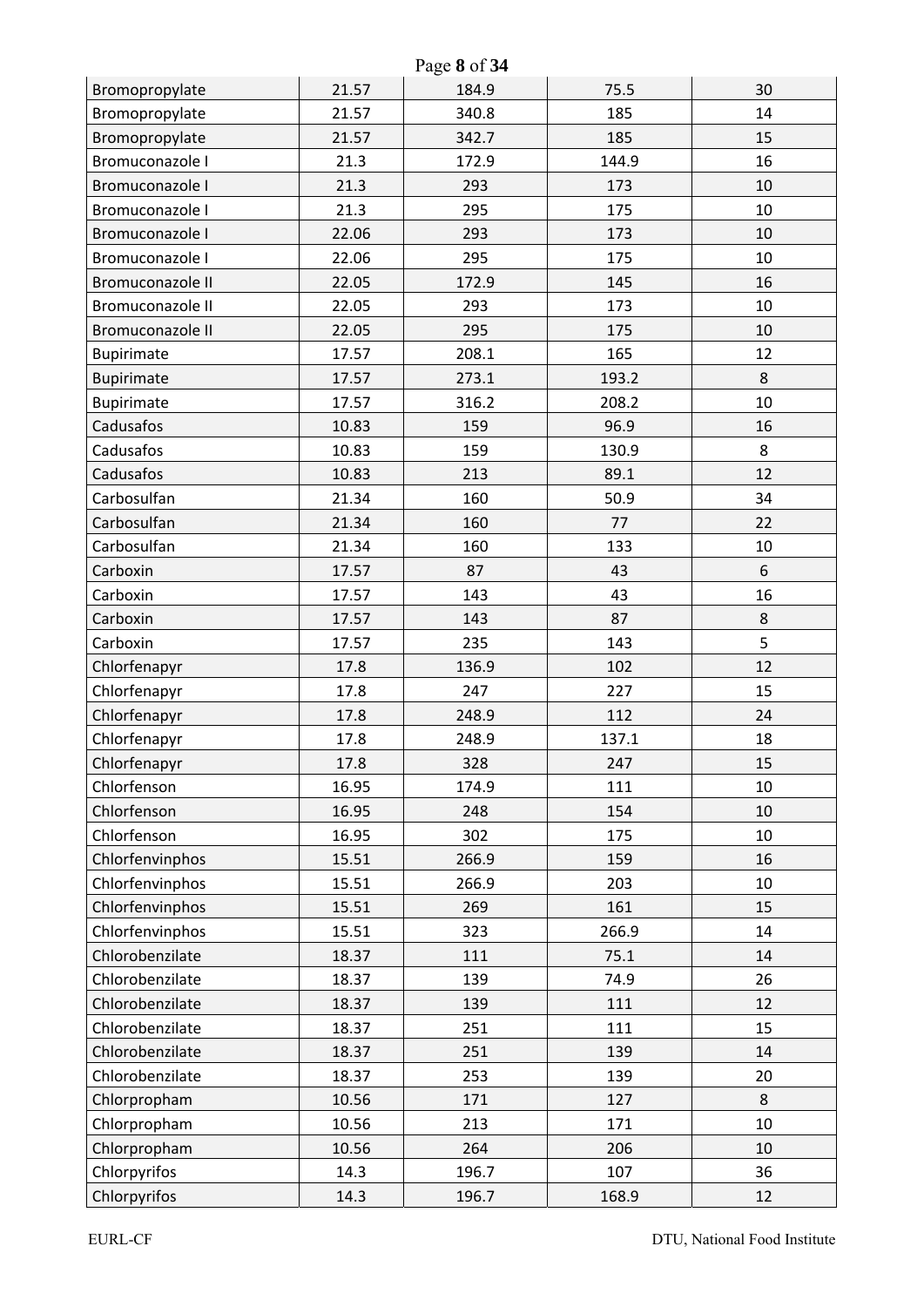| Page 8 of 34            |       |       |       |    |  |
|-------------------------|-------|-------|-------|----|--|
| Bromopropylate          | 21.57 | 184.9 | 75.5  | 30 |  |
| Bromopropylate          | 21.57 | 340.8 | 185   | 14 |  |
| Bromopropylate          | 21.57 | 342.7 | 185   | 15 |  |
| Bromuconazole I         | 21.3  | 172.9 | 144.9 | 16 |  |
| Bromuconazole I         | 21.3  | 293   | 173   | 10 |  |
| Bromuconazole I         | 21.3  | 295   | 175   | 10 |  |
| Bromuconazole I         | 22.06 | 293   | 173   | 10 |  |
| Bromuconazole I         | 22.06 | 295   | 175   | 10 |  |
| <b>Bromuconazole II</b> | 22.05 | 172.9 | 145   | 16 |  |
| Bromuconazole II        | 22.05 | 293   | 173   | 10 |  |
| Bromuconazole II        | 22.05 | 295   | 175   | 10 |  |
| Bupirimate              | 17.57 | 208.1 | 165   | 12 |  |
| Bupirimate              | 17.57 | 273.1 | 193.2 | 8  |  |
| Bupirimate              | 17.57 | 316.2 | 208.2 | 10 |  |
| Cadusafos               | 10.83 | 159   | 96.9  | 16 |  |
| Cadusafos               | 10.83 | 159   | 130.9 | 8  |  |
| Cadusafos               | 10.83 | 213   | 89.1  | 12 |  |
| Carbosulfan             | 21.34 | 160   | 50.9  | 34 |  |
| Carbosulfan             | 21.34 | 160   | 77    | 22 |  |
| Carbosulfan             | 21.34 | 160   | 133   | 10 |  |
| Carboxin                | 17.57 | 87    | 43    | 6  |  |
| Carboxin                | 17.57 | 143   | 43    | 16 |  |
| Carboxin                | 17.57 | 143   | 87    | 8  |  |
| Carboxin                | 17.57 | 235   | 143   | 5  |  |
| Chlorfenapyr            | 17.8  | 136.9 | 102   | 12 |  |
| Chlorfenapyr            | 17.8  | 247   | 227   | 15 |  |
| Chlorfenapyr            | 17.8  | 248.9 | 112   | 24 |  |
| Chlorfenapyr            | 17.8  | 248.9 | 137.1 | 18 |  |
| Chlorfenapyr            | 17.8  | 328   | 247   | 15 |  |
| Chlorfenson             | 16.95 | 174.9 | 111   | 10 |  |
| Chlorfenson             | 16.95 | 248   | 154   | 10 |  |
| Chlorfenson             | 16.95 | 302   | 175   | 10 |  |
| Chlorfenvinphos         | 15.51 | 266.9 | 159   | 16 |  |
| Chlorfenvinphos         | 15.51 | 266.9 | 203   | 10 |  |
| Chlorfenvinphos         | 15.51 | 269   | 161   | 15 |  |
| Chlorfenvinphos         | 15.51 | 323   | 266.9 | 14 |  |
| Chlorobenzilate         | 18.37 | 111   | 75.1  | 14 |  |
| Chlorobenzilate         | 18.37 | 139   | 74.9  | 26 |  |
| Chlorobenzilate         | 18.37 | 139   | 111   | 12 |  |
| Chlorobenzilate         | 18.37 | 251   | 111   | 15 |  |
| Chlorobenzilate         | 18.37 | 251   | 139   | 14 |  |
| Chlorobenzilate         | 18.37 | 253   | 139   | 20 |  |
| Chlorpropham            | 10.56 | 171   | 127   | 8  |  |
| Chlorpropham            | 10.56 | 213   | 171   | 10 |  |
| Chlorpropham            | 10.56 | 264   | 206   | 10 |  |
| Chlorpyrifos            | 14.3  | 196.7 | 107   | 36 |  |
| Chlorpyrifos            | 14.3  | 196.7 | 168.9 | 12 |  |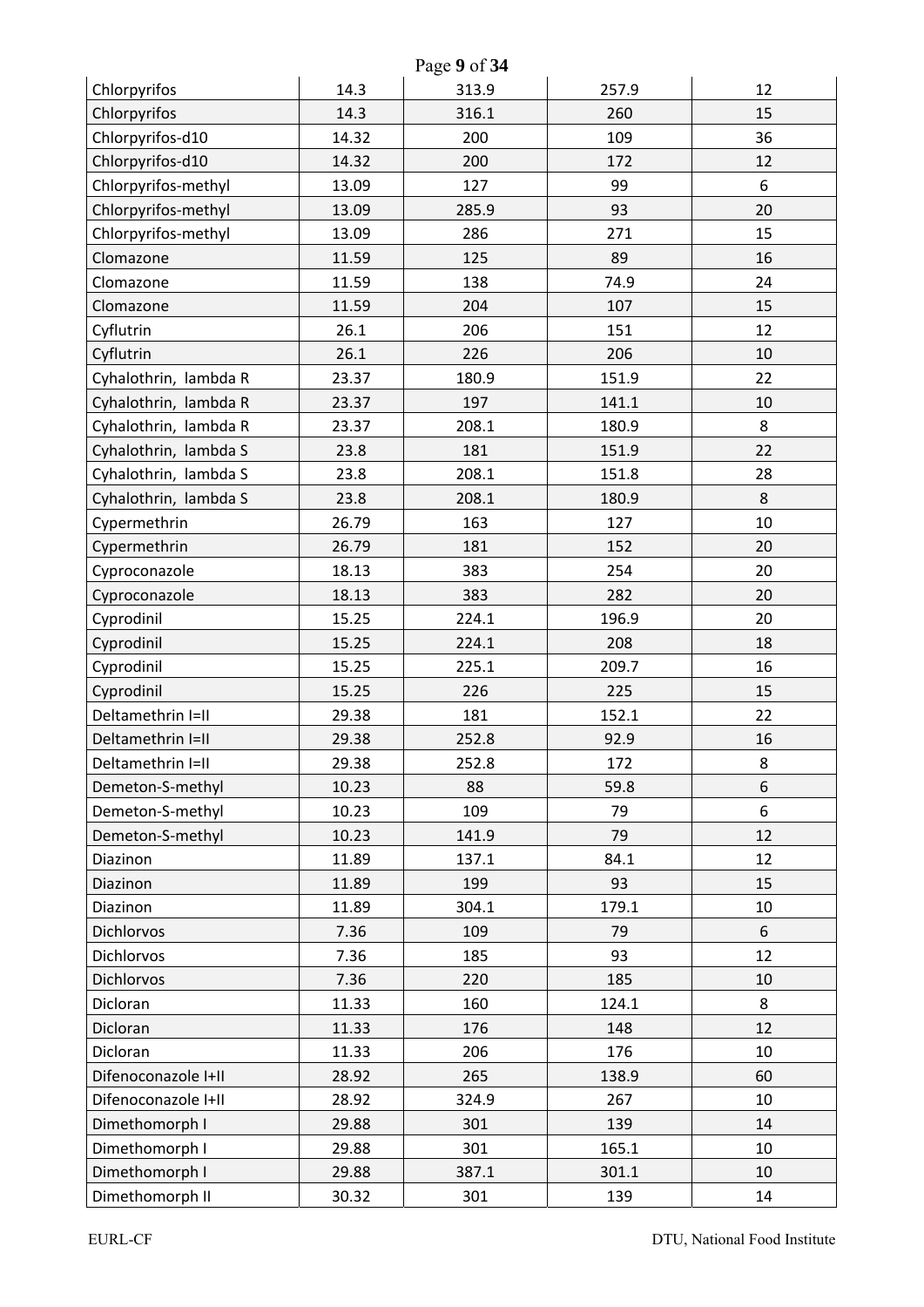| Page 9 of 34          |       |       |       |    |  |
|-----------------------|-------|-------|-------|----|--|
| Chlorpyrifos          | 14.3  | 313.9 | 257.9 | 12 |  |
| Chlorpyrifos          | 14.3  | 316.1 | 260   | 15 |  |
| Chlorpyrifos-d10      | 14.32 | 200   | 109   | 36 |  |
| Chlorpyrifos-d10      | 14.32 | 200   | 172   | 12 |  |
| Chlorpyrifos-methyl   | 13.09 | 127   | 99    | 6  |  |
| Chlorpyrifos-methyl   | 13.09 | 285.9 | 93    | 20 |  |
| Chlorpyrifos-methyl   | 13.09 | 286   | 271   | 15 |  |
| Clomazone             | 11.59 | 125   | 89    | 16 |  |
| Clomazone             | 11.59 | 138   | 74.9  | 24 |  |
| Clomazone             | 11.59 | 204   | 107   | 15 |  |
| Cyflutrin             | 26.1  | 206   | 151   | 12 |  |
| Cyflutrin             | 26.1  | 226   | 206   | 10 |  |
| Cyhalothrin, lambda R | 23.37 | 180.9 | 151.9 | 22 |  |
| Cyhalothrin, lambda R | 23.37 | 197   | 141.1 | 10 |  |
| Cyhalothrin, lambda R | 23.37 | 208.1 | 180.9 | 8  |  |
| Cyhalothrin, lambda S | 23.8  | 181   | 151.9 | 22 |  |
| Cyhalothrin, lambda S | 23.8  | 208.1 | 151.8 | 28 |  |
| Cyhalothrin, lambda S | 23.8  | 208.1 | 180.9 | 8  |  |
| Cypermethrin          | 26.79 | 163   | 127   | 10 |  |
| Cypermethrin          | 26.79 | 181   | 152   | 20 |  |
| Cyproconazole         | 18.13 | 383   | 254   | 20 |  |
| Cyproconazole         | 18.13 | 383   | 282   | 20 |  |
| Cyprodinil            | 15.25 | 224.1 | 196.9 | 20 |  |
| Cyprodinil            | 15.25 | 224.1 | 208   | 18 |  |
| Cyprodinil            | 15.25 | 225.1 | 209.7 | 16 |  |
| Cyprodinil            | 15.25 | 226   | 225   | 15 |  |
| Deltamethrin I=II     | 29.38 | 181   | 152.1 | 22 |  |
| Deltamethrin I=II     | 29.38 | 252.8 | 92.9  | 16 |  |
| Deltamethrin I=II     | 29.38 | 252.8 | 172   | 8  |  |
| Demeton-S-methyl      | 10.23 | 88    | 59.8  | 6  |  |
| Demeton-S-methyl      | 10.23 | 109   | 79    | 6  |  |
| Demeton-S-methyl      | 10.23 | 141.9 | 79    | 12 |  |
| Diazinon              | 11.89 | 137.1 | 84.1  | 12 |  |
| Diazinon              | 11.89 | 199   | 93    | 15 |  |
| Diazinon              | 11.89 | 304.1 | 179.1 | 10 |  |
| Dichlorvos            | 7.36  | 109   | 79    | 6  |  |
| <b>Dichlorvos</b>     | 7.36  | 185   | 93    | 12 |  |
| Dichlorvos            | 7.36  | 220   | 185   | 10 |  |
| Dicloran              | 11.33 | 160   | 124.1 | 8  |  |
| Dicloran              | 11.33 | 176   | 148   | 12 |  |
| Dicloran              | 11.33 | 206   | 176   | 10 |  |
| Difenoconazole I+II   | 28.92 | 265   | 138.9 | 60 |  |
| Difenoconazole I+II   | 28.92 | 324.9 | 267   | 10 |  |
| Dimethomorph I        | 29.88 | 301   | 139   | 14 |  |
| Dimethomorph I        | 29.88 | 301   | 165.1 | 10 |  |
| Dimethomorph I        | 29.88 | 387.1 | 301.1 | 10 |  |
| Dimethomorph II       | 30.32 | 301   | 139   | 14 |  |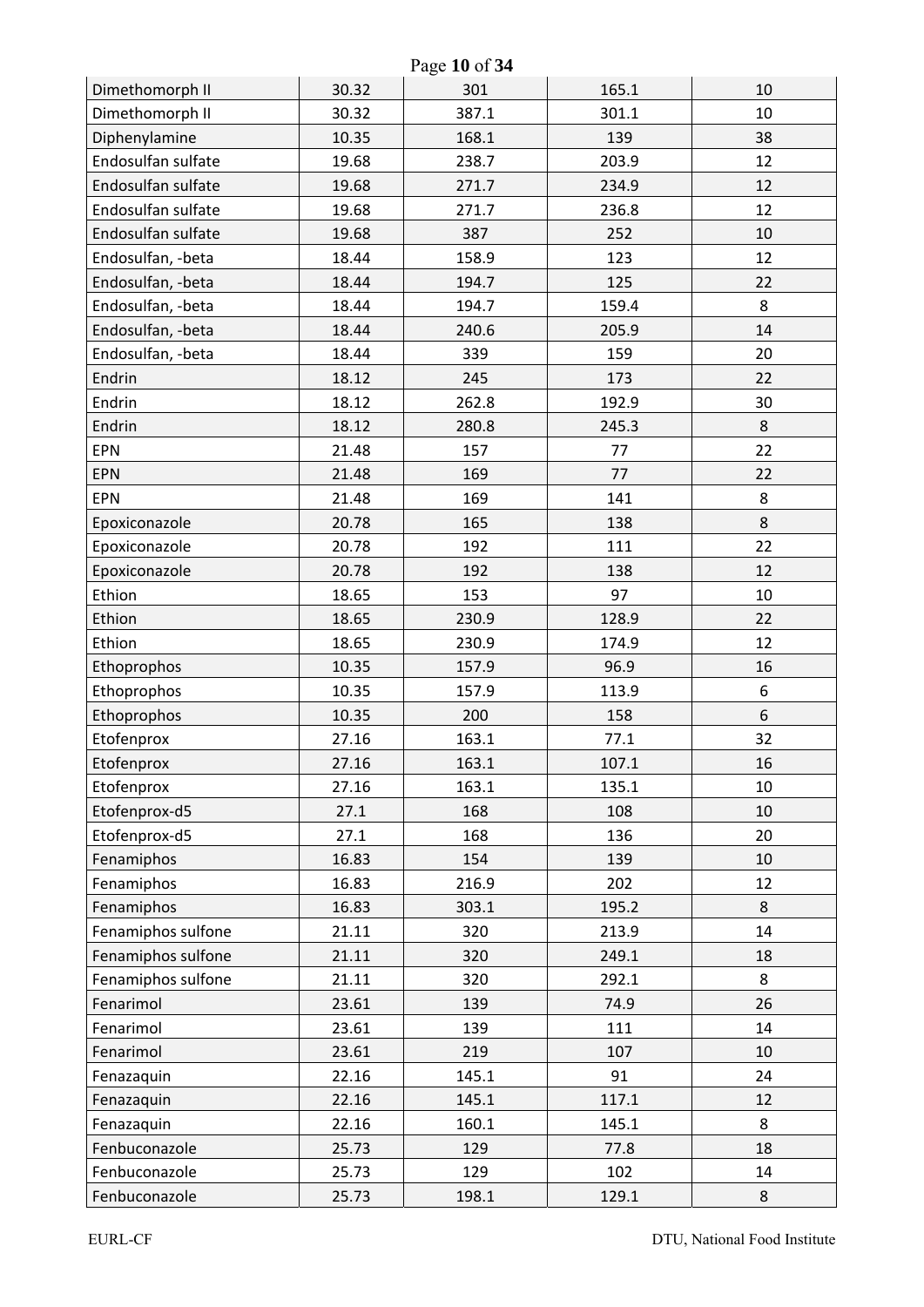| Page 10 of 34      |       |       |       |    |  |
|--------------------|-------|-------|-------|----|--|
| Dimethomorph II    | 30.32 | 301   | 165.1 | 10 |  |
| Dimethomorph II    | 30.32 | 387.1 | 301.1 | 10 |  |
| Diphenylamine      | 10.35 | 168.1 | 139   | 38 |  |
| Endosulfan sulfate | 19.68 | 238.7 | 203.9 | 12 |  |
| Endosulfan sulfate | 19.68 | 271.7 | 234.9 | 12 |  |
| Endosulfan sulfate | 19.68 | 271.7 | 236.8 | 12 |  |
| Endosulfan sulfate | 19.68 | 387   | 252   | 10 |  |
| Endosulfan, -beta  | 18.44 | 158.9 | 123   | 12 |  |
| Endosulfan, -beta  | 18.44 | 194.7 | 125   | 22 |  |
| Endosulfan, -beta  | 18.44 | 194.7 | 159.4 | 8  |  |
| Endosulfan, -beta  | 18.44 | 240.6 | 205.9 | 14 |  |
| Endosulfan, -beta  | 18.44 | 339   | 159   | 20 |  |
| Endrin             | 18.12 | 245   | 173   | 22 |  |
| Endrin             | 18.12 | 262.8 | 192.9 | 30 |  |
| Endrin             | 18.12 | 280.8 | 245.3 | 8  |  |
| <b>EPN</b>         | 21.48 | 157   | 77    | 22 |  |
| <b>EPN</b>         | 21.48 | 169   | 77    | 22 |  |
| <b>EPN</b>         | 21.48 | 169   | 141   | 8  |  |
| Epoxiconazole      | 20.78 | 165   | 138   | 8  |  |
| Epoxiconazole      | 20.78 | 192   | 111   | 22 |  |
| Epoxiconazole      | 20.78 | 192   | 138   | 12 |  |
| Ethion             | 18.65 | 153   | 97    | 10 |  |
| Ethion             | 18.65 | 230.9 | 128.9 | 22 |  |
| Ethion             | 18.65 | 230.9 | 174.9 | 12 |  |
| Ethoprophos        | 10.35 | 157.9 | 96.9  | 16 |  |
| Ethoprophos        | 10.35 | 157.9 | 113.9 | 6  |  |
| Ethoprophos        | 10.35 | 200   | 158   | 6  |  |
| Etofenprox         | 27.16 | 163.1 | 77.1  | 32 |  |
| Etofenprox         | 27.16 | 163.1 | 107.1 | 16 |  |
| Etofenprox         | 27.16 | 163.1 | 135.1 | 10 |  |
| Etofenprox-d5      | 27.1  | 168   | 108   | 10 |  |
| Etofenprox-d5      | 27.1  | 168   | 136   | 20 |  |
| Fenamiphos         | 16.83 | 154   | 139   | 10 |  |
| Fenamiphos         | 16.83 | 216.9 | 202   | 12 |  |
| Fenamiphos         | 16.83 | 303.1 | 195.2 | 8  |  |
| Fenamiphos sulfone | 21.11 | 320   | 213.9 | 14 |  |
| Fenamiphos sulfone | 21.11 | 320   | 249.1 | 18 |  |
| Fenamiphos sulfone | 21.11 | 320   | 292.1 | 8  |  |
| Fenarimol          | 23.61 | 139   | 74.9  | 26 |  |
| Fenarimol          | 23.61 | 139   | 111   | 14 |  |
| Fenarimol          | 23.61 | 219   | 107   | 10 |  |
| Fenazaquin         | 22.16 | 145.1 | 91    | 24 |  |
| Fenazaquin         | 22.16 | 145.1 | 117.1 | 12 |  |
| Fenazaquin         | 22.16 | 160.1 | 145.1 | 8  |  |
| Fenbuconazole      | 25.73 | 129   | 77.8  | 18 |  |
| Fenbuconazole      | 25.73 | 129   | 102   | 14 |  |
| Fenbuconazole      | 25.73 | 198.1 | 129.1 | 8  |  |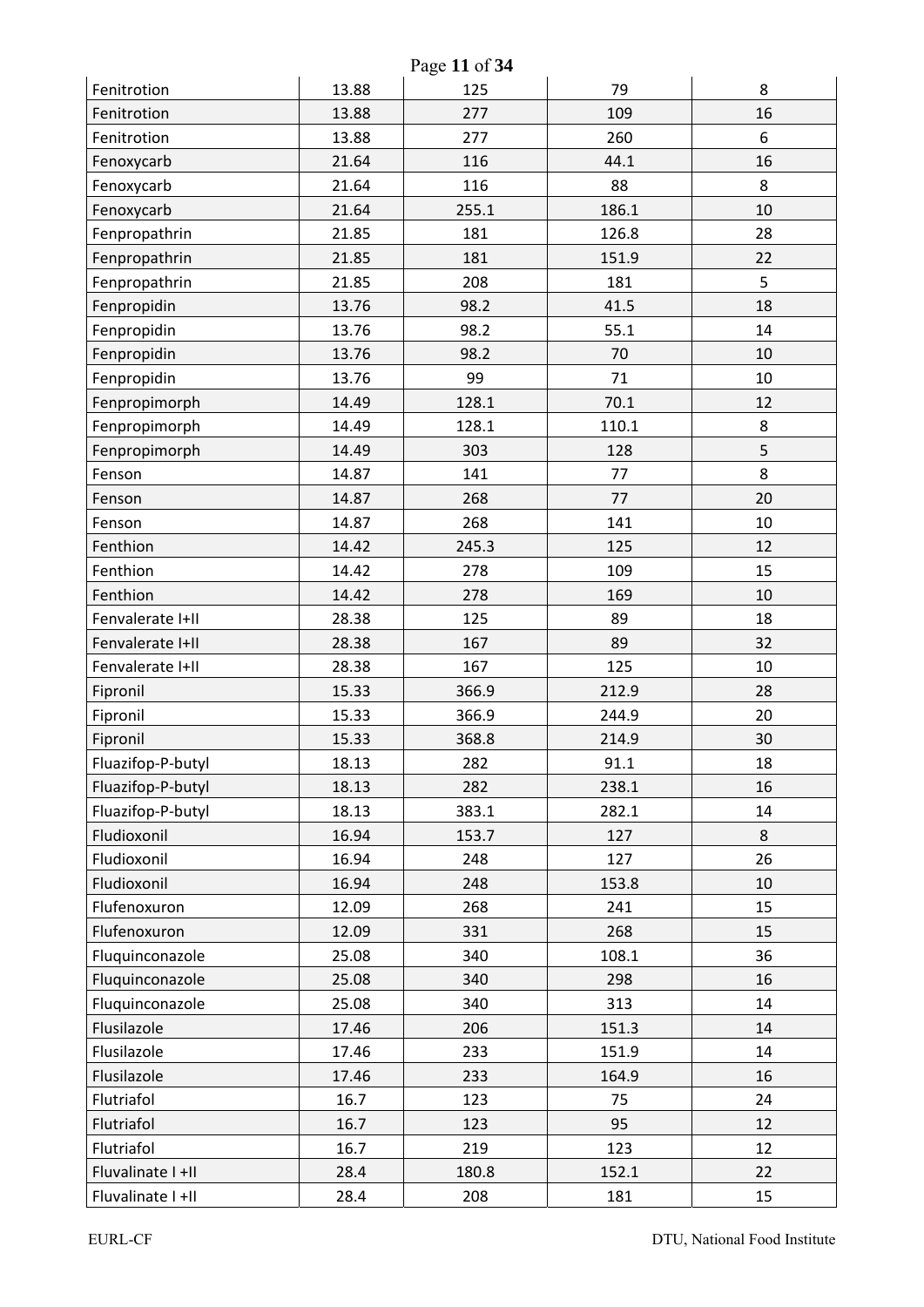| Page 11 of 34     |       |       |       |    |  |
|-------------------|-------|-------|-------|----|--|
| Fenitrotion       | 13.88 | 125   | 79    | 8  |  |
| Fenitrotion       | 13.88 | 277   | 109   | 16 |  |
| Fenitrotion       | 13.88 | 277   | 260   | 6  |  |
| Fenoxycarb        | 21.64 | 116   | 44.1  | 16 |  |
| Fenoxycarb        | 21.64 | 116   | 88    | 8  |  |
| Fenoxycarb        | 21.64 | 255.1 | 186.1 | 10 |  |
| Fenpropathrin     | 21.85 | 181   | 126.8 | 28 |  |
| Fenpropathrin     | 21.85 | 181   | 151.9 | 22 |  |
| Fenpropathrin     | 21.85 | 208   | 181   | 5  |  |
| Fenpropidin       | 13.76 | 98.2  | 41.5  | 18 |  |
| Fenpropidin       | 13.76 | 98.2  | 55.1  | 14 |  |
| Fenpropidin       | 13.76 | 98.2  | 70    | 10 |  |
| Fenpropidin       | 13.76 | 99    | 71    | 10 |  |
| Fenpropimorph     | 14.49 | 128.1 | 70.1  | 12 |  |
| Fenpropimorph     | 14.49 | 128.1 | 110.1 | 8  |  |
| Fenpropimorph     | 14.49 | 303   | 128   | 5  |  |
| Fenson            | 14.87 | 141   | 77    | 8  |  |
| Fenson            | 14.87 | 268   | 77    | 20 |  |
| Fenson            | 14.87 | 268   | 141   | 10 |  |
| Fenthion          | 14.42 | 245.3 | 125   | 12 |  |
| Fenthion          | 14.42 | 278   | 109   | 15 |  |
| Fenthion          | 14.42 | 278   | 169   | 10 |  |
| Fenvalerate I+II  | 28.38 | 125   | 89    | 18 |  |
| Fenvalerate I+II  | 28.38 | 167   | 89    | 32 |  |
| Fenvalerate I+II  | 28.38 | 167   | 125   | 10 |  |
| Fipronil          | 15.33 | 366.9 | 212.9 | 28 |  |
| Fipronil          | 15.33 | 366.9 | 244.9 | 20 |  |
| Fipronil          | 15.33 | 368.8 | 214.9 | 30 |  |
| Fluazifop-P-butyl | 18.13 | 282   | 91.1  | 18 |  |
| Fluazifop-P-butyl | 18.13 | 282   | 238.1 | 16 |  |
| Fluazifop-P-butyl | 18.13 | 383.1 | 282.1 | 14 |  |
| Fludioxonil       | 16.94 | 153.7 | 127   | 8  |  |
| Fludioxonil       | 16.94 | 248   | 127   | 26 |  |
| Fludioxonil       | 16.94 | 248   | 153.8 | 10 |  |
| Flufenoxuron      | 12.09 | 268   | 241   | 15 |  |
| Flufenoxuron      | 12.09 | 331   | 268   | 15 |  |
| Fluquinconazole   | 25.08 | 340   | 108.1 | 36 |  |
| Fluquinconazole   | 25.08 | 340   | 298   | 16 |  |
| Fluquinconazole   | 25.08 | 340   | 313   | 14 |  |
| Flusilazole       | 17.46 | 206   | 151.3 | 14 |  |
| Flusilazole       | 17.46 | 233   | 151.9 | 14 |  |
| Flusilazole       | 17.46 | 233   | 164.9 | 16 |  |
| Flutriafol        | 16.7  | 123   | 75    | 24 |  |
| Flutriafol        | 16.7  | 123   | 95    | 12 |  |
| Flutriafol        | 16.7  | 219   | 123   | 12 |  |
| Fluvalinate I +II | 28.4  | 180.8 | 152.1 | 22 |  |
| Fluvalinate I +II | 28.4  | 208   | 181   | 15 |  |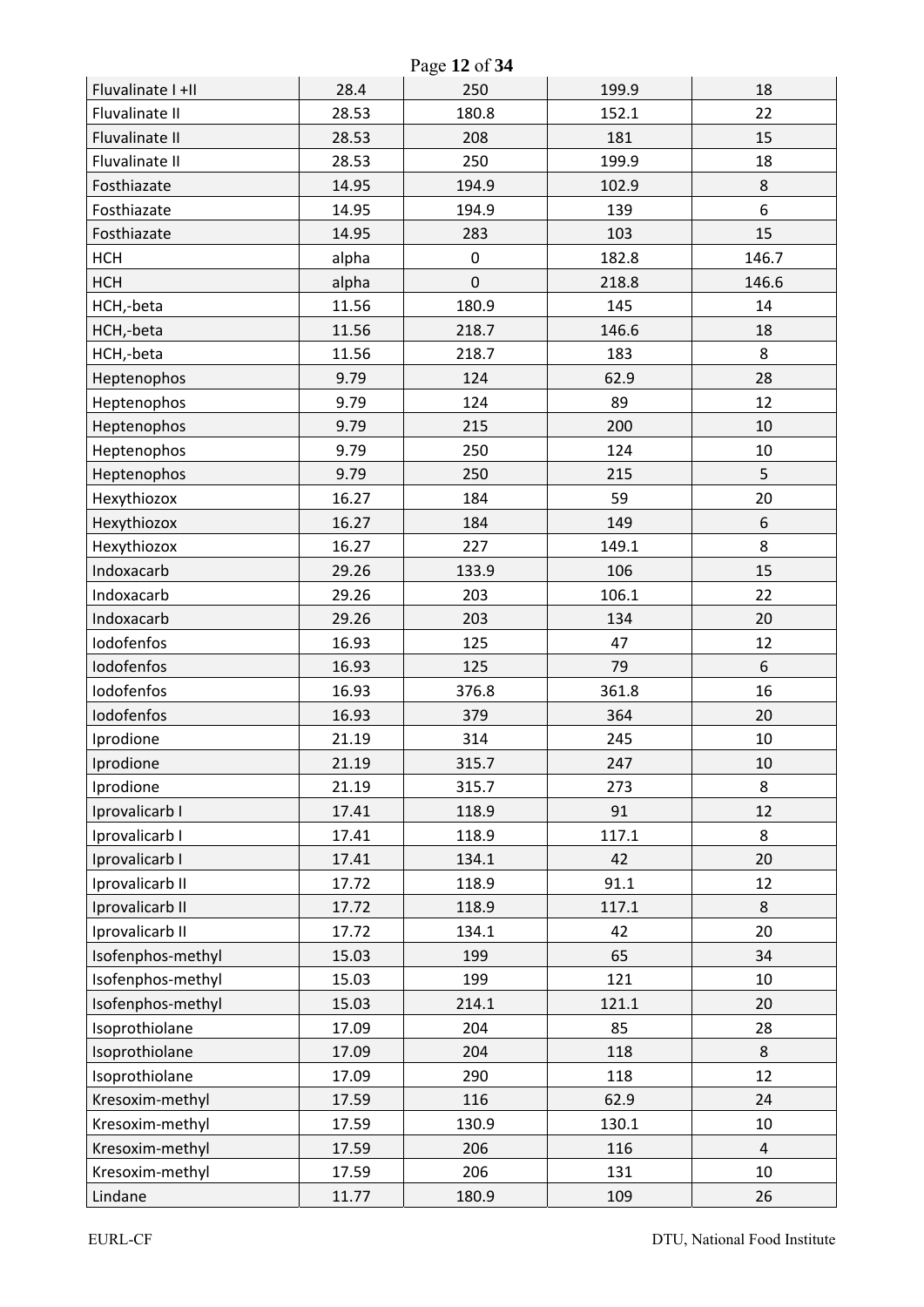|                   |       | Page 12 of 34 |       |                |
|-------------------|-------|---------------|-------|----------------|
| Fluvalinate I +II | 28.4  | 250           | 199.9 | 18             |
| Fluvalinate II    | 28.53 | 180.8         | 152.1 | 22             |
| Fluvalinate II    | 28.53 | 208           | 181   | 15             |
| Fluvalinate II    | 28.53 | 250           | 199.9 | 18             |
| Fosthiazate       | 14.95 | 194.9         | 102.9 | $\,8$          |
| Fosthiazate       | 14.95 | 194.9         | 139   | 6              |
| Fosthiazate       | 14.95 | 283           | 103   | 15             |
| <b>HCH</b>        | alpha | $\pmb{0}$     | 182.8 | 146.7          |
| <b>HCH</b>        | alpha | $\mathbf 0$   | 218.8 | 146.6          |
| HCH,-beta         | 11.56 | 180.9         | 145   | 14             |
| HCH,-beta         | 11.56 | 218.7         | 146.6 | 18             |
| HCH,-beta         | 11.56 | 218.7         | 183   | 8              |
| Heptenophos       | 9.79  | 124           | 62.9  | 28             |
| Heptenophos       | 9.79  | 124           | 89    | 12             |
| Heptenophos       | 9.79  | 215           | 200   | 10             |
| Heptenophos       | 9.79  | 250           | 124   | 10             |
| Heptenophos       | 9.79  | 250           | 215   | 5              |
| Hexythiozox       | 16.27 | 184           | 59    | 20             |
| Hexythiozox       | 16.27 | 184           | 149   | $6\,$          |
| Hexythiozox       | 16.27 | 227           | 149.1 | 8              |
| Indoxacarb        | 29.26 | 133.9         | 106   | 15             |
| Indoxacarb        | 29.26 | 203           | 106.1 | 22             |
| Indoxacarb        | 29.26 | 203           | 134   | 20             |
| Iodofenfos        | 16.93 | 125           | 47    | 12             |
| Iodofenfos        | 16.93 | 125           | 79    | 6              |
| Iodofenfos        | 16.93 | 376.8         | 361.8 | 16             |
| Iodofenfos        | 16.93 | 379           | 364   | 20             |
| Iprodione         | 21.19 | 314           | 245   | 10             |
| Iprodione         | 21.19 | 315.7         | 247   | 10             |
| Iprodione         | 21.19 | 315.7         | 273   | 8              |
| Iprovalicarb I    | 17.41 | 118.9         | 91    | 12             |
| Iprovalicarb I    | 17.41 | 118.9         | 117.1 | 8              |
| Iprovalicarb I    | 17.41 | 134.1         | 42    | 20             |
| Iprovalicarb II   | 17.72 | 118.9         | 91.1  | 12             |
| Iprovalicarb II   | 17.72 | 118.9         | 117.1 | 8              |
| Iprovalicarb II   | 17.72 | 134.1         | 42    | 20             |
| Isofenphos-methyl | 15.03 | 199           | 65    | 34             |
| Isofenphos-methyl | 15.03 | 199           | 121   | 10             |
| Isofenphos-methyl | 15.03 | 214.1         | 121.1 | 20             |
| Isoprothiolane    | 17.09 | 204           | 85    | 28             |
| Isoprothiolane    | 17.09 | 204           | 118   | 8              |
| Isoprothiolane    | 17.09 | 290           | 118   | 12             |
| Kresoxim-methyl   | 17.59 | 116           | 62.9  | 24             |
| Kresoxim-methyl   | 17.59 | 130.9         | 130.1 | 10             |
| Kresoxim-methyl   | 17.59 | 206           | 116   | $\overline{4}$ |
| Kresoxim-methyl   | 17.59 | 206           | 131   | 10             |
| Lindane           | 11.77 | 180.9         | 109   | 26             |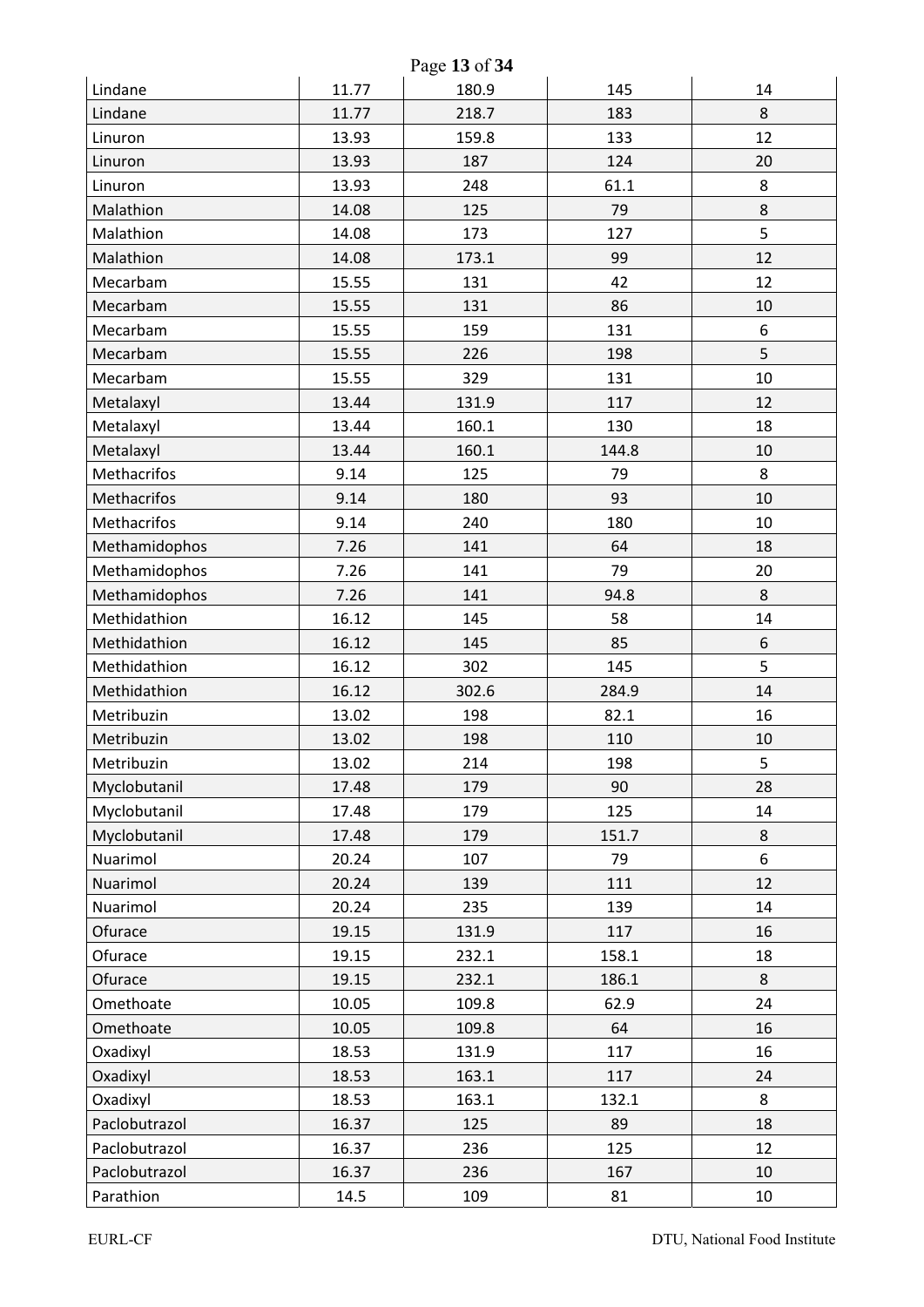| Page 13 of 34 |       |       |       |    |  |
|---------------|-------|-------|-------|----|--|
| Lindane       | 11.77 | 180.9 | 145   | 14 |  |
| Lindane       | 11.77 | 218.7 | 183   | 8  |  |
| Linuron       | 13.93 | 159.8 | 133   | 12 |  |
| Linuron       | 13.93 | 187   | 124   | 20 |  |
| Linuron       | 13.93 | 248   | 61.1  | 8  |  |
| Malathion     | 14.08 | 125   | 79    | 8  |  |
| Malathion     | 14.08 | 173   | 127   | 5  |  |
| Malathion     | 14.08 | 173.1 | 99    | 12 |  |
| Mecarbam      | 15.55 | 131   | 42    | 12 |  |
| Mecarbam      | 15.55 | 131   | 86    | 10 |  |
| Mecarbam      | 15.55 | 159   | 131   | 6  |  |
| Mecarbam      | 15.55 | 226   | 198   | 5  |  |
| Mecarbam      | 15.55 | 329   | 131   | 10 |  |
| Metalaxyl     | 13.44 | 131.9 | 117   | 12 |  |
| Metalaxyl     | 13.44 | 160.1 | 130   | 18 |  |
| Metalaxyl     | 13.44 | 160.1 | 144.8 | 10 |  |
| Methacrifos   | 9.14  | 125   | 79    | 8  |  |
| Methacrifos   | 9.14  | 180   | 93    | 10 |  |
| Methacrifos   | 9.14  | 240   | 180   | 10 |  |
| Methamidophos | 7.26  | 141   | 64    | 18 |  |
| Methamidophos | 7.26  | 141   | 79    | 20 |  |
| Methamidophos | 7.26  | 141   | 94.8  | 8  |  |
| Methidathion  | 16.12 | 145   | 58    | 14 |  |
| Methidathion  | 16.12 | 145   | 85    | 6  |  |
| Methidathion  | 16.12 | 302   | 145   | 5  |  |
| Methidathion  | 16.12 | 302.6 | 284.9 | 14 |  |
| Metribuzin    | 13.02 | 198   | 82.1  | 16 |  |
| Metribuzin    | 13.02 | 198   | 110   | 10 |  |
| Metribuzin    | 13.02 | 214   | 198   | 5  |  |
| Myclobutanil  | 17.48 | 179   | 90    | 28 |  |
| Myclobutanil  | 17.48 | 179   | 125   | 14 |  |
| Myclobutanil  | 17.48 | 179   | 151.7 | 8  |  |
| Nuarimol      | 20.24 | 107   | 79    | 6  |  |
| Nuarimol      | 20.24 | 139   | 111   | 12 |  |
| Nuarimol      | 20.24 | 235   | 139   | 14 |  |
| Ofurace       | 19.15 | 131.9 | 117   | 16 |  |
| Ofurace       | 19.15 | 232.1 | 158.1 | 18 |  |
| Ofurace       | 19.15 | 232.1 | 186.1 | 8  |  |
| Omethoate     | 10.05 | 109.8 | 62.9  | 24 |  |
| Omethoate     | 10.05 | 109.8 | 64    | 16 |  |
| Oxadixyl      | 18.53 | 131.9 | 117   | 16 |  |
| Oxadixyl      | 18.53 | 163.1 | 117   | 24 |  |
| Oxadixyl      | 18.53 | 163.1 | 132.1 | 8  |  |
| Paclobutrazol | 16.37 | 125   | 89    | 18 |  |
| Paclobutrazol | 16.37 | 236   | 125   | 12 |  |
| Paclobutrazol | 16.37 | 236   | 167   | 10 |  |
| Parathion     | 14.5  | 109   | 81    | 10 |  |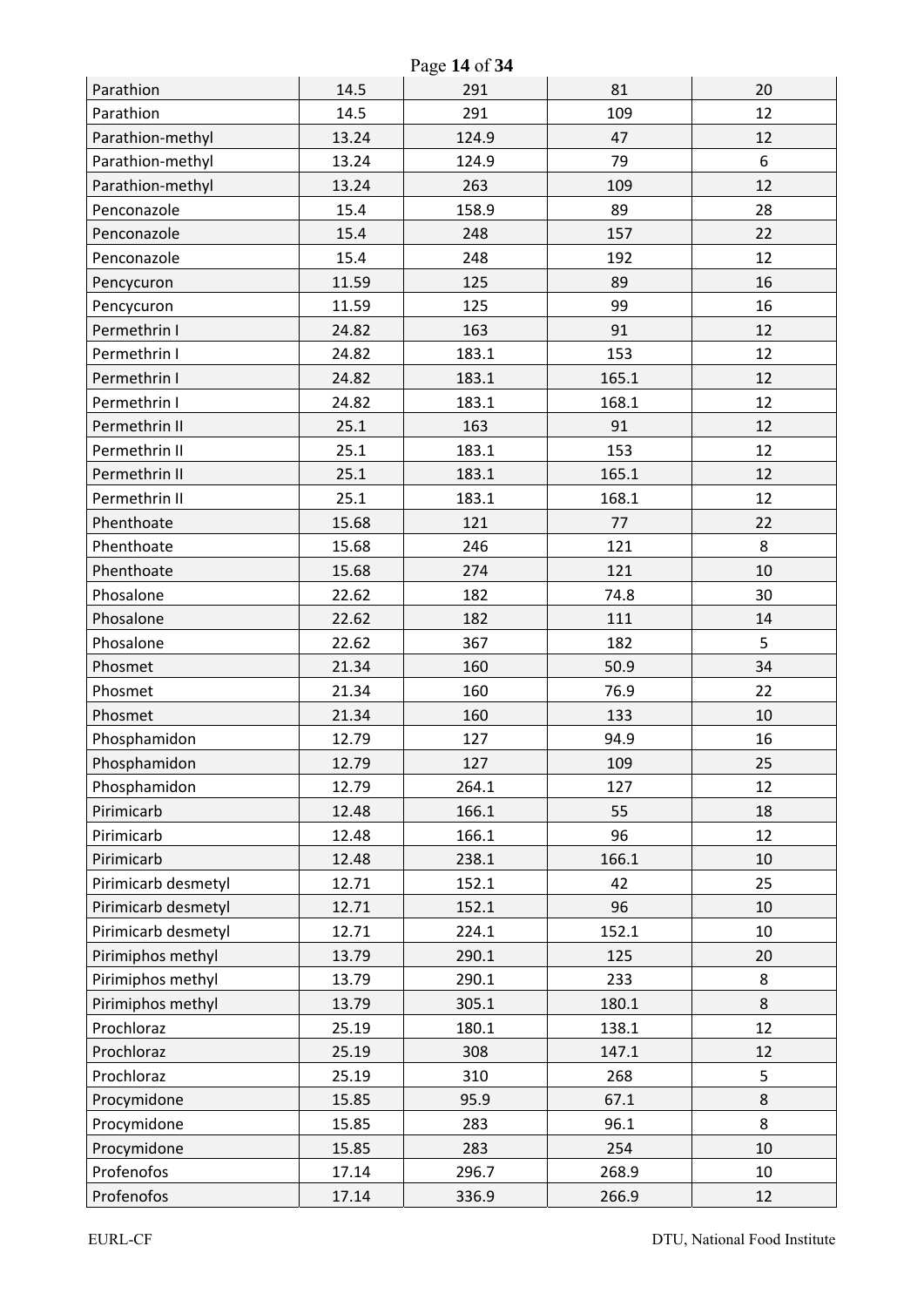| Page 14 of 34       |       |       |       |    |  |
|---------------------|-------|-------|-------|----|--|
| Parathion           | 14.5  | 291   | 81    | 20 |  |
| Parathion           | 14.5  | 291   | 109   | 12 |  |
| Parathion-methyl    | 13.24 | 124.9 | 47    | 12 |  |
| Parathion-methyl    | 13.24 | 124.9 | 79    | 6  |  |
| Parathion-methyl    | 13.24 | 263   | 109   | 12 |  |
| Penconazole         | 15.4  | 158.9 | 89    | 28 |  |
| Penconazole         | 15.4  | 248   | 157   | 22 |  |
| Penconazole         | 15.4  | 248   | 192   | 12 |  |
| Pencycuron          | 11.59 | 125   | 89    | 16 |  |
| Pencycuron          | 11.59 | 125   | 99    | 16 |  |
| Permethrin I        | 24.82 | 163   | 91    | 12 |  |
| Permethrin I        | 24.82 | 183.1 | 153   | 12 |  |
| Permethrin I        | 24.82 | 183.1 | 165.1 | 12 |  |
| Permethrin I        | 24.82 | 183.1 | 168.1 | 12 |  |
| Permethrin II       | 25.1  | 163   | 91    | 12 |  |
| Permethrin II       | 25.1  | 183.1 | 153   | 12 |  |
| Permethrin II       | 25.1  | 183.1 | 165.1 | 12 |  |
| Permethrin II       | 25.1  | 183.1 | 168.1 | 12 |  |
| Phenthoate          | 15.68 | 121   | 77    | 22 |  |
| Phenthoate          | 15.68 | 246   | 121   | 8  |  |
| Phenthoate          | 15.68 | 274   | 121   | 10 |  |
| Phosalone           | 22.62 | 182   | 74.8  | 30 |  |
| Phosalone           | 22.62 | 182   | 111   | 14 |  |
| Phosalone           | 22.62 | 367   | 182   | 5  |  |
| Phosmet             | 21.34 | 160   | 50.9  | 34 |  |
| Phosmet             | 21.34 | 160   | 76.9  | 22 |  |
| Phosmet             | 21.34 | 160   | 133   | 10 |  |
| Phosphamidon        | 12.79 | 127   | 94.9  | 16 |  |
| Phosphamidon        | 12.79 | 127   | 109   | 25 |  |
| Phosphamidon        | 12.79 | 264.1 | 127   | 12 |  |
| Pirimicarb          | 12.48 | 166.1 | 55    | 18 |  |
| Pirimicarb          | 12.48 | 166.1 | 96    | 12 |  |
| Pirimicarb          | 12.48 | 238.1 | 166.1 | 10 |  |
| Pirimicarb desmetyl | 12.71 | 152.1 | 42    | 25 |  |
| Pirimicarb desmetyl | 12.71 | 152.1 | 96    | 10 |  |
| Pirimicarb desmetyl | 12.71 | 224.1 | 152.1 | 10 |  |
| Pirimiphos methyl   | 13.79 | 290.1 | 125   | 20 |  |
| Pirimiphos methyl   | 13.79 | 290.1 | 233   | 8  |  |
| Pirimiphos methyl   | 13.79 | 305.1 | 180.1 | 8  |  |
| Prochloraz          | 25.19 | 180.1 | 138.1 | 12 |  |
| Prochloraz          | 25.19 | 308   | 147.1 | 12 |  |
| Prochloraz          | 25.19 | 310   | 268   | 5  |  |
| Procymidone         | 15.85 | 95.9  | 67.1  | 8  |  |
| Procymidone         | 15.85 | 283   | 96.1  | 8  |  |
| Procymidone         | 15.85 | 283   | 254   | 10 |  |
| Profenofos          | 17.14 | 296.7 | 268.9 | 10 |  |
| Profenofos          | 17.14 | 336.9 | 266.9 | 12 |  |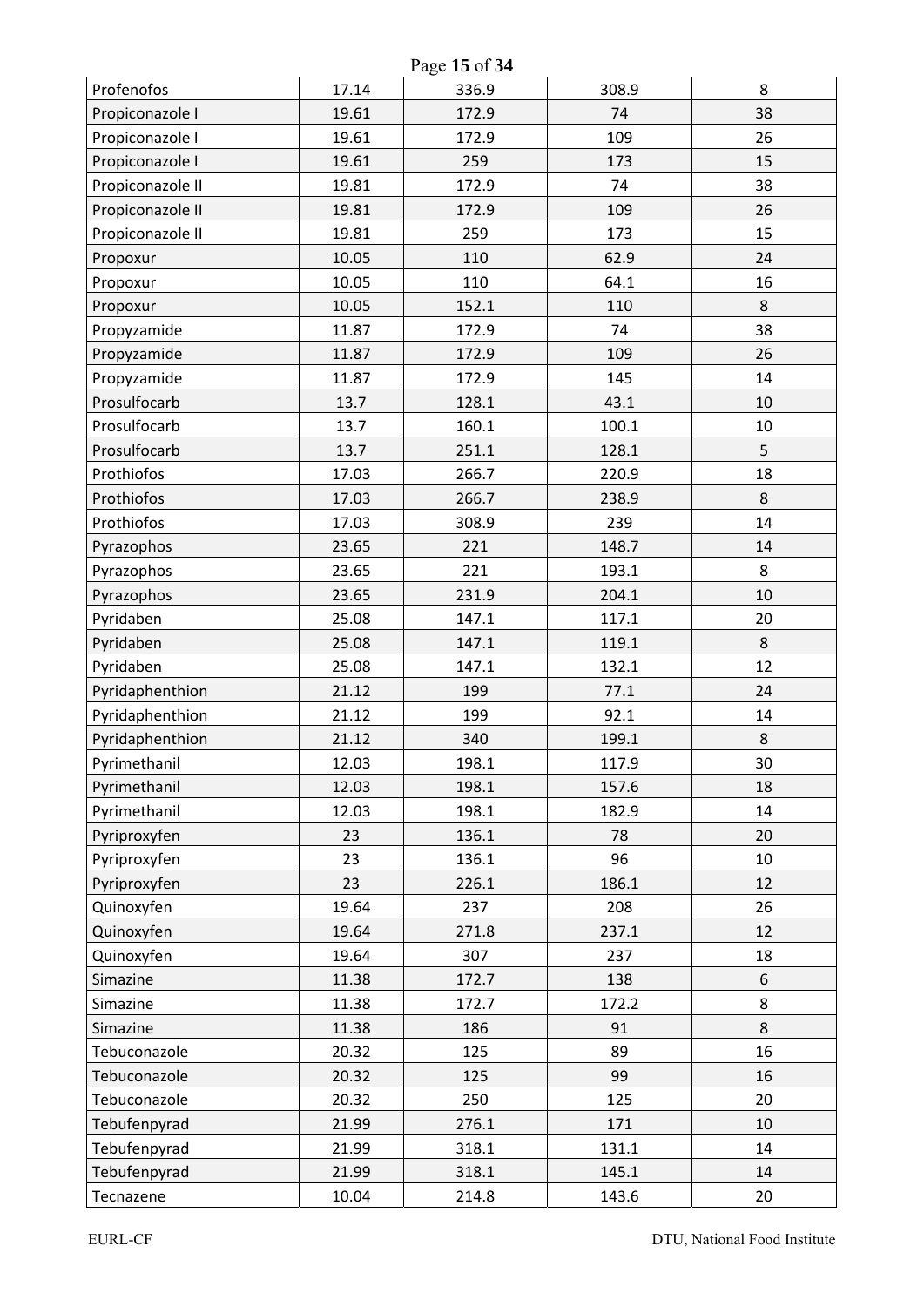| Page 15 of 34    |       |       |       |         |  |
|------------------|-------|-------|-------|---------|--|
| Profenofos       | 17.14 | 336.9 | 308.9 | 8       |  |
| Propiconazole I  | 19.61 | 172.9 | 74    | 38      |  |
| Propiconazole I  | 19.61 | 172.9 | 109   | 26      |  |
| Propiconazole I  | 19.61 | 259   | 173   | 15      |  |
| Propiconazole II | 19.81 | 172.9 | 74    | 38      |  |
| Propiconazole II | 19.81 | 172.9 | 109   | 26      |  |
| Propiconazole II | 19.81 | 259   | 173   | 15      |  |
| Propoxur         | 10.05 | 110   | 62.9  | 24      |  |
| Propoxur         | 10.05 | 110   | 64.1  | 16      |  |
| Propoxur         | 10.05 | 152.1 | 110   | 8       |  |
| Propyzamide      | 11.87 | 172.9 | 74    | 38      |  |
| Propyzamide      | 11.87 | 172.9 | 109   | 26      |  |
| Propyzamide      | 11.87 | 172.9 | 145   | 14      |  |
| Prosulfocarb     | 13.7  | 128.1 | 43.1  | 10      |  |
| Prosulfocarb     | 13.7  | 160.1 | 100.1 | 10      |  |
| Prosulfocarb     | 13.7  | 251.1 | 128.1 | 5       |  |
| Prothiofos       | 17.03 | 266.7 | 220.9 | 18      |  |
| Prothiofos       | 17.03 | 266.7 | 238.9 | 8       |  |
| Prothiofos       | 17.03 | 308.9 | 239   | 14      |  |
| Pyrazophos       | 23.65 | 221   | 148.7 | 14      |  |
| Pyrazophos       | 23.65 | 221   | 193.1 | 8       |  |
| Pyrazophos       | 23.65 | 231.9 | 204.1 | 10      |  |
| Pyridaben        | 25.08 | 147.1 | 117.1 | 20      |  |
| Pyridaben        | 25.08 | 147.1 | 119.1 | 8       |  |
| Pyridaben        | 25.08 | 147.1 | 132.1 | 12      |  |
| Pyridaphenthion  | 21.12 | 199   | 77.1  | 24      |  |
| Pyridaphenthion  | 21.12 | 199   | 92.1  | 14      |  |
| Pyridaphenthion  | 21.12 | 340   | 199.1 | $\,8\,$ |  |
| Pyrimethanil     | 12.03 | 198.1 | 117.9 | 30      |  |
| Pyrimethanil     | 12.03 | 198.1 | 157.6 | 18      |  |
| Pyrimethanil     | 12.03 | 198.1 | 182.9 | 14      |  |
| Pyriproxyfen     | 23    | 136.1 | 78    | 20      |  |
| Pyriproxyfen     | 23    | 136.1 | 96    | 10      |  |
| Pyriproxyfen     | 23    | 226.1 | 186.1 | 12      |  |
| Quinoxyfen       | 19.64 | 237   | 208   | 26      |  |
| Quinoxyfen       | 19.64 | 271.8 | 237.1 | 12      |  |
| Quinoxyfen       | 19.64 | 307   | 237   | 18      |  |
| Simazine         | 11.38 | 172.7 | 138   | 6       |  |
| Simazine         | 11.38 | 172.7 | 172.2 | 8       |  |
| Simazine         | 11.38 | 186   | 91    | 8       |  |
| Tebuconazole     | 20.32 | 125   | 89    | 16      |  |
| Tebuconazole     | 20.32 | 125   | 99    | 16      |  |
| Tebuconazole     | 20.32 | 250   | 125   | 20      |  |
| Tebufenpyrad     | 21.99 | 276.1 | 171   | 10      |  |
| Tebufenpyrad     | 21.99 | 318.1 | 131.1 | 14      |  |
| Tebufenpyrad     | 21.99 | 318.1 | 145.1 | 14      |  |
| Tecnazene        | 10.04 | 214.8 | 143.6 | 20      |  |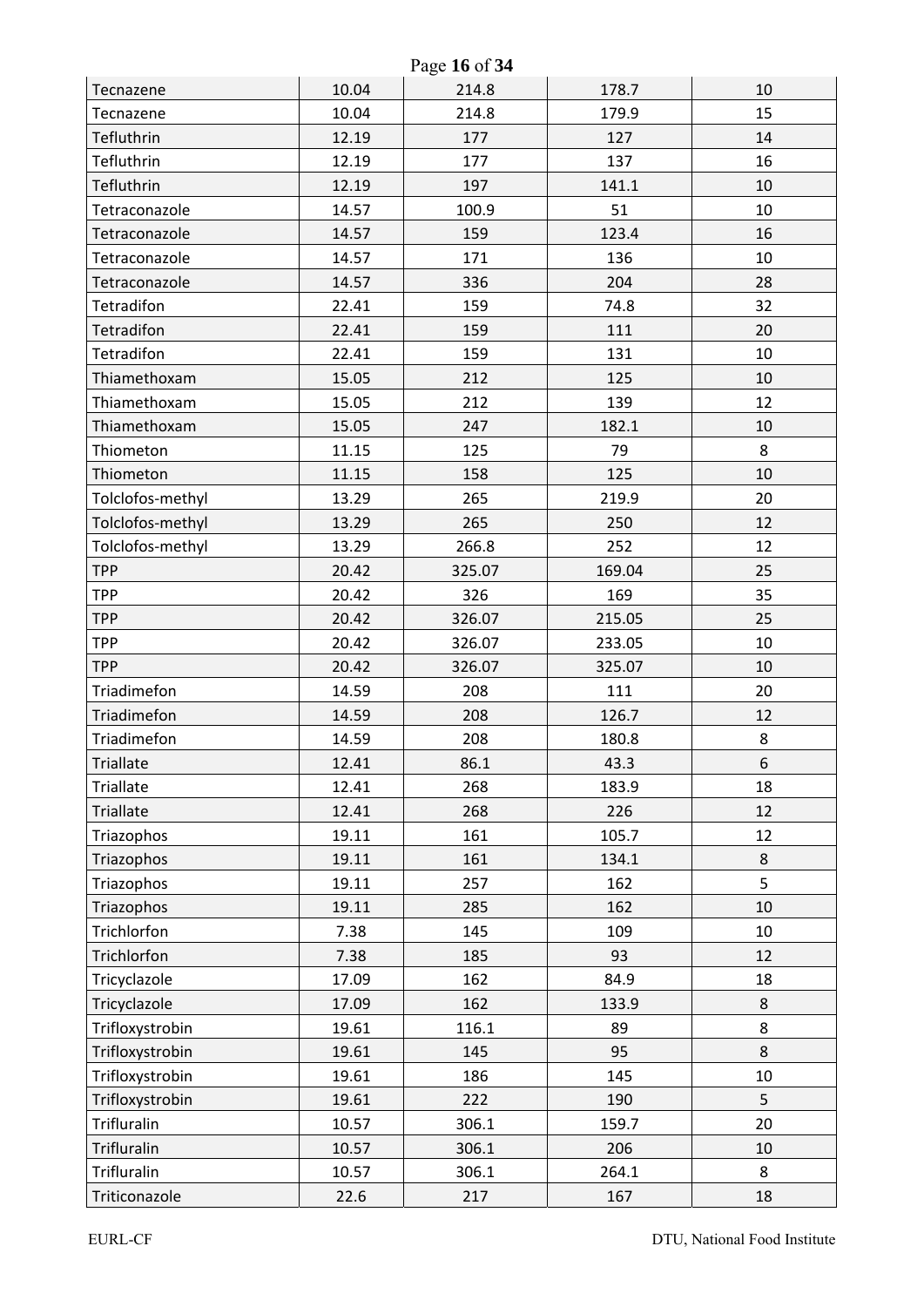| Page 16 of 34      |       |        |        |    |  |
|--------------------|-------|--------|--------|----|--|
| Tecnazene          | 10.04 | 214.8  | 178.7  | 10 |  |
| Tecnazene          | 10.04 | 214.8  | 179.9  | 15 |  |
| Tefluthrin         | 12.19 | 177    | 127    | 14 |  |
| Tefluthrin         | 12.19 | 177    | 137    | 16 |  |
| Tefluthrin         | 12.19 | 197    | 141.1  | 10 |  |
| Tetraconazole      | 14.57 | 100.9  | 51     | 10 |  |
| Tetraconazole      | 14.57 | 159    | 123.4  | 16 |  |
| Tetraconazole      | 14.57 | 171    | 136    | 10 |  |
| Tetraconazole      | 14.57 | 336    | 204    | 28 |  |
| Tetradifon         | 22.41 | 159    | 74.8   | 32 |  |
| Tetradifon         | 22.41 | 159    | 111    | 20 |  |
| Tetradifon         | 22.41 | 159    | 131    | 10 |  |
| Thiamethoxam       | 15.05 | 212    | 125    | 10 |  |
| Thiamethoxam       | 15.05 | 212    | 139    | 12 |  |
| Thiamethoxam       | 15.05 | 247    | 182.1  | 10 |  |
| Thiometon          | 11.15 | 125    | 79     | 8  |  |
| Thiometon          | 11.15 | 158    | 125    | 10 |  |
| Tolclofos-methyl   | 13.29 | 265    | 219.9  | 20 |  |
| Tolclofos-methyl   | 13.29 | 265    | 250    | 12 |  |
| Tolclofos-methyl   | 13.29 | 266.8  | 252    | 12 |  |
| <b>TPP</b>         | 20.42 | 325.07 | 169.04 | 25 |  |
| <b>TPP</b>         | 20.42 | 326    | 169    | 35 |  |
| <b>TPP</b>         | 20.42 | 326.07 | 215.05 | 25 |  |
| <b>TPP</b>         | 20.42 | 326.07 | 233.05 | 10 |  |
| <b>TPP</b>         | 20.42 | 326.07 | 325.07 | 10 |  |
| Triadimefon        | 14.59 | 208    | 111    | 20 |  |
| Triadimefon        | 14.59 | 208    | 126.7  | 12 |  |
| Triadimefon        | 14.59 | 208    | 180.8  | 8  |  |
| <b>Triallate</b>   | 12.41 | 86.1   | 43.3   | 6  |  |
| <b>Triallate</b>   | 12.41 | 268    | 183.9  | 18 |  |
| <b>Triallate</b>   | 12.41 | 268    | 226    | 12 |  |
| Triazophos         | 19.11 | 161    | 105.7  | 12 |  |
| Triazophos         | 19.11 | 161    | 134.1  | 8  |  |
| Triazophos         | 19.11 | 257    | 162    | 5  |  |
| Triazophos         | 19.11 | 285    | 162    | 10 |  |
| Trichlorfon        | 7.38  | 145    | 109    | 10 |  |
| Trichlorfon        | 7.38  | 185    | 93     | 12 |  |
| Tricyclazole       | 17.09 | 162    | 84.9   | 18 |  |
| Tricyclazole       | 17.09 | 162    | 133.9  | 8  |  |
| Trifloxystrobin    | 19.61 | 116.1  | 89     | 8  |  |
| Trifloxystrobin    | 19.61 | 145    | 95     | 8  |  |
| Trifloxystrobin    | 19.61 | 186    | 145    | 10 |  |
| Trifloxystrobin    | 19.61 | 222    | 190    | 5  |  |
| <b>Trifluralin</b> | 10.57 | 306.1  | 159.7  | 20 |  |
| <b>Trifluralin</b> | 10.57 | 306.1  | 206    | 10 |  |
| <b>Trifluralin</b> | 10.57 | 306.1  | 264.1  | 8  |  |
| Triticonazole      | 22.6  | 217    | 167    | 18 |  |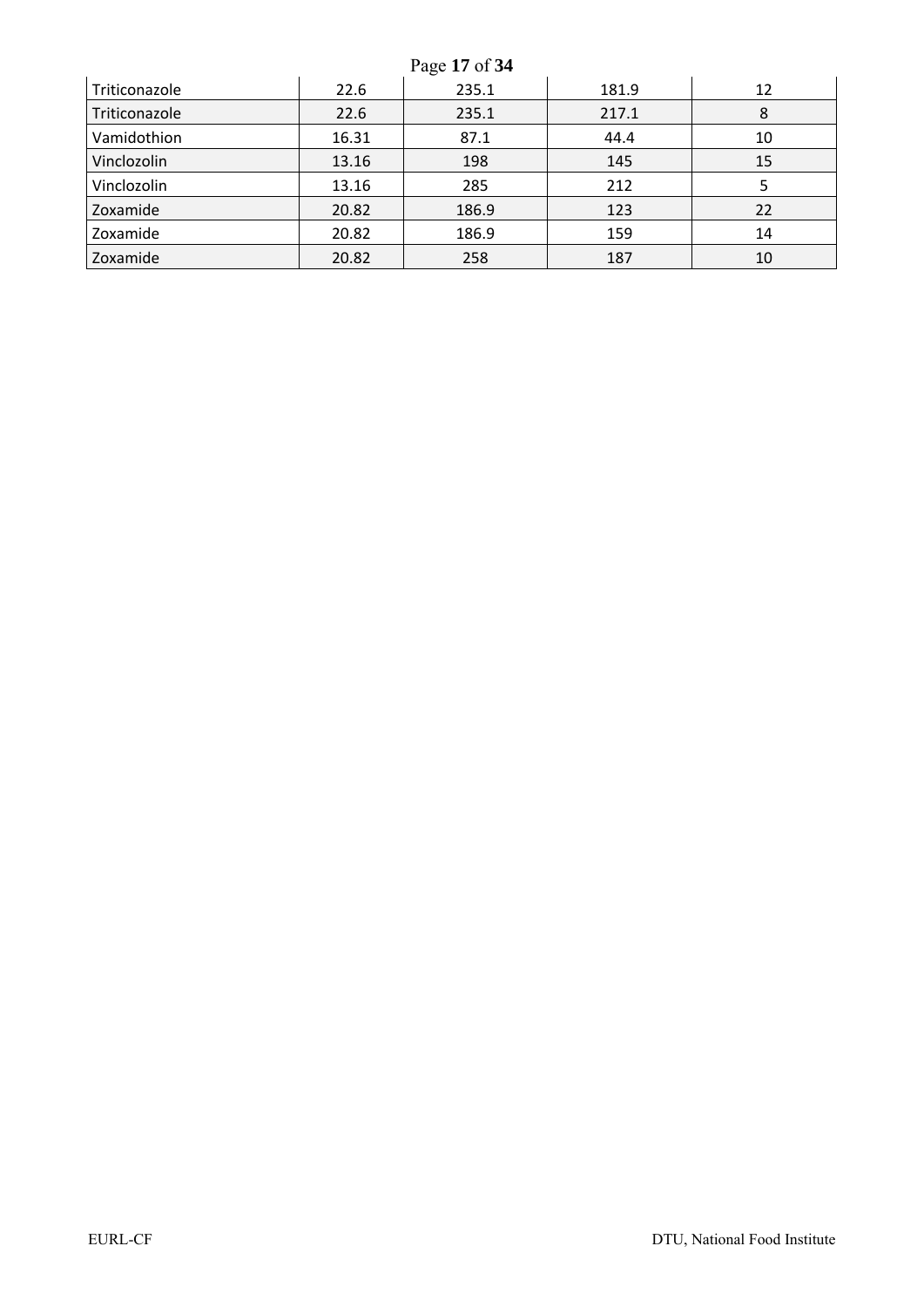|               |       | Page 17 of 34 |       |    |
|---------------|-------|---------------|-------|----|
| Triticonazole | 22.6  | 235.1         | 181.9 | 12 |
| Triticonazole | 22.6  | 235.1         | 217.1 | 8  |
| Vamidothion   | 16.31 | 87.1          | 44.4  | 10 |
| Vinclozolin   | 13.16 | 198           | 145   | 15 |
| Vinclozolin   | 13.16 | 285           | 212   |    |
| Zoxamide      | 20.82 | 186.9         | 123   | 22 |
| Zoxamide      | 20.82 | 186.9         | 159   | 14 |
| Zoxamide      | 20.82 | 258           | 187   | 10 |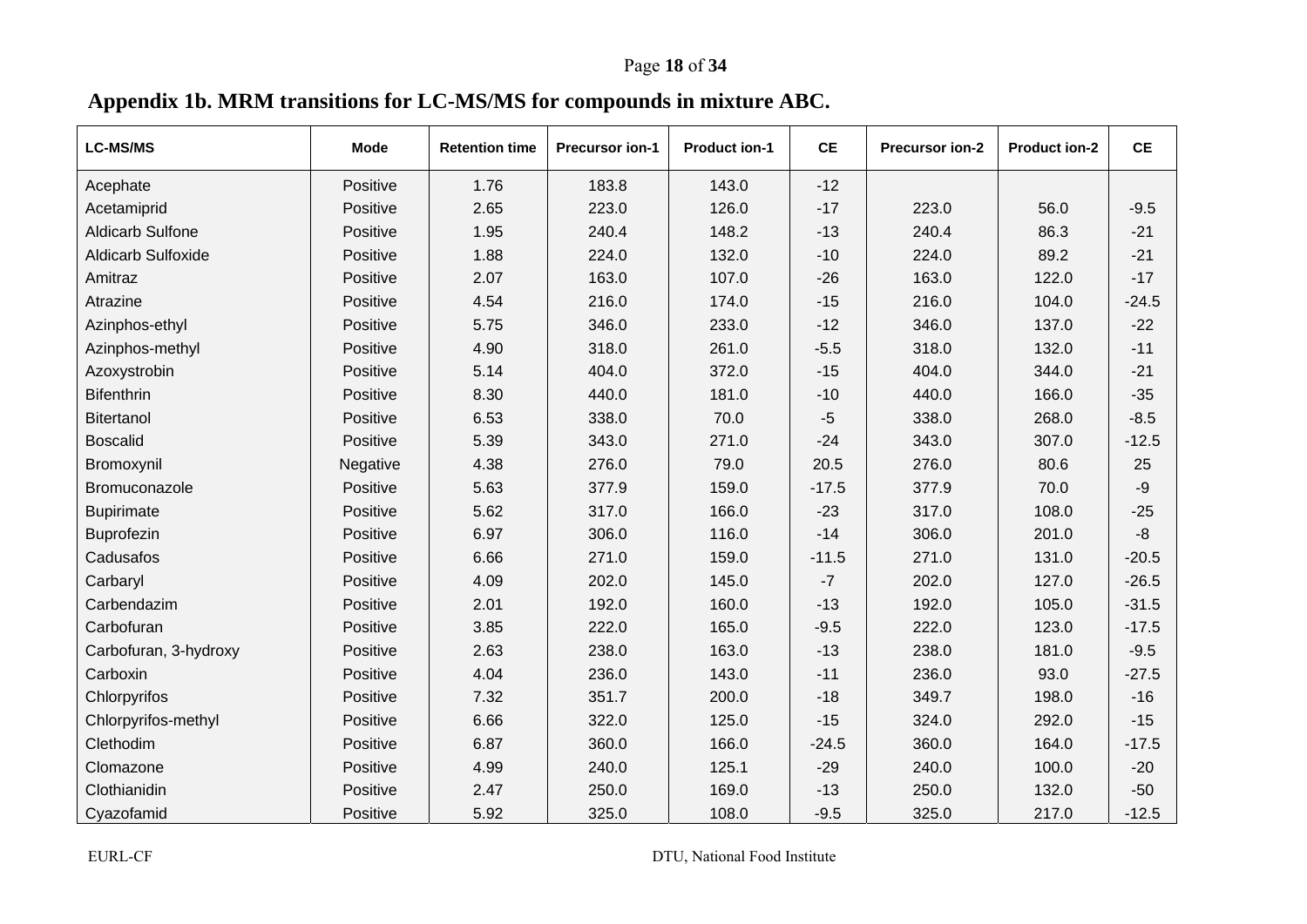# Page **18** of **34**

# **Appendix 1b. MRM transitions for LC-MS/MS for compounds in mixture ABC.**

| <b>LC-MS/MS</b>           | <b>Mode</b> | <b>Retention time</b> | <b>Precursor ion-1</b> | <b>Product ion-1</b> | <b>CE</b> | <b>Precursor ion-2</b> | <b>Product ion-2</b> | CE      |
|---------------------------|-------------|-----------------------|------------------------|----------------------|-----------|------------------------|----------------------|---------|
| Acephate                  | Positive    | 1.76                  | 183.8                  | 143.0                | $-12$     |                        |                      |         |
| Acetamiprid               | Positive    | 2.65                  | 223.0                  | 126.0                | $-17$     | 223.0                  | 56.0                 | $-9.5$  |
| <b>Aldicarb Sulfone</b>   | Positive    | 1.95                  | 240.4                  | 148.2                | $-13$     | 240.4                  | 86.3                 | $-21$   |
| <b>Aldicarb Sulfoxide</b> | Positive    | 1.88                  | 224.0                  | 132.0                | $-10$     | 224.0                  | 89.2                 | $-21$   |
| Amitraz                   | Positive    | 2.07                  | 163.0                  | 107.0                | $-26$     | 163.0                  | 122.0                | $-17$   |
| Atrazine                  | Positive    | 4.54                  | 216.0                  | 174.0                | $-15$     | 216.0                  | 104.0                | $-24.5$ |
| Azinphos-ethyl            | Positive    | 5.75                  | 346.0                  | 233.0                | $-12$     | 346.0                  | 137.0                | $-22$   |
| Azinphos-methyl           | Positive    | 4.90                  | 318.0                  | 261.0                | $-5.5$    | 318.0                  | 132.0                | $-11$   |
| Azoxystrobin              | Positive    | 5.14                  | 404.0                  | 372.0                | $-15$     | 404.0                  | 344.0                | $-21$   |
| <b>Bifenthrin</b>         | Positive    | 8.30                  | 440.0                  | 181.0                | $-10$     | 440.0                  | 166.0                | $-35$   |
| <b>Bitertanol</b>         | Positive    | 6.53                  | 338.0                  | 70.0                 | $-5$      | 338.0                  | 268.0                | $-8.5$  |
| <b>Boscalid</b>           | Positive    | 5.39                  | 343.0                  | 271.0                | $-24$     | 343.0                  | 307.0                | $-12.5$ |
| Bromoxynil                | Negative    | 4.38                  | 276.0                  | 79.0                 | 20.5      | 276.0                  | 80.6                 | 25      |
| Bromuconazole             | Positive    | 5.63                  | 377.9                  | 159.0                | $-17.5$   | 377.9                  | 70.0                 | $-9$    |
| <b>Bupirimate</b>         | Positive    | 5.62                  | 317.0                  | 166.0                | $-23$     | 317.0                  | 108.0                | $-25$   |
| Buprofezin                | Positive    | 6.97                  | 306.0                  | 116.0                | $-14$     | 306.0                  | 201.0                | $-8$    |
| Cadusafos                 | Positive    | 6.66                  | 271.0                  | 159.0                | $-11.5$   | 271.0                  | 131.0                | $-20.5$ |
| Carbaryl                  | Positive    | 4.09                  | 202.0                  | 145.0                | $-7$      | 202.0                  | 127.0                | $-26.5$ |
| Carbendazim               | Positive    | 2.01                  | 192.0                  | 160.0                | $-13$     | 192.0                  | 105.0                | $-31.5$ |
| Carbofuran                | Positive    | 3.85                  | 222.0                  | 165.0                | $-9.5$    | 222.0                  | 123.0                | $-17.5$ |
| Carbofuran, 3-hydroxy     | Positive    | 2.63                  | 238.0                  | 163.0                | $-13$     | 238.0                  | 181.0                | $-9.5$  |
| Carboxin                  | Positive    | 4.04                  | 236.0                  | 143.0                | $-11$     | 236.0                  | 93.0                 | $-27.5$ |
| Chlorpyrifos              | Positive    | 7.32                  | 351.7                  | 200.0                | $-18$     | 349.7                  | 198.0                | $-16$   |
| Chlorpyrifos-methyl       | Positive    | 6.66                  | 322.0                  | 125.0                | $-15$     | 324.0                  | 292.0                | $-15$   |
| Clethodim                 | Positive    | 6.87                  | 360.0                  | 166.0                | $-24.5$   | 360.0                  | 164.0                | $-17.5$ |
| Clomazone                 | Positive    | 4.99                  | 240.0                  | 125.1                | $-29$     | 240.0                  | 100.0                | $-20$   |
| Clothianidin              | Positive    | 2.47                  | 250.0                  | 169.0                | $-13$     | 250.0                  | 132.0                | $-50$   |
| Cyazofamid                | Positive    | 5.92                  | 325.0                  | 108.0                | $-9.5$    | 325.0                  | 217.0                | $-12.5$ |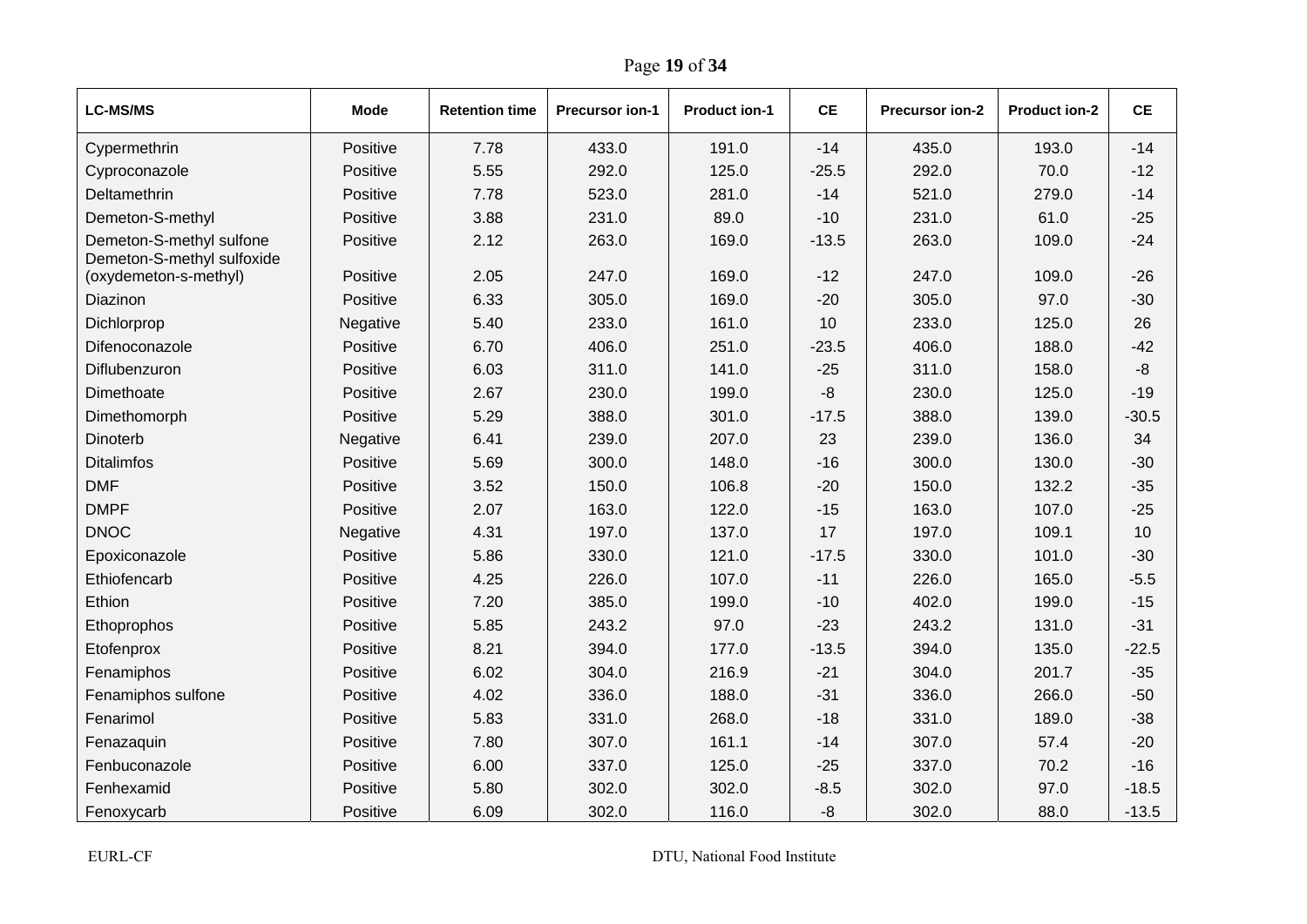| <b>LC-MS/MS</b>                                        | Mode     | <b>Retention time</b> | <b>Precursor ion-1</b> | <b>Product ion-1</b> | <b>CE</b> | Precursor ion-2 | <b>Product ion-2</b> | <b>CE</b> |
|--------------------------------------------------------|----------|-----------------------|------------------------|----------------------|-----------|-----------------|----------------------|-----------|
| Cypermethrin                                           | Positive | 7.78                  | 433.0                  | 191.0                | $-14$     | 435.0           | 193.0                | $-14$     |
| Cyproconazole                                          | Positive | 5.55                  | 292.0                  | 125.0                | $-25.5$   | 292.0           | 70.0                 | $-12$     |
| Deltamethrin                                           | Positive | 7.78                  | 523.0                  | 281.0                | $-14$     | 521.0           | 279.0                | $-14$     |
| Demeton-S-methyl                                       | Positive | 3.88                  | 231.0                  | 89.0                 | $-10$     | 231.0           | 61.0                 | $-25$     |
| Demeton-S-methyl sulfone<br>Demeton-S-methyl sulfoxide | Positive | 2.12                  | 263.0                  | 169.0                | $-13.5$   | 263.0           | 109.0                | $-24$     |
| (oxydemeton-s-methyl)                                  | Positive | 2.05                  | 247.0                  | 169.0                | $-12$     | 247.0           | 109.0                | $-26$     |
| Diazinon                                               | Positive | 6.33                  | 305.0                  | 169.0                | $-20$     | 305.0           | 97.0                 | $-30$     |
| Dichlorprop                                            | Negative | 5.40                  | 233.0                  | 161.0                | 10        | 233.0           | 125.0                | 26        |
| Difenoconazole                                         | Positive | 6.70                  | 406.0                  | 251.0                | $-23.5$   | 406.0           | 188.0                | $-42$     |
| Diflubenzuron                                          | Positive | 6.03                  | 311.0                  | 141.0                | $-25$     | 311.0           | 158.0                | -8        |
| Dimethoate                                             | Positive | 2.67                  | 230.0                  | 199.0                | -8        | 230.0           | 125.0                | $-19$     |
| Dimethomorph                                           | Positive | 5.29                  | 388.0                  | 301.0                | $-17.5$   | 388.0           | 139.0                | $-30.5$   |
| Dinoterb                                               | Negative | 6.41                  | 239.0                  | 207.0                | 23        | 239.0           | 136.0                | 34        |
| <b>Ditalimfos</b>                                      | Positive | 5.69                  | 300.0                  | 148.0                | $-16$     | 300.0           | 130.0                | $-30$     |
| <b>DMF</b>                                             | Positive | 3.52                  | 150.0                  | 106.8                | $-20$     | 150.0           | 132.2                | $-35$     |
| <b>DMPF</b>                                            | Positive | 2.07                  | 163.0                  | 122.0                | $-15$     | 163.0           | 107.0                | $-25$     |
| <b>DNOC</b>                                            | Negative | 4.31                  | 197.0                  | 137.0                | 17        | 197.0           | 109.1                | 10        |
| Epoxiconazole                                          | Positive | 5.86                  | 330.0                  | 121.0                | $-17.5$   | 330.0           | 101.0                | $-30$     |
| Ethiofencarb                                           | Positive | 4.25                  | 226.0                  | 107.0                | $-11$     | 226.0           | 165.0                | $-5.5$    |
| Ethion                                                 | Positive | 7.20                  | 385.0                  | 199.0                | $-10$     | 402.0           | 199.0                | $-15$     |
| Ethoprophos                                            | Positive | 5.85                  | 243.2                  | 97.0                 | $-23$     | 243.2           | 131.0                | $-31$     |
| Etofenprox                                             | Positive | 8.21                  | 394.0                  | 177.0                | $-13.5$   | 394.0           | 135.0                | $-22.5$   |
| Fenamiphos                                             | Positive | 6.02                  | 304.0                  | 216.9                | $-21$     | 304.0           | 201.7                | $-35$     |
| Fenamiphos sulfone                                     | Positive | 4.02                  | 336.0                  | 188.0                | $-31$     | 336.0           | 266.0                | $-50$     |
| Fenarimol                                              | Positive | 5.83                  | 331.0                  | 268.0                | $-18$     | 331.0           | 189.0                | $-38$     |
| Fenazaquin                                             | Positive | 7.80                  | 307.0                  | 161.1                | $-14$     | 307.0           | 57.4                 | $-20$     |
| Fenbuconazole                                          | Positive | 6.00                  | 337.0                  | 125.0                | $-25$     | 337.0           | 70.2                 | $-16$     |
| Fenhexamid                                             | Positive | 5.80                  | 302.0                  | 302.0                | $-8.5$    | 302.0           | 97.0                 | $-18.5$   |
| Fenoxycarb                                             | Positive | 6.09                  | 302.0                  | 116.0                | $-8$      | 302.0           | 88.0                 | $-13.5$   |

Page **19** of **34**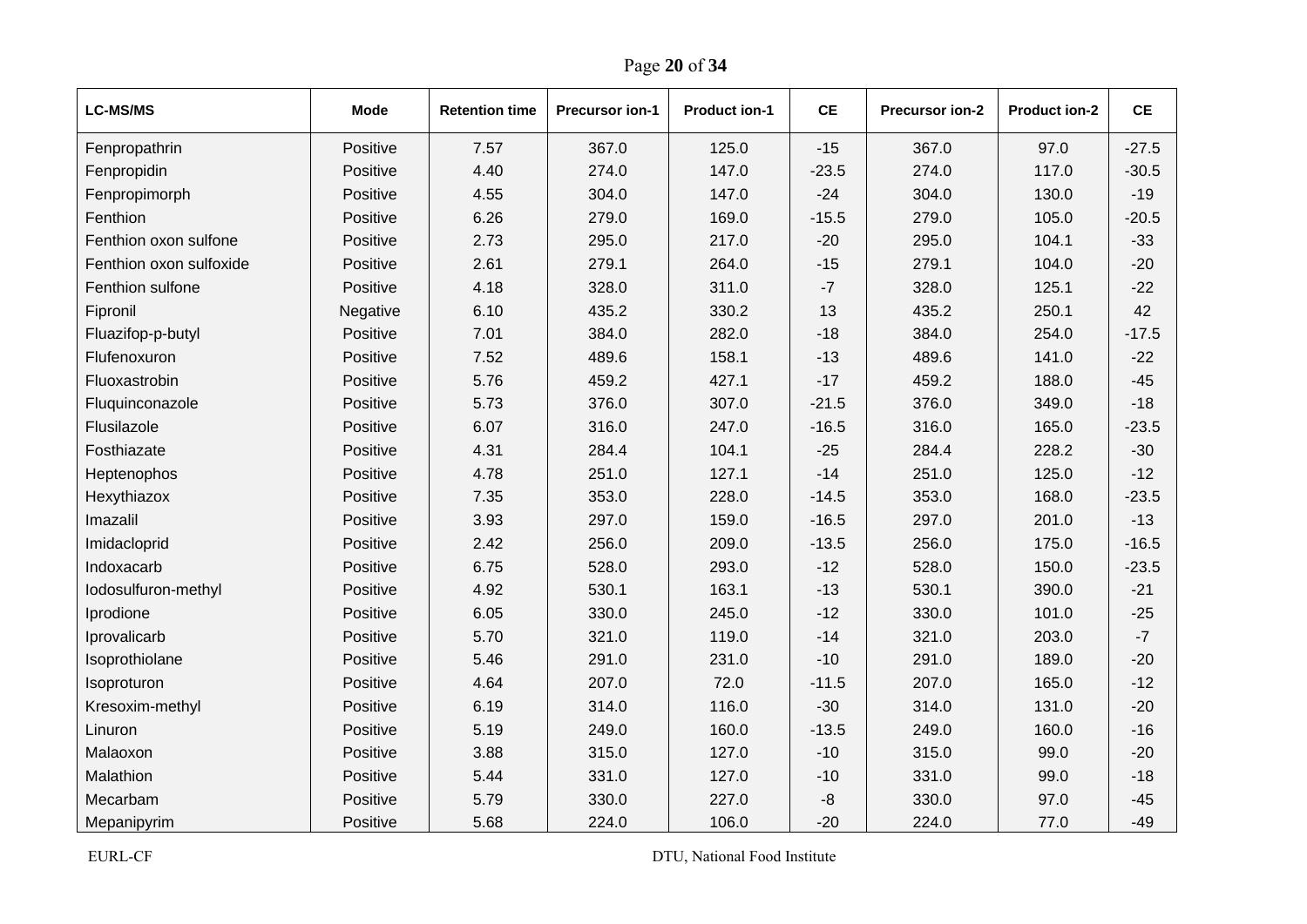| <b>LC-MS/MS</b>         | <b>Mode</b> | <b>Retention time</b> | <b>Precursor ion-1</b> | <b>Product ion-1</b> | <b>CE</b> | Precursor ion-2 | <b>Product ion-2</b> | <b>CE</b> |
|-------------------------|-------------|-----------------------|------------------------|----------------------|-----------|-----------------|----------------------|-----------|
| Fenpropathrin           | Positive    | 7.57                  | 367.0                  | 125.0                | $-15$     | 367.0           | 97.0                 | $-27.5$   |
| Fenpropidin             | Positive    | 4.40                  | 274.0                  | 147.0                | $-23.5$   | 274.0           | 117.0                | $-30.5$   |
| Fenpropimorph           | Positive    | 4.55                  | 304.0                  | 147.0                | $-24$     | 304.0           | 130.0                | $-19$     |
| Fenthion                | Positive    | 6.26                  | 279.0                  | 169.0                | $-15.5$   | 279.0           | 105.0                | $-20.5$   |
| Fenthion oxon sulfone   | Positive    | 2.73                  | 295.0                  | 217.0                | $-20$     | 295.0           | 104.1                | $-33$     |
| Fenthion oxon sulfoxide | Positive    | 2.61                  | 279.1                  | 264.0                | $-15$     | 279.1           | 104.0                | $-20$     |
| Fenthion sulfone        | Positive    | 4.18                  | 328.0                  | 311.0                | $-7$      | 328.0           | 125.1                | $-22$     |
| Fipronil                | Negative    | 6.10                  | 435.2                  | 330.2                | 13        | 435.2           | 250.1                | 42        |
| Fluazifop-p-butyl       | Positive    | 7.01                  | 384.0                  | 282.0                | $-18$     | 384.0           | 254.0                | $-17.5$   |
| Flufenoxuron            | Positive    | 7.52                  | 489.6                  | 158.1                | $-13$     | 489.6           | 141.0                | $-22$     |
| Fluoxastrobin           | Positive    | 5.76                  | 459.2                  | 427.1                | $-17$     | 459.2           | 188.0                | $-45$     |
| Fluquinconazole         | Positive    | 5.73                  | 376.0                  | 307.0                | $-21.5$   | 376.0           | 349.0                | $-18$     |
| Flusilazole             | Positive    | 6.07                  | 316.0                  | 247.0                | $-16.5$   | 316.0           | 165.0                | $-23.5$   |
| Fosthiazate             | Positive    | 4.31                  | 284.4                  | 104.1                | $-25$     | 284.4           | 228.2                | $-30$     |
| Heptenophos             | Positive    | 4.78                  | 251.0                  | 127.1                | $-14$     | 251.0           | 125.0                | $-12$     |
| Hexythiazox             | Positive    | 7.35                  | 353.0                  | 228.0                | $-14.5$   | 353.0           | 168.0                | $-23.5$   |
| Imazalil                | Positive    | 3.93                  | 297.0                  | 159.0                | $-16.5$   | 297.0           | 201.0                | $-13$     |
| Imidacloprid            | Positive    | 2.42                  | 256.0                  | 209.0                | $-13.5$   | 256.0           | 175.0                | $-16.5$   |
| Indoxacarb              | Positive    | 6.75                  | 528.0                  | 293.0                | $-12$     | 528.0           | 150.0                | $-23.5$   |
| lodosulfuron-methyl     | Positive    | 4.92                  | 530.1                  | 163.1                | $-13$     | 530.1           | 390.0                | $-21$     |
| Iprodione               | Positive    | 6.05                  | 330.0                  | 245.0                | $-12$     | 330.0           | 101.0                | $-25$     |
| Iprovalicarb            | Positive    | 5.70                  | 321.0                  | 119.0                | $-14$     | 321.0           | 203.0                | $-7$      |
| Isoprothiolane          | Positive    | 5.46                  | 291.0                  | 231.0                | $-10$     | 291.0           | 189.0                | $-20$     |
| Isoproturon             | Positive    | 4.64                  | 207.0                  | 72.0                 | $-11.5$   | 207.0           | 165.0                | $-12$     |
| Kresoxim-methyl         | Positive    | 6.19                  | 314.0                  | 116.0                | $-30$     | 314.0           | 131.0                | $-20$     |
| Linuron                 | Positive    | 5.19                  | 249.0                  | 160.0                | $-13.5$   | 249.0           | 160.0                | $-16$     |
| Malaoxon                | Positive    | 3.88                  | 315.0                  | 127.0                | $-10$     | 315.0           | 99.0                 | $-20$     |
| Malathion               | Positive    | 5.44                  | 331.0                  | 127.0                | $-10$     | 331.0           | 99.0                 | $-18$     |
| Mecarbam                | Positive    | 5.79                  | 330.0                  | 227.0                | $-8$      | 330.0           | 97.0                 | $-45$     |
| Mepanipyrim             | Positive    | 5.68                  | 224.0                  | 106.0                | $-20$     | 224.0           | 77.0                 | $-49$     |

Page **20** of **34**

EURL-CF DTU, National Food Institute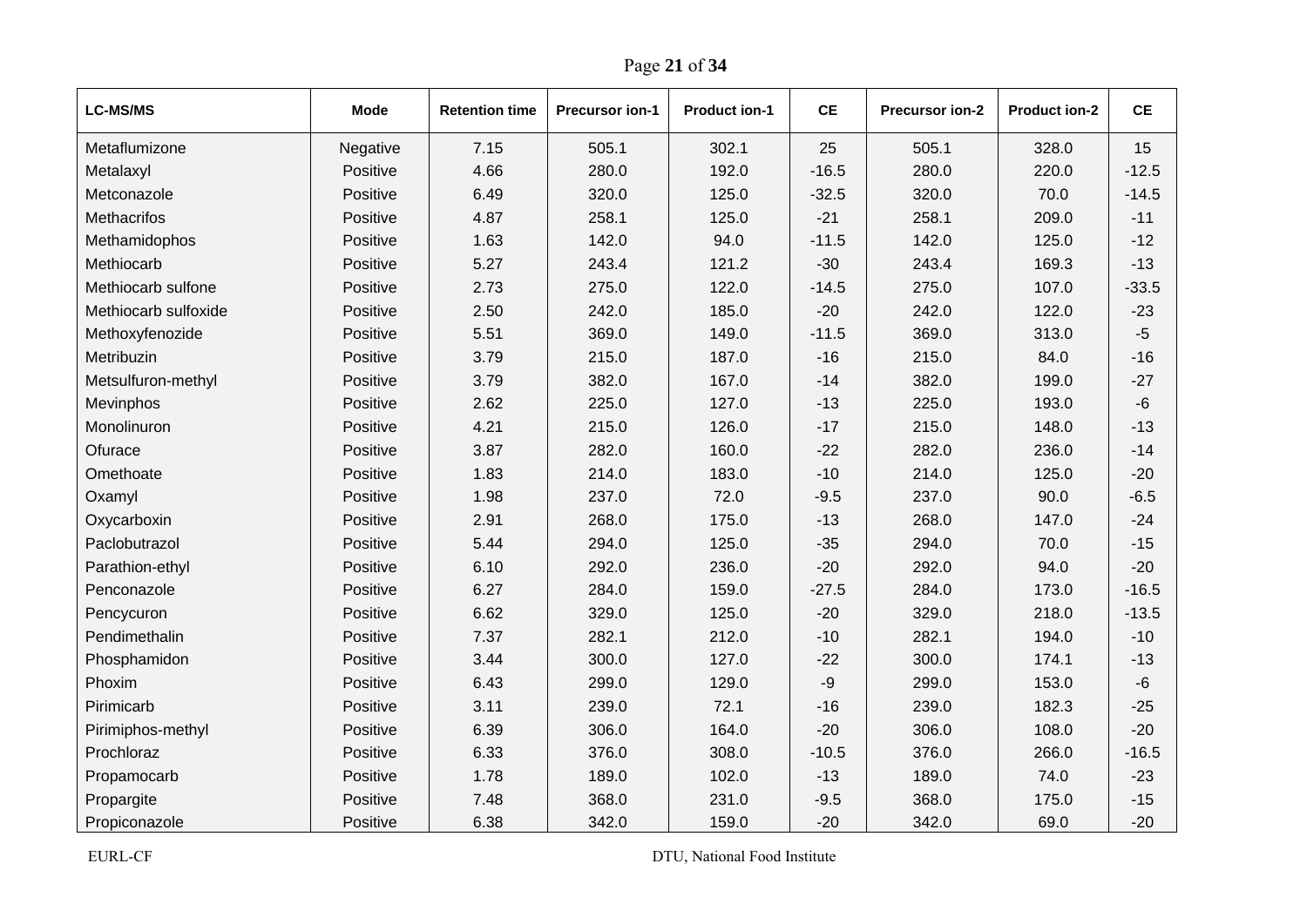| <b>LC-MS/MS</b>      | <b>Mode</b> | <b>Retention time</b> | <b>Precursor ion-1</b> | <b>Product ion-1</b> | <b>CE</b> | <b>Precursor ion-2</b> | <b>Product ion-2</b> | <b>CE</b> |
|----------------------|-------------|-----------------------|------------------------|----------------------|-----------|------------------------|----------------------|-----------|
| Metaflumizone        | Negative    | 7.15                  | 505.1                  | 302.1                | 25        | 505.1                  | 328.0                | 15        |
| Metalaxyl            | Positive    | 4.66                  | 280.0                  | 192.0                | $-16.5$   | 280.0                  | 220.0                | $-12.5$   |
| Metconazole          | Positive    | 6.49                  | 320.0                  | 125.0                | $-32.5$   | 320.0                  | 70.0                 | $-14.5$   |
| <b>Methacrifos</b>   | Positive    | 4.87                  | 258.1                  | 125.0                | $-21$     | 258.1                  | 209.0                | $-11$     |
| Methamidophos        | Positive    | 1.63                  | 142.0                  | 94.0                 | $-11.5$   | 142.0                  | 125.0                | $-12$     |
| Methiocarb           | Positive    | 5.27                  | 243.4                  | 121.2                | $-30$     | 243.4                  | 169.3                | $-13$     |
| Methiocarb sulfone   | Positive    | 2.73                  | 275.0                  | 122.0                | $-14.5$   | 275.0                  | 107.0                | $-33.5$   |
| Methiocarb sulfoxide | Positive    | 2.50                  | 242.0                  | 185.0                | $-20$     | 242.0                  | 122.0                | $-23$     |
| Methoxyfenozide      | Positive    | 5.51                  | 369.0                  | 149.0                | $-11.5$   | 369.0                  | 313.0                | $-5$      |
| Metribuzin           | Positive    | 3.79                  | 215.0                  | 187.0                | $-16$     | 215.0                  | 84.0                 | $-16$     |
| Metsulfuron-methyl   | Positive    | 3.79                  | 382.0                  | 167.0                | $-14$     | 382.0                  | 199.0                | $-27$     |
| Mevinphos            | Positive    | 2.62                  | 225.0                  | 127.0                | $-13$     | 225.0                  | 193.0                | $-6$      |
| Monolinuron          | Positive    | 4.21                  | 215.0                  | 126.0                | $-17$     | 215.0                  | 148.0                | $-13$     |
| Ofurace              | Positive    | 3.87                  | 282.0                  | 160.0                | $-22$     | 282.0                  | 236.0                | $-14$     |
| Omethoate            | Positive    | 1.83                  | 214.0                  | 183.0                | $-10$     | 214.0                  | 125.0                | $-20$     |
| Oxamyl               | Positive    | 1.98                  | 237.0                  | 72.0                 | $-9.5$    | 237.0                  | 90.0                 | $-6.5$    |
| Oxycarboxin          | Positive    | 2.91                  | 268.0                  | 175.0                | $-13$     | 268.0                  | 147.0                | $-24$     |
| Paclobutrazol        | Positive    | 5.44                  | 294.0                  | 125.0                | $-35$     | 294.0                  | 70.0                 | $-15$     |
| Parathion-ethyl      | Positive    | 6.10                  | 292.0                  | 236.0                | $-20$     | 292.0                  | 94.0                 | $-20$     |
| Penconazole          | Positive    | 6.27                  | 284.0                  | 159.0                | $-27.5$   | 284.0                  | 173.0                | $-16.5$   |
| Pencycuron           | Positive    | 6.62                  | 329.0                  | 125.0                | $-20$     | 329.0                  | 218.0                | $-13.5$   |
| Pendimethalin        | Positive    | 7.37                  | 282.1                  | 212.0                | $-10$     | 282.1                  | 194.0                | $-10$     |
| Phosphamidon         | Positive    | 3.44                  | 300.0                  | 127.0                | $-22$     | 300.0                  | 174.1                | $-13$     |
| Phoxim               | Positive    | 6.43                  | 299.0                  | 129.0                | -9        | 299.0                  | 153.0                | $-6$      |
| Pirimicarb           | Positive    | 3.11                  | 239.0                  | 72.1                 | $-16$     | 239.0                  | 182.3                | $-25$     |
| Pirimiphos-methyl    | Positive    | 6.39                  | 306.0                  | 164.0                | $-20$     | 306.0                  | 108.0                | $-20$     |
| Prochloraz           | Positive    | 6.33                  | 376.0                  | 308.0                | $-10.5$   | 376.0                  | 266.0                | $-16.5$   |
| Propamocarb          | Positive    | 1.78                  | 189.0                  | 102.0                | $-13$     | 189.0                  | 74.0                 | $-23$     |
| Propargite           | Positive    | 7.48                  | 368.0                  | 231.0                | $-9.5$    | 368.0                  | 175.0                | $-15$     |
| Propiconazole        | Positive    | 6.38                  | 342.0                  | 159.0                | $-20$     | 342.0                  | 69.0                 | $-20$     |

Page **21** of **34**

EURL-CF DTU, National Food Institute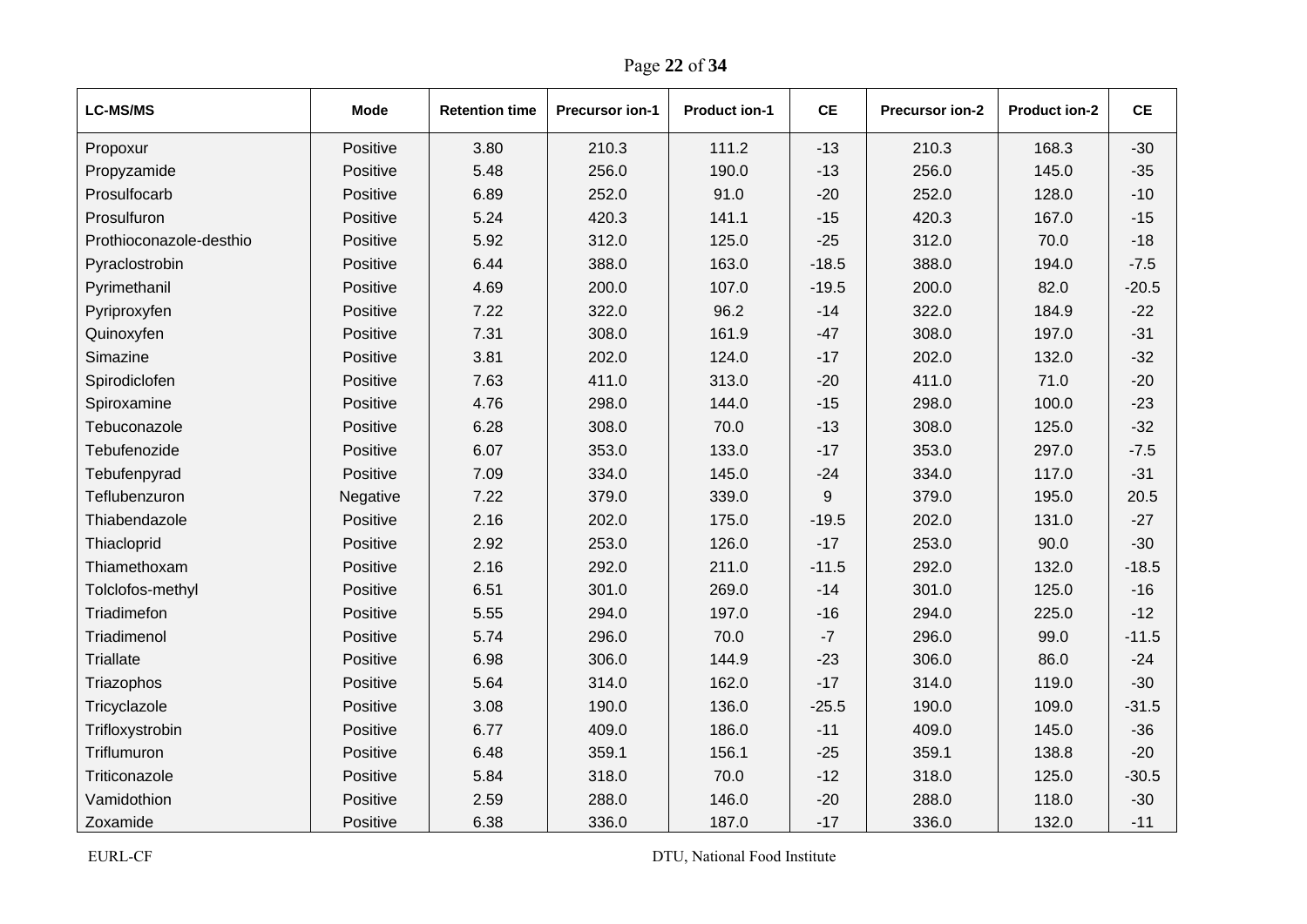| <b>LC-MS/MS</b>         | <b>Mode</b> | <b>Retention time</b> | <b>Precursor ion-1</b> | <b>Product ion-1</b> | <b>CE</b> | Precursor ion-2 | Product ion-2 | <b>CE</b> |
|-------------------------|-------------|-----------------------|------------------------|----------------------|-----------|-----------------|---------------|-----------|
| Propoxur                | Positive    | 3.80                  | 210.3                  | 111.2                | $-13$     | 210.3           | 168.3         | $-30$     |
| Propyzamide             | Positive    | 5.48                  | 256.0                  | 190.0                | $-13$     | 256.0           | 145.0         | $-35$     |
| Prosulfocarb            | Positive    | 6.89                  | 252.0                  | 91.0                 | $-20$     | 252.0           | 128.0         | $-10$     |
| Prosulfuron             | Positive    | 5.24                  | 420.3                  | 141.1                | $-15$     | 420.3           | 167.0         | $-15$     |
| Prothioconazole-desthio | Positive    | 5.92                  | 312.0                  | 125.0                | $-25$     | 312.0           | 70.0          | $-18$     |
| Pyraclostrobin          | Positive    | 6.44                  | 388.0                  | 163.0                | $-18.5$   | 388.0           | 194.0         | $-7.5$    |
| Pyrimethanil            | Positive    | 4.69                  | 200.0                  | 107.0                | $-19.5$   | 200.0           | 82.0          | $-20.5$   |
| Pyriproxyfen            | Positive    | 7.22                  | 322.0                  | 96.2                 | $-14$     | 322.0           | 184.9         | $-22$     |
| Quinoxyfen              | Positive    | 7.31                  | 308.0                  | 161.9                | $-47$     | 308.0           | 197.0         | $-31$     |
| Simazine                | Positive    | 3.81                  | 202.0                  | 124.0                | $-17$     | 202.0           | 132.0         | $-32$     |
| Spirodiclofen           | Positive    | 7.63                  | 411.0                  | 313.0                | $-20$     | 411.0           | 71.0          | $-20$     |
| Spiroxamine             | Positive    | 4.76                  | 298.0                  | 144.0                | $-15$     | 298.0           | 100.0         | $-23$     |
| Tebuconazole            | Positive    | 6.28                  | 308.0                  | 70.0                 | $-13$     | 308.0           | 125.0         | $-32$     |
| Tebufenozide            | Positive    | 6.07                  | 353.0                  | 133.0                | $-17$     | 353.0           | 297.0         | $-7.5$    |
| Tebufenpyrad            | Positive    | 7.09                  | 334.0                  | 145.0                | $-24$     | 334.0           | 117.0         | $-31$     |
| Teflubenzuron           | Negative    | 7.22                  | 379.0                  | 339.0                | 9         | 379.0           | 195.0         | 20.5      |
| Thiabendazole           | Positive    | 2.16                  | 202.0                  | 175.0                | $-19.5$   | 202.0           | 131.0         | $-27$     |
| Thiacloprid             | Positive    | 2.92                  | 253.0                  | 126.0                | $-17$     | 253.0           | 90.0          | $-30$     |
| Thiamethoxam            | Positive    | 2.16                  | 292.0                  | 211.0                | $-11.5$   | 292.0           | 132.0         | $-18.5$   |
| Tolclofos-methyl        | Positive    | 6.51                  | 301.0                  | 269.0                | $-14$     | 301.0           | 125.0         | $-16$     |
| Triadimefon             | Positive    | 5.55                  | 294.0                  | 197.0                | $-16$     | 294.0           | 225.0         | $-12$     |
| Triadimenol             | Positive    | 5.74                  | 296.0                  | 70.0                 | $-7$      | 296.0           | 99.0          | $-11.5$   |
| <b>Triallate</b>        | Positive    | 6.98                  | 306.0                  | 144.9                | $-23$     | 306.0           | 86.0          | $-24$     |
| Triazophos              | Positive    | 5.64                  | 314.0                  | 162.0                | $-17$     | 314.0           | 119.0         | $-30$     |
| Tricyclazole            | Positive    | 3.08                  | 190.0                  | 136.0                | $-25.5$   | 190.0           | 109.0         | $-31.5$   |
| Trifloxystrobin         | Positive    | 6.77                  | 409.0                  | 186.0                | $-11$     | 409.0           | 145.0         | $-36$     |
| Triflumuron             | Positive    | 6.48                  | 359.1                  | 156.1                | $-25$     | 359.1           | 138.8         | $-20$     |
| Triticonazole           | Positive    | 5.84                  | 318.0                  | 70.0                 | $-12$     | 318.0           | 125.0         | $-30.5$   |
| Vamidothion             | Positive    | 2.59                  | 288.0                  | 146.0                | $-20$     | 288.0           | 118.0         | $-30$     |
| Zoxamide                | Positive    | 6.38                  | 3360                   | 187 <sub>0</sub>     | $-17$     | 3360            | 1320          | $-11$     |

Page **22** of **34**

EURL-CF DTU, National Food Institute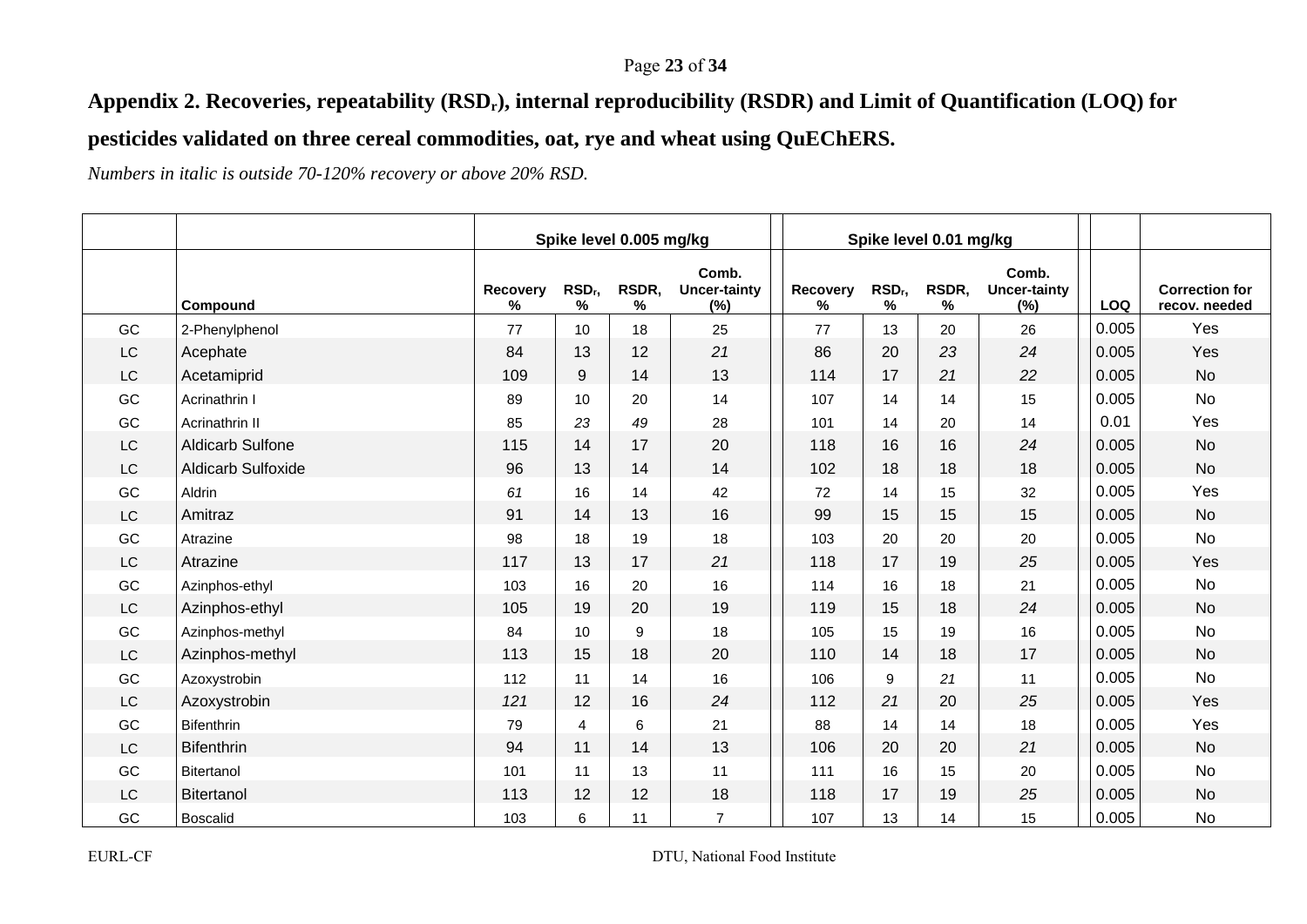#### Page **23** of **34**

# **Appendix 2. Recoveries, repeatability (RSDr), internal reproducibility (RSDR) and Limit of Quantification (LOQ) for**

# **pesticides validated on three cereal commodities, oat, rye and wheat using QuEChERS.**

*Numbers in italic is outside 70-120% recovery or above 20% RSD.* 

|           |                           |               |                         | Spike level 0.005 mg/kg |                                     |               |                       | Spike level 0.01 mg/kg |                                     |       |                                        |
|-----------|---------------------------|---------------|-------------------------|-------------------------|-------------------------------------|---------------|-----------------------|------------------------|-------------------------------------|-------|----------------------------------------|
|           | Compound                  | Recovery<br>℅ | RSD <sub>r</sub> ,<br>% | RSDR,<br>%              | Comb.<br><b>Uncer-tainty</b><br>(%) | Recovery<br>% | RSD <sub>r</sub><br>% | RSDR,<br>%             | Comb.<br><b>Uncer-tainty</b><br>(%) | LOQ   | <b>Correction for</b><br>recov. needed |
| GC        | 2-Phenylphenol            | 77            | 10                      | 18                      | 25                                  | 77            | 13                    | 20                     | 26                                  | 0.005 | Yes                                    |
| <b>LC</b> | Acephate                  | 84            | 13                      | 12                      | 21                                  | 86            | 20                    | 23                     | 24                                  | 0.005 | Yes                                    |
| LC        | Acetamiprid               | 109           | 9                       | 14                      | 13                                  | 114           | 17                    | 21                     | 22                                  | 0.005 | <b>No</b>                              |
| GC        | Acrinathrin I             | 89            | 10                      | 20                      | 14                                  | 107           | 14                    | 14                     | 15                                  | 0.005 | <b>No</b>                              |
| GC        | Acrinathrin II            | 85            | 23                      | 49                      | 28                                  | 101           | 14                    | 20                     | 14                                  | 0.01  | Yes                                    |
| LC        | <b>Aldicarb Sulfone</b>   | 115           | 14                      | 17                      | 20                                  | 118           | 16                    | 16                     | 24                                  | 0.005 | <b>No</b>                              |
| <b>LC</b> | <b>Aldicarb Sulfoxide</b> | 96            | 13                      | 14                      | 14                                  | 102           | 18                    | 18                     | 18                                  | 0.005 | <b>No</b>                              |
| GC        | Aldrin                    | 61            | 16                      | 14                      | 42                                  | 72            | 14                    | 15                     | 32                                  | 0.005 | Yes                                    |
| LC        | Amitraz                   | 91            | 14                      | 13                      | 16                                  | 99            | 15                    | 15                     | 15                                  | 0.005 | <b>No</b>                              |
| GC        | Atrazine                  | 98            | 18                      | 19                      | 18                                  | 103           | 20                    | 20                     | 20                                  | 0.005 | <b>No</b>                              |
| LC        | Atrazine                  | 117           | 13                      | 17                      | 21                                  | 118           | 17                    | 19                     | 25                                  | 0.005 | Yes                                    |
| GC        | Azinphos-ethyl            | 103           | 16                      | 20                      | 16                                  | 114           | 16                    | 18                     | 21                                  | 0.005 | <b>No</b>                              |
| <b>LC</b> | Azinphos-ethyl            | 105           | 19                      | 20                      | 19                                  | 119           | 15                    | 18                     | 24                                  | 0.005 | <b>No</b>                              |
| GC        | Azinphos-methyl           | 84            | 10                      | 9                       | 18                                  | 105           | 15                    | 19                     | 16                                  | 0.005 | <b>No</b>                              |
| LC        | Azinphos-methyl           | 113           | 15                      | 18                      | 20                                  | 110           | 14                    | 18                     | 17                                  | 0.005 | <b>No</b>                              |
| GC        | Azoxystrobin              | 112           | 11                      | 14                      | 16                                  | 106           | 9                     | 21                     | 11                                  | 0.005 | <b>No</b>                              |
| LC        | Azoxystrobin              | 121           | 12                      | 16                      | 24                                  | 112           | 21                    | 20                     | 25                                  | 0.005 | Yes                                    |
| GC        | <b>Bifenthrin</b>         | 79            | 4                       | 6                       | 21                                  | 88            | 14                    | 14                     | 18                                  | 0.005 | Yes                                    |
| LC        | <b>Bifenthrin</b>         | 94            | 11                      | 14                      | 13                                  | 106           | 20                    | 20                     | 21                                  | 0.005 | <b>No</b>                              |
| GC        | <b>Bitertanol</b>         | 101           | 11                      | 13                      | 11                                  | 111           | 16                    | 15                     | 20                                  | 0.005 | No                                     |
| LC        | <b>Bitertanol</b>         | 113           | 12                      | 12                      | 18                                  | 118           | 17                    | 19                     | 25                                  | 0.005 | <b>No</b>                              |
| GC        | <b>Boscalid</b>           | 103           | 6                       | 11                      | $\overline{7}$                      | 107           | 13                    | 14                     | 15                                  | 0.005 | No                                     |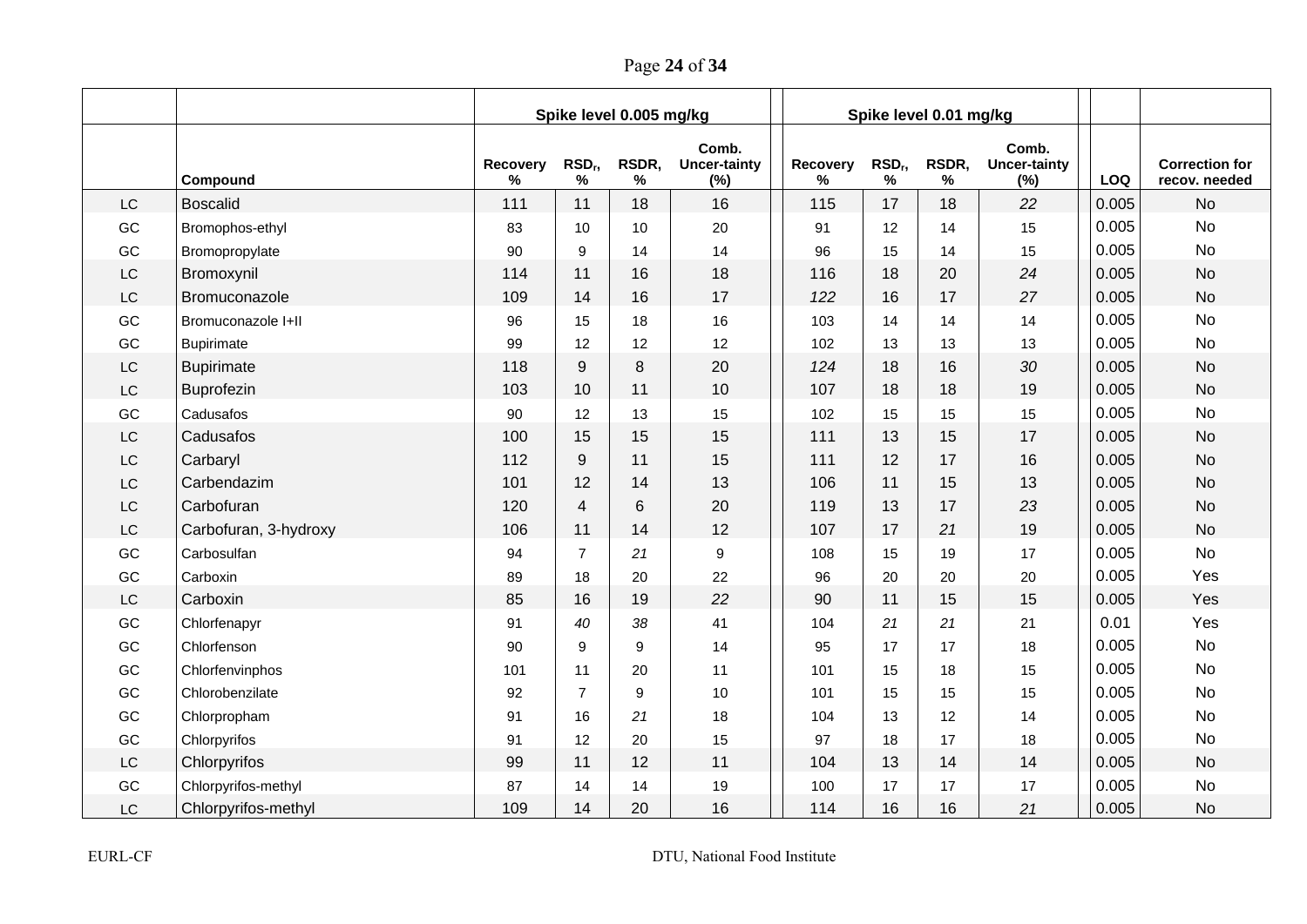Page **24** of **34**

|                        |                       |               |                            | Spike level 0.005 mg/kg |                                     |               |                            | Spike level 0.01 mg/kg |                                     |            |                                        |
|------------------------|-----------------------|---------------|----------------------------|-------------------------|-------------------------------------|---------------|----------------------------|------------------------|-------------------------------------|------------|----------------------------------------|
|                        | Compound              | Recovery<br>% | RSD <sub>r</sub> ,<br>$\%$ | RSDR,<br>$\%$           | Comb.<br><b>Uncer-tainty</b><br>(%) | Recovery<br>℅ | RSD <sub>r</sub> ,<br>$\%$ | RSDR,<br>%             | Comb.<br><b>Uncer-tainty</b><br>(%) | <b>LOQ</b> | <b>Correction for</b><br>recov. needed |
| LC                     | <b>Boscalid</b>       | 111           | 11                         | 18                      | 16                                  | 115           | 17                         | 18                     | 22                                  | 0.005      | <b>No</b>                              |
| GC                     | Bromophos-ethyl       | 83            | 10                         | 10                      | 20                                  | 91            | 12                         | 14                     | 15                                  | 0.005      | <b>No</b>                              |
| GC                     | Bromopropylate        | 90            | 9                          | 14                      | 14                                  | 96            | 15                         | 14                     | 15                                  | 0.005      | <b>No</b>                              |
| $\mathsf{L}\mathsf{C}$ | Bromoxynil            | 114           | 11                         | 16                      | 18                                  | 116           | 18                         | 20                     | 24                                  | 0.005      | <b>No</b>                              |
| LC                     | Bromuconazole         | 109           | 14                         | 16                      | 17                                  | 122           | 16                         | 17                     | 27                                  | 0.005      | <b>No</b>                              |
| GC                     | Bromuconazole I+II    | 96            | 15                         | 18                      | 16                                  | 103           | 14                         | 14                     | 14                                  | 0.005      | <b>No</b>                              |
| GC                     | <b>Bupirimate</b>     | 99            | 12                         | 12                      | 12                                  | 102           | 13                         | 13                     | 13                                  | 0.005      | No                                     |
| LC                     | <b>Bupirimate</b>     | 118           | 9                          | 8                       | 20                                  | 124           | 18                         | 16                     | $30\,$                              | 0.005      | <b>No</b>                              |
| LC                     | Buprofezin            | 103           | 10                         | 11                      | 10                                  | 107           | 18                         | 18                     | 19                                  | 0.005      | <b>No</b>                              |
| GC                     | Cadusafos             | 90            | 12                         | 13                      | 15                                  | 102           | 15                         | 15                     | 15                                  | 0.005      | <b>No</b>                              |
| LC                     | Cadusafos             | 100           | 15                         | 15                      | 15                                  | 111           | 13                         | 15                     | 17                                  | 0.005      | <b>No</b>                              |
| LC                     | Carbaryl              | 112           | 9                          | 11                      | 15                                  | 111           | 12                         | 17                     | 16                                  | 0.005      | <b>No</b>                              |
| LC                     | Carbendazim           | 101           | 12                         | 14                      | 13                                  | 106           | 11                         | 15                     | 13                                  | 0.005      | <b>No</b>                              |
| LC                     | Carbofuran            | 120           | $\overline{4}$             | 6                       | 20                                  | 119           | 13                         | 17                     | 23                                  | 0.005      | <b>No</b>                              |
| LC                     | Carbofuran, 3-hydroxy | 106           | 11                         | 14                      | 12                                  | 107           | 17                         | 21                     | 19                                  | 0.005      | <b>No</b>                              |
| GC                     | Carbosulfan           | 94            | $\overline{7}$             | 21                      | 9                                   | 108           | 15                         | 19                     | 17                                  | 0.005      | <b>No</b>                              |
| GC                     | Carboxin              | 89            | 18                         | 20                      | 22                                  | 96            | 20                         | 20                     | 20                                  | 0.005      | Yes                                    |
| LC                     | Carboxin              | 85            | 16                         | 19                      | 22                                  | 90            | 11                         | 15                     | 15                                  | 0.005      | Yes                                    |
| GC                     | Chlorfenapyr          | 91            | 40                         | 38                      | 41                                  | 104           | 21                         | 21                     | 21                                  | 0.01       | Yes                                    |
| GC                     | Chlorfenson           | 90            | 9                          | 9                       | 14                                  | 95            | 17                         | 17                     | 18                                  | 0.005      | <b>No</b>                              |
| GC                     | Chlorfenvinphos       | 101           | 11                         | 20                      | 11                                  | 101           | 15                         | 18                     | 15                                  | 0.005      | <b>No</b>                              |
| GC                     | Chlorobenzilate       | 92            | $\overline{7}$             | 9                       | 10                                  | 101           | 15                         | 15                     | 15                                  | 0.005      | <b>No</b>                              |
| GC                     | Chlorpropham          | 91            | 16                         | 21                      | 18                                  | 104           | 13                         | 12                     | 14                                  | 0.005      | <b>No</b>                              |
| GC                     | Chlorpyrifos          | 91            | 12                         | 20                      | 15                                  | 97            | 18                         | 17                     | 18                                  | 0.005      | No                                     |
| LC                     | Chlorpyrifos          | 99            | 11                         | 12                      | 11                                  | 104           | 13                         | 14                     | 14                                  | 0.005      | <b>No</b>                              |
| GC                     | Chlorpyrifos-methyl   | 87            | 14                         | 14                      | 19                                  | 100           | 17                         | 17                     | 17                                  | 0.005      | <b>No</b>                              |
| LC                     | Chlorpyrifos-methyl   | 109           | 14                         | 20                      | 16                                  | 114           | 16                         | 16                     | 21                                  | 0.005      | <b>No</b>                              |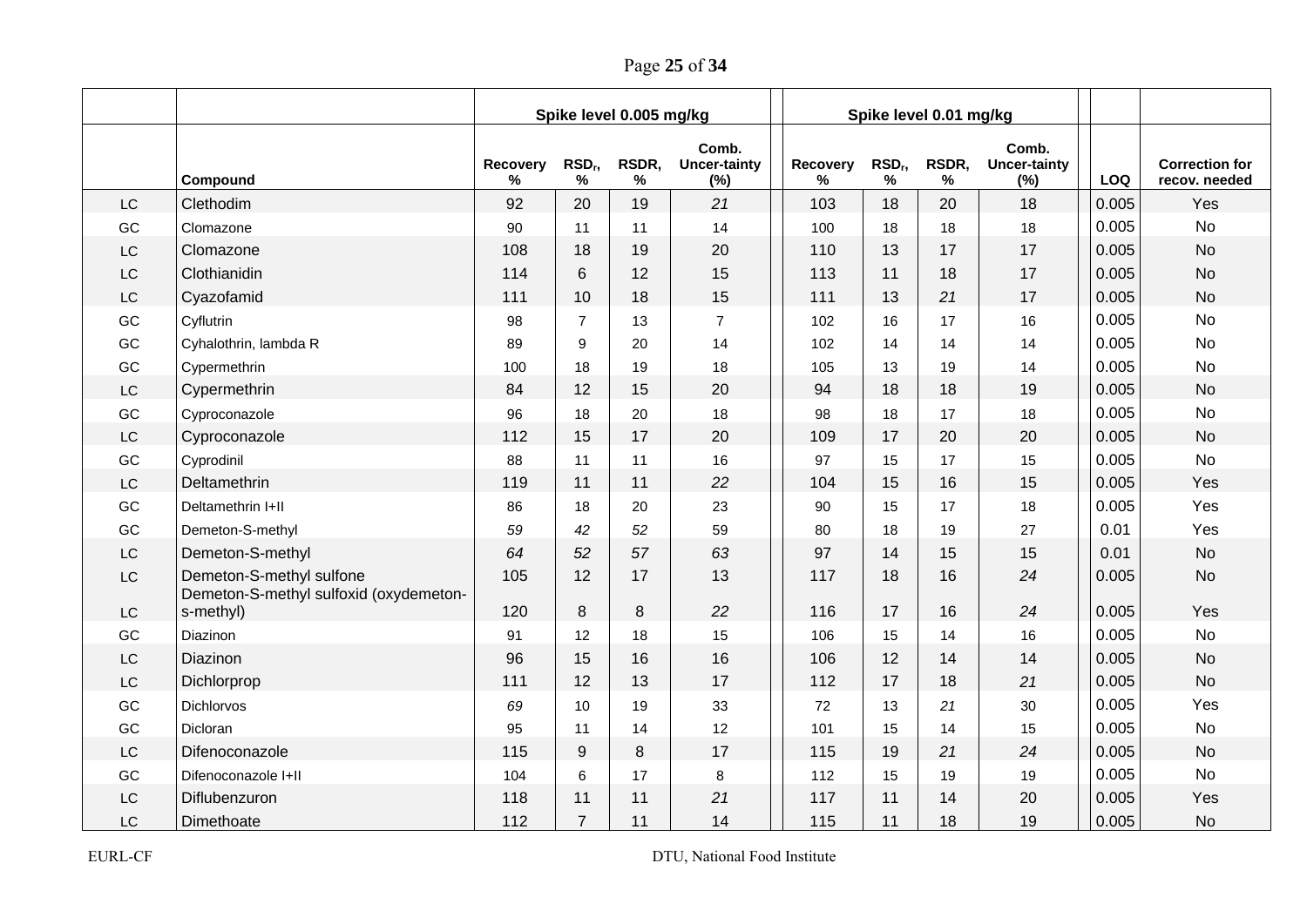Page **25** of **34**

|           |                                                                    |               |                 | Spike level 0.005 mg/kg |                                     |               |                            | Spike level 0.01 mg/kg |                                     |       |                                        |
|-----------|--------------------------------------------------------------------|---------------|-----------------|-------------------------|-------------------------------------|---------------|----------------------------|------------------------|-------------------------------------|-------|----------------------------------------|
|           | Compound                                                           | Recovery<br>% | $RSD_r$<br>$\%$ | RSDR,<br>$\%$           | Comb.<br><b>Uncer-tainty</b><br>(%) | Recovery<br>℅ | RSD <sub>r</sub> ,<br>$\%$ | RSDR,<br>$\%$          | Comb.<br><b>Uncer-tainty</b><br>(%) | LOQ   | <b>Correction for</b><br>recov. needed |
| LC        | Clethodim                                                          | 92            | 20              | 19                      | 21                                  | 103           | 18                         | 20                     | 18                                  | 0.005 | Yes                                    |
| GC        | Clomazone                                                          | 90            | 11              | 11                      | 14                                  | 100           | 18                         | 18                     | 18                                  | 0.005 | No                                     |
| LC        | Clomazone                                                          | 108           | 18              | 19                      | 20                                  | 110           | 13                         | 17                     | 17                                  | 0.005 | <b>No</b>                              |
| <b>LC</b> | Clothianidin                                                       | 114           | 6               | 12                      | 15                                  | 113           | 11                         | 18                     | 17                                  | 0.005 | <b>No</b>                              |
| LC        | Cyazofamid                                                         | 111           | 10              | 18                      | 15                                  | 111           | 13                         | 21                     | 17                                  | 0.005 | <b>No</b>                              |
| GC        | Cyflutrin                                                          | 98            | $\overline{7}$  | 13                      | $\overline{7}$                      | 102           | 16                         | 17                     | 16                                  | 0.005 | <b>No</b>                              |
| GC        | Cyhalothrin, lambda R                                              | 89            | 9               | 20                      | 14                                  | 102           | 14                         | 14                     | 14                                  | 0.005 | <b>No</b>                              |
| GC        | Cypermethrin                                                       | 100           | 18              | 19                      | 18                                  | 105           | 13                         | 19                     | 14                                  | 0.005 | <b>No</b>                              |
| <b>LC</b> | Cypermethrin                                                       | 84            | 12              | 15                      | 20                                  | 94            | 18                         | 18                     | 19                                  | 0.005 | <b>No</b>                              |
| GC        | Cyproconazole                                                      | 96            | 18              | 20                      | 18                                  | 98            | 18                         | 17                     | 18                                  | 0.005 | <b>No</b>                              |
| LC        | Cyproconazole                                                      | 112           | 15              | 17                      | 20                                  | 109           | 17                         | 20                     | 20                                  | 0.005 | <b>No</b>                              |
| GC        | Cyprodinil                                                         | 88            | 11              | 11                      | 16                                  | 97            | 15                         | 17                     | 15                                  | 0.005 | <b>No</b>                              |
| LC        | Deltamethrin                                                       | 119           | 11              | 11                      | 22                                  | 104           | 15                         | 16                     | 15                                  | 0.005 | Yes                                    |
| GC        | Deltamethrin I+II                                                  | 86            | 18              | 20                      | 23                                  | 90            | 15                         | 17                     | 18                                  | 0.005 | Yes                                    |
| GC        | Demeton-S-methyl                                                   | 59            | 42              | 52                      | 59                                  | 80            | 18                         | 19                     | 27                                  | 0.01  | Yes                                    |
| LC        | Demeton-S-methyl                                                   | 64            | 52              | 57                      | 63                                  | 97            | 14                         | 15                     | 15                                  | 0.01  | <b>No</b>                              |
| <b>LC</b> | Demeton-S-methyl sulfone<br>Demeton-S-methyl sulfoxid (oxydemeton- | 105           | 12              | 17                      | 13                                  | 117           | 18                         | 16                     | 24                                  | 0.005 | <b>No</b>                              |
| <b>LC</b> | s-methyl)                                                          | 120           | 8               | 8                       | 22                                  | 116           | 17                         | 16                     | 24                                  | 0.005 | Yes                                    |
| GC        | Diazinon                                                           | 91            | 12              | 18                      | 15                                  | 106           | 15                         | 14                     | 16                                  | 0.005 | <b>No</b>                              |
| LC        | Diazinon                                                           | 96            | 15              | 16                      | 16                                  | 106           | 12                         | 14                     | 14                                  | 0.005 | <b>No</b>                              |
| LC        | Dichlorprop                                                        | 111           | 12              | 13                      | 17                                  | 112           | 17                         | 18                     | 21                                  | 0.005 | <b>No</b>                              |
| GC        | Dichlorvos                                                         | 69            | 10              | 19                      | 33                                  | 72            | 13                         | 21                     | 30                                  | 0.005 | Yes                                    |
| GC        | Dicloran                                                           | 95            | 11              | 14                      | 12                                  | 101           | 15                         | 14                     | 15                                  | 0.005 | <b>No</b>                              |
| LC        | Difenoconazole                                                     | 115           | 9               | 8                       | 17                                  | 115           | 19                         | 21                     | 24                                  | 0.005 | <b>No</b>                              |
| GC        | Difenoconazole I+II                                                | 104           | 6               | 17                      | 8                                   | 112           | 15                         | 19                     | 19                                  | 0.005 | <b>No</b>                              |
| <b>LC</b> | Diflubenzuron                                                      | 118           | 11              | 11                      | 21                                  | 117           | 11                         | 14                     | 20                                  | 0.005 | Yes                                    |
| LC        | Dimethoate                                                         | 112           | $\overline{7}$  | 11                      | 14                                  | 115           | 11                         | 18                     | 19                                  | 0.005 | <b>No</b>                              |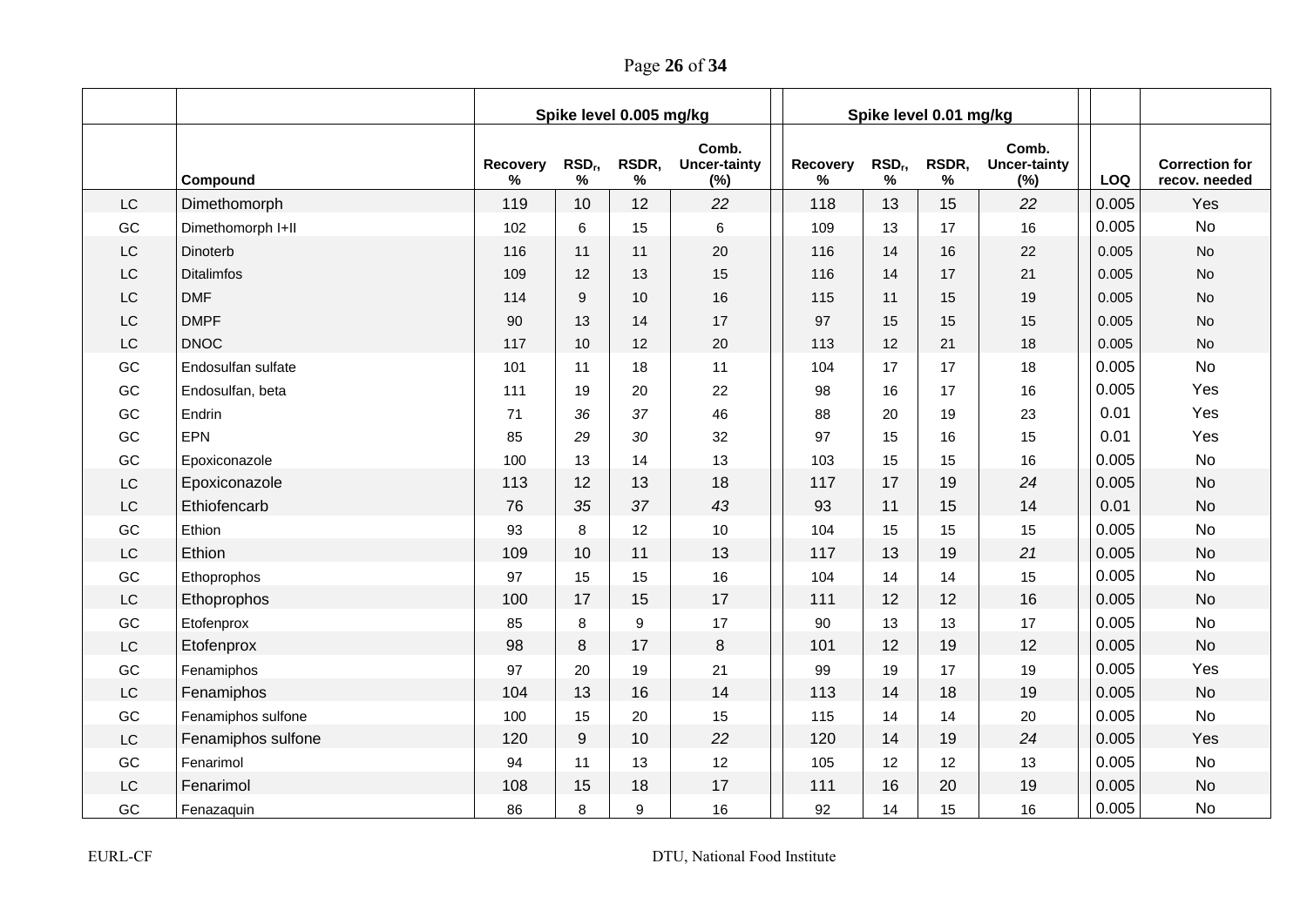Page **26** of **34**

|           |                    |               |                       | Spike level 0.005 mg/kg |                                     |                  |                                     | Spike level 0.01 mg/kg |                                     |            |                                        |
|-----------|--------------------|---------------|-----------------------|-------------------------|-------------------------------------|------------------|-------------------------------------|------------------------|-------------------------------------|------------|----------------------------------------|
|           | Compound           | Recovery<br>℅ | RSD <sub>r</sub><br>% | RSDR,<br>$\%$           | Comb.<br><b>Uncer-tainty</b><br>(%) | Recovery<br>$\%$ | RSD <sub>r</sub> ,<br>$\frac{9}{6}$ | RSDR,<br>%             | Comb.<br><b>Uncer-tainty</b><br>(%) | <b>LOQ</b> | <b>Correction for</b><br>recov. needed |
| LC        | Dimethomorph       | 119           | 10                    | 12                      | 22                                  | 118              | 13                                  | 15                     | 22                                  | 0.005      | Yes                                    |
| GC        | Dimethomorph I+II  | 102           | 6                     | 15                      | 6                                   | 109              | 13                                  | 17                     | 16                                  | 0.005      | <b>No</b>                              |
| LC        | Dinoterb           | 116           | 11                    | 11                      | 20                                  | 116              | 14                                  | 16                     | 22                                  | 0.005      | No                                     |
| LC        | <b>Ditalimfos</b>  | 109           | 12                    | 13                      | 15                                  | 116              | 14                                  | 17                     | 21                                  | 0.005      | <b>No</b>                              |
| LC        | <b>DMF</b>         | 114           | 9                     | 10                      | 16                                  | 115              | 11                                  | 15                     | 19                                  | 0.005      | <b>No</b>                              |
| LC        | <b>DMPF</b>        | 90            | 13                    | 14                      | 17                                  | 97               | 15                                  | 15                     | 15                                  | 0.005      | <b>No</b>                              |
| LC        | <b>DNOC</b>        | 117           | 10                    | 12                      | 20                                  | 113              | 12                                  | 21                     | 18                                  | 0.005      | No                                     |
| GC        | Endosulfan sulfate | 101           | 11                    | 18                      | 11                                  | 104              | 17                                  | 17                     | 18                                  | 0.005      | <b>No</b>                              |
| GC        | Endosulfan, beta   | 111           | 19                    | 20                      | 22                                  | 98               | 16                                  | 17                     | 16                                  | 0.005      | Yes                                    |
| GC        | Endrin             | 71            | 36                    | 37                      | 46                                  | 88               | 20                                  | 19                     | 23                                  | 0.01       | Yes                                    |
| GC        | EPN                | 85            | 29                    | 30                      | 32                                  | 97               | 15                                  | 16                     | 15                                  | 0.01       | Yes                                    |
| GC        | Epoxiconazole      | 100           | 13                    | 14                      | 13                                  | 103              | 15                                  | 15                     | 16                                  | 0.005      | <b>No</b>                              |
| LC        | Epoxiconazole      | 113           | 12                    | 13                      | 18                                  | 117              | 17                                  | 19                     | 24                                  | 0.005      | <b>No</b>                              |
| LC        | Ethiofencarb       | 76            | 35                    | 37                      | 43                                  | 93               | 11                                  | 15                     | 14                                  | 0.01       | <b>No</b>                              |
| GC        | Ethion             | 93            | 8                     | 12                      | 10                                  | 104              | 15                                  | 15                     | 15                                  | 0.005      | <b>No</b>                              |
| LC        | Ethion             | 109           | 10                    | 11                      | 13                                  | 117              | 13                                  | 19                     | 21                                  | 0.005      | <b>No</b>                              |
| GC        | Ethoprophos        | 97            | 15                    | 15                      | 16                                  | 104              | 14                                  | 14                     | 15                                  | 0.005      | <b>No</b>                              |
| LC        | Ethoprophos        | 100           | 17                    | 15                      | 17                                  | 111              | 12                                  | 12                     | 16                                  | 0.005      | <b>No</b>                              |
| GC        | Etofenprox         | 85            | 8                     | 9                       | 17                                  | 90               | 13                                  | 13                     | 17                                  | 0.005      | <b>No</b>                              |
| <b>LC</b> | Etofenprox         | 98            | 8                     | 17                      | 8                                   | 101              | 12                                  | 19                     | 12                                  | 0.005      | <b>No</b>                              |
| GC        | Fenamiphos         | 97            | 20                    | 19                      | 21                                  | 99               | 19                                  | 17                     | 19                                  | 0.005      | Yes                                    |
| LC        | Fenamiphos         | 104           | 13                    | 16                      | 14                                  | 113              | 14                                  | 18                     | 19                                  | 0.005      | <b>No</b>                              |
| GC        | Fenamiphos sulfone | 100           | 15                    | 20                      | 15                                  | 115              | 14                                  | 14                     | 20                                  | 0.005      | <b>No</b>                              |
| LC        | Fenamiphos sulfone | 120           | 9                     | 10                      | 22                                  | 120              | 14                                  | 19                     | 24                                  | 0.005      | Yes                                    |
| GC        | Fenarimol          | 94            | 11                    | 13                      | 12                                  | 105              | 12                                  | 12                     | 13                                  | 0.005      | <b>No</b>                              |
| LC        | Fenarimol          | 108           | 15                    | 18                      | 17                                  | 111              | 16                                  | 20                     | 19                                  | 0.005      | <b>No</b>                              |
| GC        | Fenazaquin         | 86            | 8                     | 9                       | 16                                  | 92               | 14                                  | 15                     | 16                                  | 0.005      | <b>No</b>                              |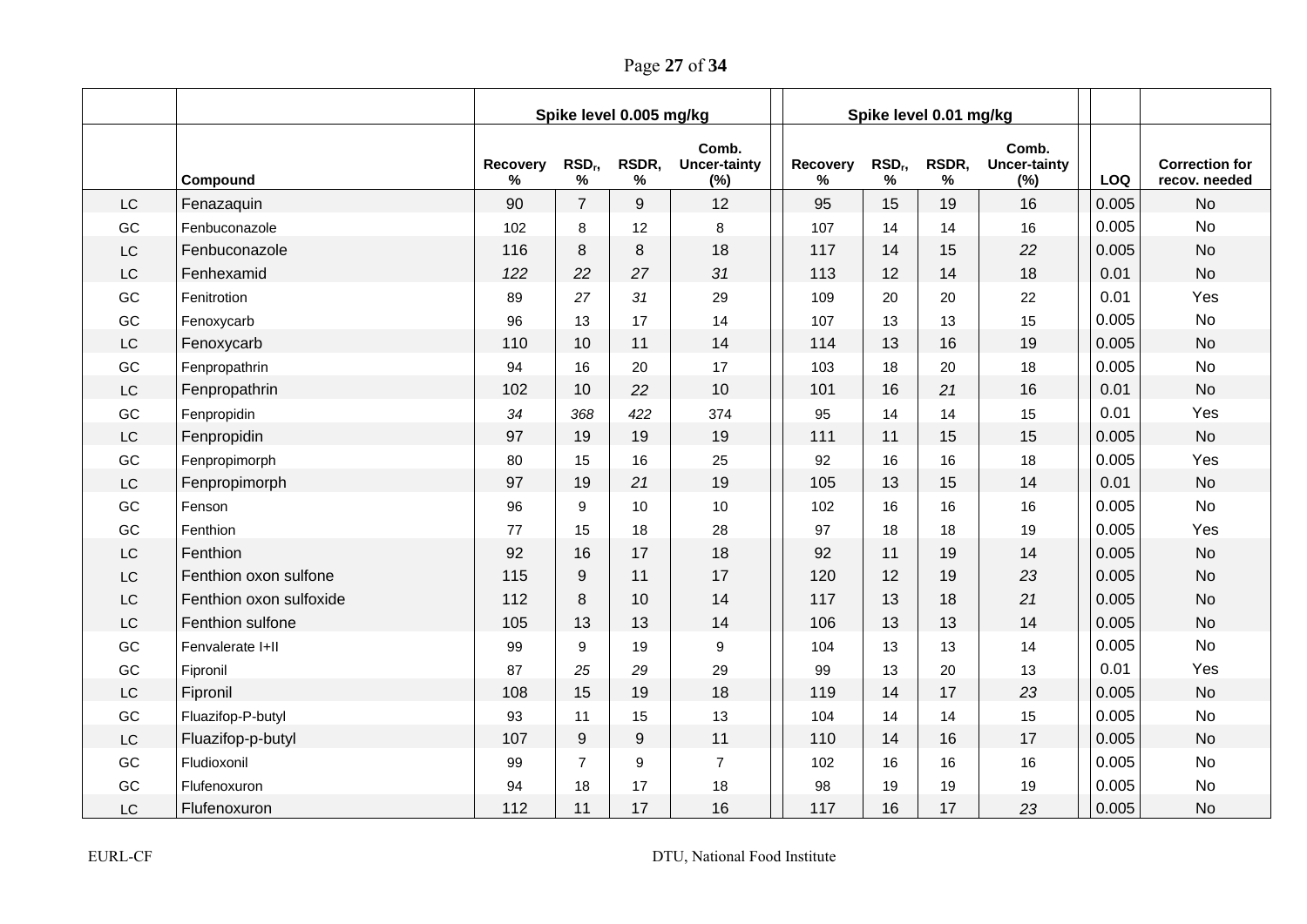Page **27** of **34**

|           |                         |               |                          | Spike level 0.005 mg/kg |                                     |               |                            | Spike level 0.01 mg/kg |                                     |            |                                        |
|-----------|-------------------------|---------------|--------------------------|-------------------------|-------------------------------------|---------------|----------------------------|------------------------|-------------------------------------|------------|----------------------------------------|
|           | Compound                | Recovery<br>% | RSD <sub>r</sub><br>$\%$ | RSDR,<br>$\%$           | Comb.<br><b>Uncer-tainty</b><br>(%) | Recovery<br>℅ | RSD <sub>r</sub> ,<br>$\%$ | RSDR,<br>$\%$          | Comb.<br><b>Uncer-tainty</b><br>(%) | <b>LOQ</b> | <b>Correction for</b><br>recov. needed |
| LC        | Fenazaquin              | 90            | $\overline{7}$           | 9                       | 12                                  | 95            | 15                         | 19                     | 16                                  | 0.005      | <b>No</b>                              |
| GC        | Fenbuconazole           | 102           | 8                        | 12                      | 8                                   | 107           | 14                         | 14                     | 16                                  | 0.005      | <b>No</b>                              |
| LC        | Fenbuconazole           | 116           | 8                        | 8                       | 18                                  | 117           | 14                         | 15                     | 22                                  | 0.005      | <b>No</b>                              |
| LC        | Fenhexamid              | 122           | 22                       | 27                      | 31                                  | 113           | 12                         | 14                     | 18                                  | 0.01       | <b>No</b>                              |
| GC        | Fenitrotion             | 89            | 27                       | 31                      | 29                                  | 109           | 20                         | 20                     | 22                                  | 0.01       | Yes                                    |
| GC        | Fenoxycarb              | 96            | 13                       | 17                      | 14                                  | 107           | 13                         | 13                     | 15                                  | 0.005      | <b>No</b>                              |
| LC        | Fenoxycarb              | 110           | 10                       | 11                      | 14                                  | 114           | 13                         | 16                     | 19                                  | 0.005      | <b>No</b>                              |
| GC        | Fenpropathrin           | 94            | 16                       | 20                      | 17                                  | 103           | 18                         | 20                     | 18                                  | 0.005      | <b>No</b>                              |
| LC        | Fenpropathrin           | 102           | 10                       | 22                      | 10                                  | 101           | 16                         | 21                     | 16                                  | 0.01       | <b>No</b>                              |
| GC        | Fenpropidin             | 34            | 368                      | 422                     | 374                                 | 95            | 14                         | 14                     | 15                                  | 0.01       | Yes                                    |
| LC        | Fenpropidin             | 97            | 19                       | 19                      | 19                                  | 111           | 11                         | 15                     | 15                                  | 0.005      | <b>No</b>                              |
| GC        | Fenpropimorph           | 80            | 15                       | 16                      | 25                                  | 92            | 16                         | 16                     | 18                                  | 0.005      | Yes                                    |
| <b>LC</b> | Fenpropimorph           | 97            | 19                       | 21                      | 19                                  | 105           | 13                         | 15                     | 14                                  | 0.01       | <b>No</b>                              |
| GC        | Fenson                  | 96            | 9                        | 10 <sup>1</sup>         | 10                                  | 102           | 16                         | 16                     | 16                                  | 0.005      | <b>No</b>                              |
| GC        | Fenthion                | 77            | 15                       | 18                      | 28                                  | 97            | 18                         | 18                     | 19                                  | 0.005      | Yes                                    |
| LC        | Fenthion                | 92            | 16                       | 17                      | 18                                  | 92            | 11                         | 19                     | 14                                  | 0.005      | <b>No</b>                              |
| LC        | Fenthion oxon sulfone   | 115           | 9                        | 11                      | 17                                  | 120           | 12                         | 19                     | 23                                  | 0.005      | <b>No</b>                              |
| LC        | Fenthion oxon sulfoxide | 112           | 8                        | 10                      | 14                                  | 117           | 13                         | 18                     | 21                                  | 0.005      | <b>No</b>                              |
| LC        | Fenthion sulfone        | 105           | 13                       | 13                      | 14                                  | 106           | 13                         | 13                     | 14                                  | 0.005      | <b>No</b>                              |
| GC        | Fenvalerate I+II        | 99            | 9                        | 19                      | 9                                   | 104           | 13                         | 13                     | 14                                  | 0.005      | <b>No</b>                              |
| GC        | Fipronil                | 87            | 25                       | 29                      | 29                                  | 99            | 13                         | 20                     | 13                                  | 0.01       | Yes                                    |
| LC        | Fipronil                | 108           | 15                       | 19                      | 18                                  | 119           | 14                         | 17                     | 23                                  | 0.005      | <b>No</b>                              |
| GC        | Fluazifop-P-butyl       | 93            | 11                       | 15                      | 13                                  | 104           | 14                         | 14                     | 15                                  | 0.005      | <b>No</b>                              |
| LC        | Fluazifop-p-butyl       | 107           | 9                        | 9                       | 11                                  | 110           | 14                         | 16                     | 17                                  | 0.005      | <b>No</b>                              |
| GC        | Fludioxonil             | 99            | $\overline{7}$           | 9                       | $\overline{7}$                      | 102           | 16                         | 16                     | 16                                  | 0.005      | <b>No</b>                              |
| GC        | Flufenoxuron            | 94            | 18                       | 17                      | 18                                  | 98            | 19                         | 19                     | 19                                  | 0.005      | <b>No</b>                              |
| LC        | Flufenoxuron            | 112           | 11                       | 17                      | 16                                  | 117           | 16                         | 17                     | 23                                  | 0.005      | <b>No</b>                              |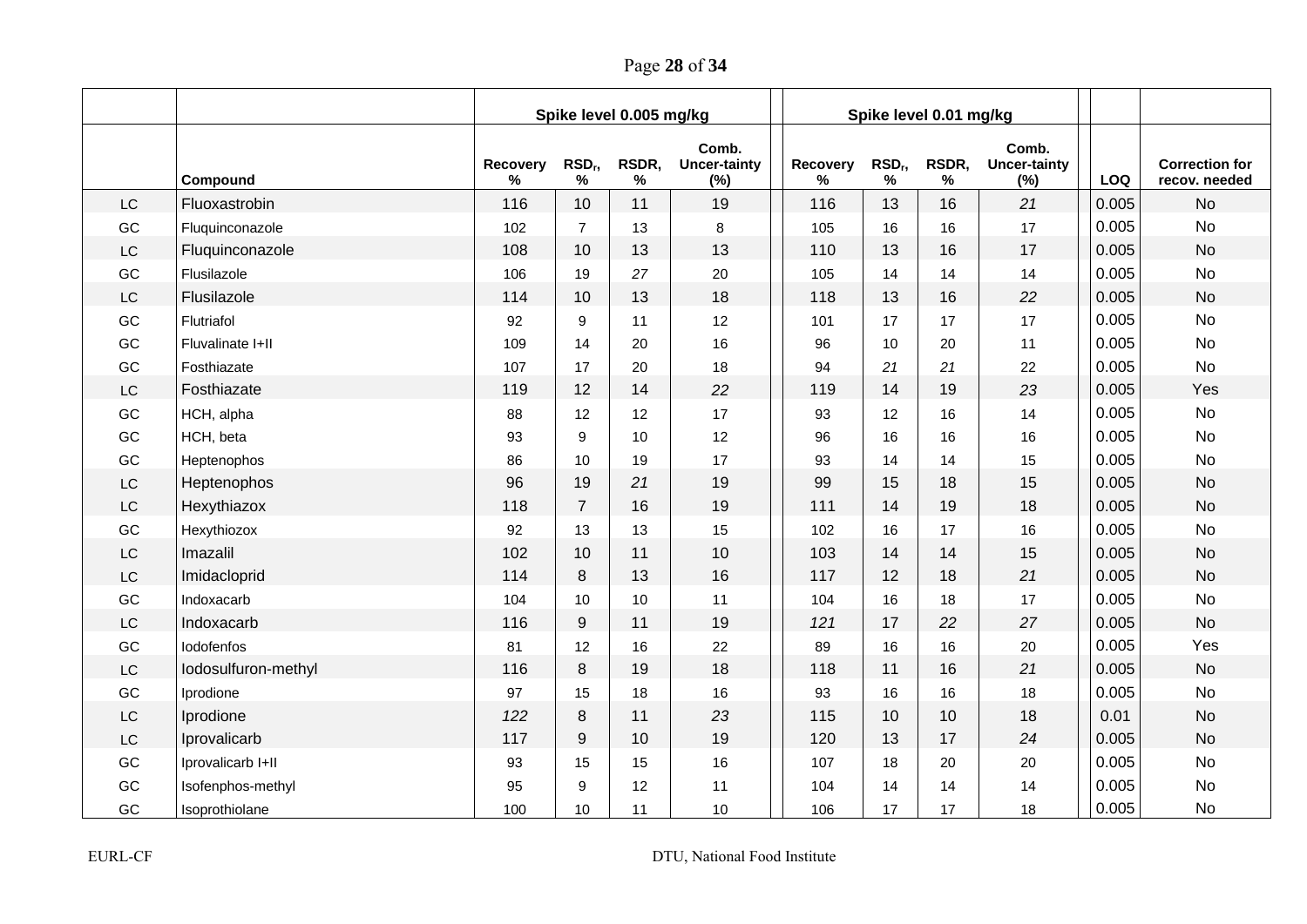Page **28** of **34**

|           |                     |               |                            | Spike level 0.005 mg/kg |                                     |               |                       | Spike level 0.01 mg/kg |                                     |       |                                        |
|-----------|---------------------|---------------|----------------------------|-------------------------|-------------------------------------|---------------|-----------------------|------------------------|-------------------------------------|-------|----------------------------------------|
|           | Compound            | Recovery<br>% | RSD <sub>r</sub> ,<br>$\%$ | RSDR,<br>$\%$           | Comb.<br><b>Uncer-tainty</b><br>(%) | Recovery<br>℅ | RSD <sub>r</sub><br>% | RSDR,<br>%             | Comb.<br><b>Uncer-tainty</b><br>(%) | LOQ   | <b>Correction for</b><br>recov. needed |
| <b>LC</b> | Fluoxastrobin       | 116           | 10                         | 11                      | 19                                  | 116           | 13                    | 16                     | 21                                  | 0.005 | <b>No</b>                              |
| GC        | Fluquinconazole     | 102           | $\overline{7}$             | 13                      | 8                                   | 105           | 16                    | 16                     | 17                                  | 0.005 | <b>No</b>                              |
| LC        | Fluquinconazole     | 108           | 10                         | 13                      | 13                                  | 110           | 13                    | 16                     | 17                                  | 0.005 | <b>No</b>                              |
| GC        | Flusilazole         | 106           | 19                         | 27                      | 20                                  | 105           | 14                    | 14                     | 14                                  | 0.005 | <b>No</b>                              |
| LC        | Flusilazole         | 114           | 10                         | 13                      | 18                                  | 118           | 13                    | 16                     | 22                                  | 0.005 | <b>No</b>                              |
| GC        | Flutriafol          | 92            | 9                          | 11                      | 12                                  | 101           | 17                    | 17                     | 17                                  | 0.005 | <b>No</b>                              |
| GC        | Fluvalinate I+II    | 109           | 14                         | 20                      | 16                                  | 96            | 10                    | 20                     | 11                                  | 0.005 | <b>No</b>                              |
| GC        | Fosthiazate         | 107           | 17                         | 20                      | 18                                  | 94            | 21                    | 21                     | 22                                  | 0.005 | <b>No</b>                              |
| LC        | Fosthiazate         | 119           | 12                         | 14                      | 22                                  | 119           | 14                    | 19                     | 23                                  | 0.005 | Yes                                    |
| GC        | HCH, alpha          | 88            | 12                         | 12                      | 17                                  | 93            | 12                    | 16                     | 14                                  | 0.005 | <b>No</b>                              |
| GC        | HCH, beta           | 93            | 9                          | 10 <sup>1</sup>         | 12                                  | 96            | 16                    | 16                     | 16                                  | 0.005 | <b>No</b>                              |
| GC        | Heptenophos         | 86            | 10                         | 19                      | 17                                  | 93            | 14                    | 14                     | 15                                  | 0.005 | <b>No</b>                              |
| LC        | Heptenophos         | 96            | 19                         | 21                      | 19                                  | 99            | 15                    | 18                     | 15                                  | 0.005 | <b>No</b>                              |
| LC        | Hexythiazox         | 118           | $\overline{7}$             | 16                      | 19                                  | 111           | 14                    | 19                     | 18                                  | 0.005 | <b>No</b>                              |
| GC        | Hexythiozox         | 92            | 13                         | 13                      | 15                                  | 102           | 16                    | 17                     | 16                                  | 0.005 | <b>No</b>                              |
| <b>LC</b> | Imazalil            | 102           | 10                         | 11                      | 10                                  | 103           | 14                    | 14                     | 15                                  | 0.005 | <b>No</b>                              |
| LC        | Imidacloprid        | 114           | 8                          | 13                      | 16                                  | 117           | 12                    | 18                     | 21                                  | 0.005 | <b>No</b>                              |
| GC        | Indoxacarb          | 104           | 10                         | 10                      | 11                                  | 104           | 16                    | 18                     | 17                                  | 0.005 | <b>No</b>                              |
| <b>LC</b> | Indoxacarb          | 116           | 9                          | 11                      | 19                                  | 121           | 17                    | 22                     | 27                                  | 0.005 | <b>No</b>                              |
| GC        | lodofenfos          | 81            | 12                         | 16                      | 22                                  | 89            | 16                    | 16                     | 20                                  | 0.005 | Yes                                    |
| <b>LC</b> | lodosulfuron-methyl | 116           | 8                          | 19                      | 18                                  | 118           | 11                    | 16                     | 21                                  | 0.005 | <b>No</b>                              |
| GC        | Iprodione           | 97            | 15                         | 18                      | 16                                  | 93            | 16                    | 16                     | 18                                  | 0.005 | <b>No</b>                              |
| LC        | Iprodione           | 122           | 8                          | 11                      | 23                                  | 115           | 10                    | 10                     | 18                                  | 0.01  | <b>No</b>                              |
| LC        | Iprovalicarb        | 117           | 9                          | 10                      | 19                                  | 120           | 13                    | 17                     | 24                                  | 0.005 | <b>No</b>                              |
| GC        | Iprovalicarb I+II   | 93            | 15                         | 15                      | 16                                  | 107           | 18                    | 20                     | 20                                  | 0.005 | No                                     |
| GC        | Isofenphos-methyl   | 95            | 9                          | 12                      | 11                                  | 104           | 14                    | 14                     | 14                                  | 0.005 | <b>No</b>                              |
| GC        | Isoprothiolane      | 100           | 10                         | 11                      | 10                                  | 106           | 17                    | 17                     | 18                                  | 0.005 | <b>No</b>                              |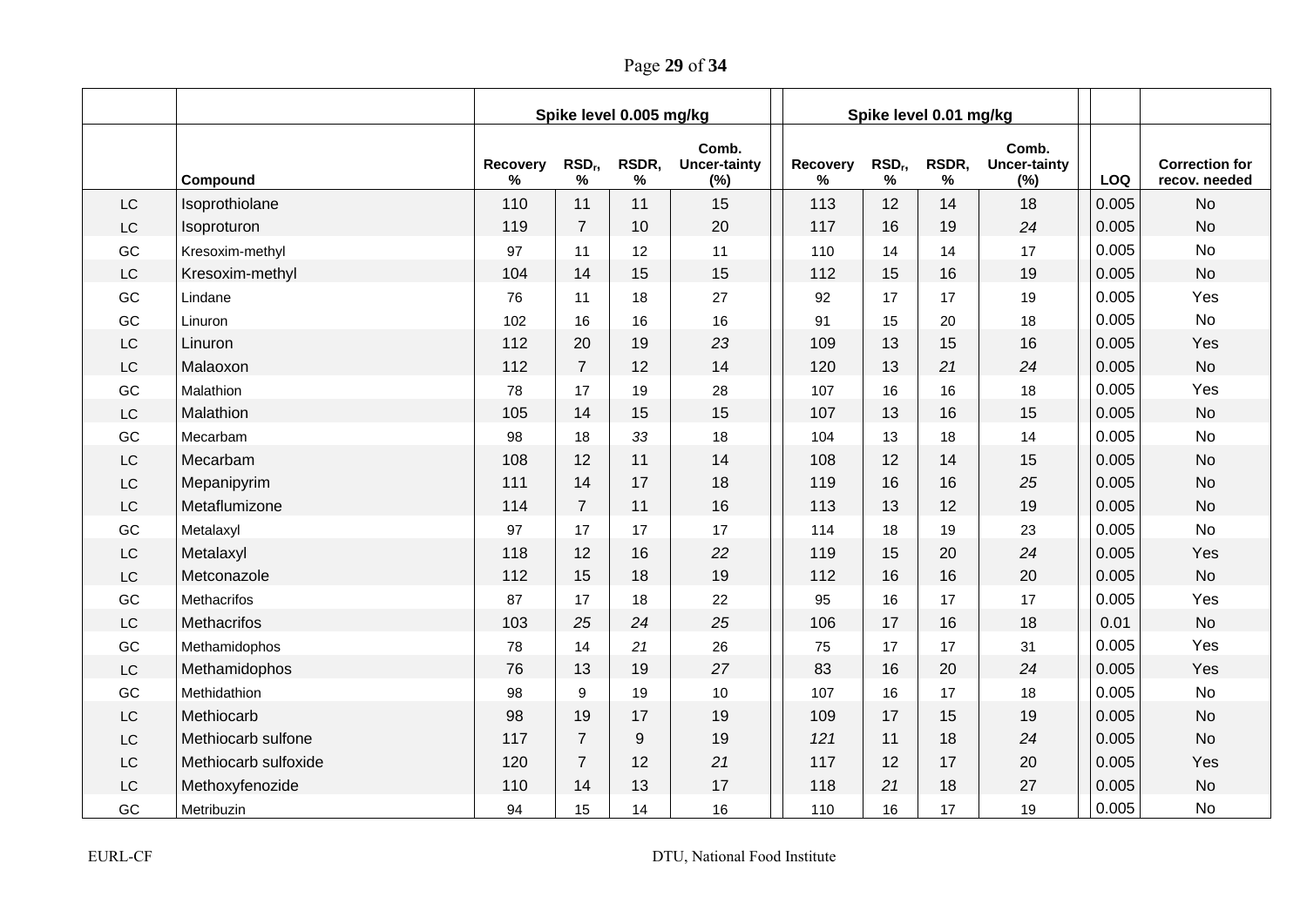Page **29** of **34**

|                        |                      |               |                       | Spike level 0.005 mg/kg |                                     |               |                       | Spike level 0.01 mg/kg |                                     |       |                                        |
|------------------------|----------------------|---------------|-----------------------|-------------------------|-------------------------------------|---------------|-----------------------|------------------------|-------------------------------------|-------|----------------------------------------|
|                        | Compound             | Recovery<br>℅ | RSD <sub>r</sub><br>% | RSDR,<br>%              | Comb.<br><b>Uncer-tainty</b><br>(%) | Recovery<br>% | RSD <sub>r</sub><br>% | RSDR,<br>%             | Comb.<br><b>Uncer-tainty</b><br>(%) | LOQ   | <b>Correction for</b><br>recov. needed |
| LC                     | Isoprothiolane       | 110           | 11                    | 11                      | 15                                  | 113           | 12                    | 14                     | 18                                  | 0.005 | <b>No</b>                              |
| $\mathsf{L}\mathsf{C}$ | Isoproturon          | 119           | $\overline{7}$        | 10                      | 20                                  | 117           | 16                    | 19                     | 24                                  | 0.005 | <b>No</b>                              |
| GC                     | Kresoxim-methyl      | 97            | 11                    | 12                      | 11                                  | 110           | 14                    | 14                     | 17                                  | 0.005 | <b>No</b>                              |
| LC                     | Kresoxim-methyl      | 104           | 14                    | 15                      | 15                                  | 112           | 15                    | 16                     | 19                                  | 0.005 | <b>No</b>                              |
| GC                     | Lindane              | 76            | 11                    | 18                      | 27                                  | 92            | 17                    | 17                     | 19                                  | 0.005 | Yes                                    |
| GC                     | Linuron              | 102           | 16                    | 16                      | 16                                  | 91            | 15                    | 20                     | 18                                  | 0.005 | <b>No</b>                              |
| $\mathsf{LC}$          | Linuron              | 112           | 20                    | 19                      | 23                                  | 109           | 13                    | 15                     | 16                                  | 0.005 | Yes                                    |
| LC                     | Malaoxon             | 112           | $\overline{7}$        | 12                      | 14                                  | 120           | 13                    | 21                     | 24                                  | 0.005 | <b>No</b>                              |
| GC                     | Malathion            | 78            | 17                    | 19                      | 28                                  | 107           | 16                    | 16                     | 18                                  | 0.005 | Yes                                    |
| LC                     | Malathion            | 105           | 14                    | 15                      | 15                                  | 107           | 13                    | 16                     | 15                                  | 0.005 | <b>No</b>                              |
| GC                     | Mecarbam             | 98            | 18                    | 33                      | 18                                  | 104           | 13                    | 18                     | 14                                  | 0.005 | <b>No</b>                              |
| LC                     | Mecarbam             | 108           | 12                    | 11                      | 14                                  | 108           | 12                    | 14                     | 15                                  | 0.005 | <b>No</b>                              |
| LC                     | Mepanipyrim          | 111           | 14                    | 17                      | 18                                  | 119           | 16                    | 16                     | 25                                  | 0.005 | <b>No</b>                              |
| LC                     | Metaflumizone        | 114           | $\overline{7}$        | 11                      | 16                                  | 113           | 13                    | 12                     | 19                                  | 0.005 | <b>No</b>                              |
| GC                     | Metalaxyl            | 97            | 17                    | 17                      | 17                                  | 114           | 18                    | 19                     | 23                                  | 0.005 | <b>No</b>                              |
| LC                     | Metalaxyl            | 118           | 12                    | 16                      | 22                                  | 119           | 15                    | 20                     | 24                                  | 0.005 | Yes                                    |
| LC                     | Metconazole          | 112           | 15                    | 18                      | 19                                  | 112           | 16                    | 16                     | 20                                  | 0.005 | <b>No</b>                              |
| GC                     | <b>Methacrifos</b>   | 87            | 17                    | 18                      | $22\,$                              | 95            | 16                    | 17                     | 17                                  | 0.005 | Yes                                    |
| LC                     | <b>Methacrifos</b>   | 103           | 25                    | 24                      | 25                                  | 106           | 17                    | 16                     | 18                                  | 0.01  | <b>No</b>                              |
| GC                     | Methamidophos        | 78            | 14                    | 21                      | 26                                  | 75            | 17                    | 17                     | 31                                  | 0.005 | Yes                                    |
| LC                     | Methamidophos        | 76            | 13                    | 19                      | 27                                  | 83            | 16                    | 20                     | 24                                  | 0.005 | Yes                                    |
| GC                     | Methidathion         | 98            | 9                     | 19                      | 10                                  | 107           | 16                    | 17                     | 18                                  | 0.005 | <b>No</b>                              |
| LC                     | Methiocarb           | 98            | 19                    | 17                      | 19                                  | 109           | 17                    | 15                     | 19                                  | 0.005 | <b>No</b>                              |
| LC                     | Methiocarb sulfone   | 117           | $\overline{7}$        | 9                       | 19                                  | 121           | 11                    | 18                     | 24                                  | 0.005 | <b>No</b>                              |
| LC                     | Methiocarb sulfoxide | 120           | $\overline{7}$        | 12                      | 21                                  | 117           | 12                    | 17                     | 20                                  | 0.005 | Yes                                    |
| <b>LC</b>              | Methoxyfenozide      | 110           | 14                    | 13                      | 17                                  | 118           | 21                    | 18                     | 27                                  | 0.005 | <b>No</b>                              |
| GC                     | Metribuzin           | 94            | 15                    | 14                      | 16                                  | 110           | 16                    | 17                     | 19                                  | 0.005 | No                                     |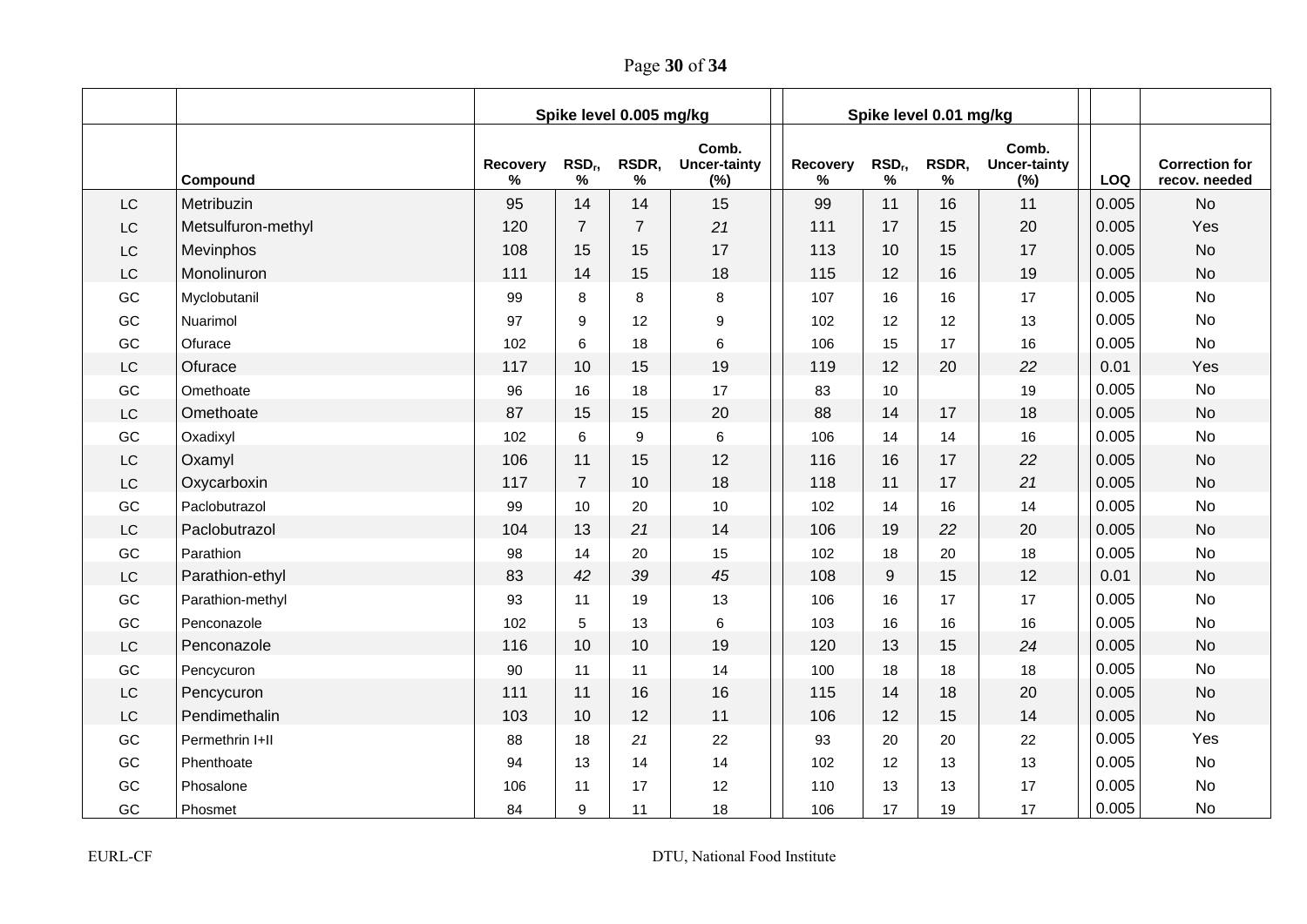Page **30** of **34**

|    |                    | Spike level 0.005 mg/kg |                       |                |                                     | Spike level 0.01 mg/kg |                         |            |                                     |            |                                        |
|----|--------------------|-------------------------|-----------------------|----------------|-------------------------------------|------------------------|-------------------------|------------|-------------------------------------|------------|----------------------------------------|
|    | Compound           | Recovery<br>℅           | RSD <sub>r</sub><br>% | RSDR,<br>%     | Comb.<br><b>Uncer-tainty</b><br>(%) | Recovery<br>%          | RSD <sub>r</sub> ,<br>% | RSDR,<br>% | Comb.<br><b>Uncer-tainty</b><br>(%) | <b>LOQ</b> | <b>Correction for</b><br>recov. needed |
| LC | Metribuzin         | 95                      | 14                    | 14             | 15                                  | 99                     | 11                      | 16         | 11                                  | 0.005      | <b>No</b>                              |
| LC | Metsulfuron-methyl | 120                     | $\overline{7}$        | $\overline{7}$ | 21                                  | 111                    | 17                      | 15         | 20                                  | 0.005      | Yes                                    |
| LC | Mevinphos          | 108                     | 15                    | 15             | 17                                  | 113                    | 10                      | 15         | 17                                  | 0.005      | <b>No</b>                              |
| LC | Monolinuron        | 111                     | 14                    | 15             | 18                                  | 115                    | 12                      | 16         | 19                                  | 0.005      | <b>No</b>                              |
| GC | Myclobutanil       | 99                      | 8                     | 8              | 8                                   | 107                    | 16                      | 16         | 17                                  | 0.005      | <b>No</b>                              |
| GC | Nuarimol           | 97                      | 9                     | 12             | 9                                   | 102                    | 12                      | 12         | 13                                  | 0.005      | <b>No</b>                              |
| GC | Ofurace            | 102                     | 6                     | 18             | 6                                   | 106                    | 15                      | 17         | 16                                  | 0.005      | <b>No</b>                              |
| LC | Ofurace            | 117                     | 10                    | 15             | 19                                  | 119                    | 12                      | 20         | 22                                  | 0.01       | Yes                                    |
| GC | Omethoate          | 96                      | 16                    | 18             | 17                                  | 83                     | 10                      |            | 19                                  | 0.005      | <b>No</b>                              |
| LC | Omethoate          | 87                      | 15                    | 15             | 20                                  | 88                     | 14                      | 17         | 18                                  | 0.005      | <b>No</b>                              |
| GC | Oxadixyl           | 102                     | 6                     | 9              | $\,6\,$                             | 106                    | 14                      | 14         | 16                                  | 0.005      | <b>No</b>                              |
| LC | Oxamyl             | 106                     | 11                    | 15             | 12                                  | 116                    | 16                      | 17         | 22                                  | 0.005      | <b>No</b>                              |
| LC | Oxycarboxin        | 117                     | $\overline{7}$        | 10             | 18                                  | 118                    | 11                      | 17         | 21                                  | 0.005      | <b>No</b>                              |
| GC | Paclobutrazol      | 99                      | 10                    | 20             | 10                                  | 102                    | 14                      | 16         | 14                                  | 0.005      | <b>No</b>                              |
| LC | Paclobutrazol      | 104                     | 13                    | 21             | 14                                  | 106                    | 19                      | 22         | 20                                  | 0.005      | <b>No</b>                              |
| GC | Parathion          | 98                      | 14                    | 20             | 15                                  | 102                    | 18                      | 20         | 18                                  | 0.005      | <b>No</b>                              |
| LC | Parathion-ethyl    | 83                      | 42                    | 39             | 45                                  | 108                    | 9                       | 15         | 12                                  | 0.01       | <b>No</b>                              |
| GC | Parathion-methyl   | 93                      | 11                    | 19             | 13                                  | 106                    | 16                      | 17         | 17                                  | 0.005      | <b>No</b>                              |
| GC | Penconazole        | 102                     | 5                     | 13             | 6                                   | 103                    | 16                      | 16         | 16                                  | 0.005      | <b>No</b>                              |
| LC | Penconazole        | 116                     | 10                    | 10             | 19                                  | 120                    | 13                      | 15         | 24                                  | 0.005      | <b>No</b>                              |
| GC | Pencycuron         | 90                      | 11                    | 11             | 14                                  | 100                    | 18                      | 18         | 18                                  | 0.005      | <b>No</b>                              |
| LC | Pencycuron         | 111                     | 11                    | 16             | 16                                  | 115                    | 14                      | 18         | 20                                  | 0.005      | <b>No</b>                              |
| LC | Pendimethalin      | 103                     | 10                    | 12             | 11                                  | 106                    | 12                      | 15         | 14                                  | 0.005      | <b>No</b>                              |
| GC | Permethrin I+II    | 88                      | 18                    | 21             | 22                                  | 93                     | 20                      | 20         | 22                                  | 0.005      | Yes                                    |
| GC | Phenthoate         | 94                      | 13                    | 14             | 14                                  | 102                    | 12                      | 13         | 13                                  | 0.005      | <b>No</b>                              |
| GC | Phosalone          | 106                     | 11                    | 17             | 12                                  | 110                    | 13                      | 13         | 17                                  | 0.005      | <b>No</b>                              |
| GC | Phosmet            | 84                      | 9                     | 11             | 18                                  | 106                    | 17                      | 19         | 17                                  | 0.005      | <b>No</b>                              |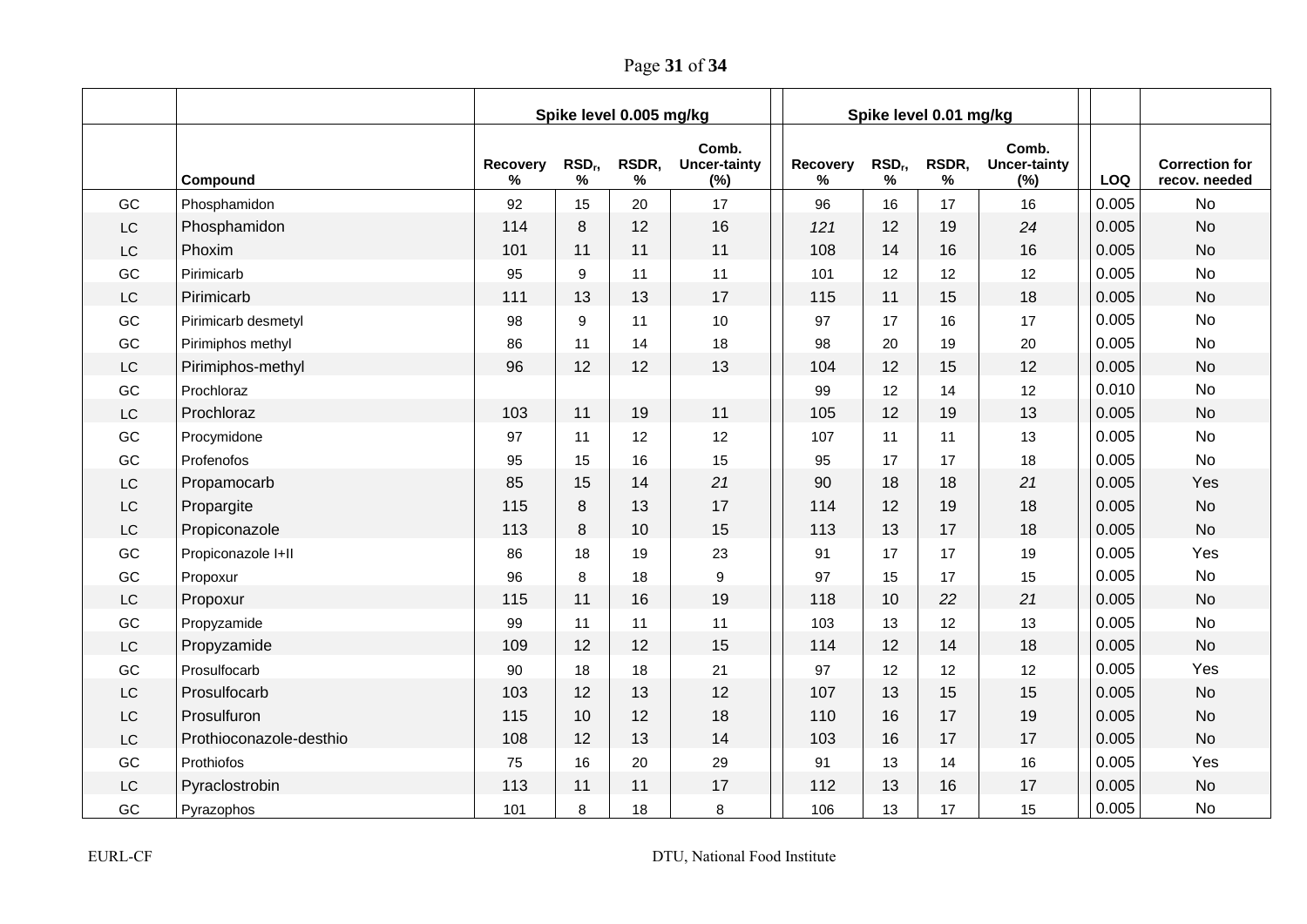Page **31** of **34**

|               |                         | Spike level 0.005 mg/kg |                       |            |                                     | Spike level 0.01 mg/kg |                                     |            |                                     |       |                                        |
|---------------|-------------------------|-------------------------|-----------------------|------------|-------------------------------------|------------------------|-------------------------------------|------------|-------------------------------------|-------|----------------------------------------|
|               | Compound                | Recovery<br>%           | RSD <sub>r</sub><br>% | RSDR,<br>% | Comb.<br><b>Uncer-tainty</b><br>(%) | Recovery<br>%          | RSD <sub>r</sub> ,<br>$\frac{9}{6}$ | RSDR,<br>% | Comb.<br><b>Uncer-tainty</b><br>(%) | LOQ   | <b>Correction for</b><br>recov. needed |
| GC            | Phosphamidon            | 92                      | 15                    | 20         | 17                                  | 96                     | 16                                  | 17         | 16                                  | 0.005 | <b>No</b>                              |
| $\mathsf{LC}$ | Phosphamidon            | 114                     | 8                     | 12         | 16                                  | 121                    | 12                                  | 19         | 24                                  | 0.005 | <b>No</b>                              |
| LC            | Phoxim                  | 101                     | 11                    | 11         | 11                                  | 108                    | 14                                  | 16         | 16                                  | 0.005 | <b>No</b>                              |
| GC            | Pirimicarb              | 95                      | 9                     | 11         | 11                                  | 101                    | 12                                  | 12         | 12                                  | 0.005 | <b>No</b>                              |
| LC            | Pirimicarb              | 111                     | 13                    | 13         | 17                                  | 115                    | 11                                  | 15         | 18                                  | 0.005 | <b>No</b>                              |
| GC            | Pirimicarb desmetyl     | 98                      | 9                     | 11         | 10                                  | 97                     | 17                                  | 16         | 17                                  | 0.005 | <b>No</b>                              |
| GC            | Pirimiphos methyl       | 86                      | 11                    | 14         | 18                                  | 98                     | 20                                  | 19         | 20                                  | 0.005 | No                                     |
| LC            | Pirimiphos-methyl       | 96                      | 12                    | 12         | 13                                  | 104                    | 12                                  | 15         | 12                                  | 0.005 | <b>No</b>                              |
| GC            | Prochloraz              |                         |                       |            |                                     | 99                     | 12                                  | 14         | 12                                  | 0.010 | No                                     |
| LC            | Prochloraz              | 103                     | 11                    | 19         | 11                                  | 105                    | 12                                  | 19         | 13                                  | 0.005 | <b>No</b>                              |
| GC            | Procymidone             | 97                      | 11                    | 12         | 12                                  | 107                    | 11                                  | 11         | 13                                  | 0.005 | <b>No</b>                              |
| GC            | Profenofos              | 95                      | 15                    | 16         | 15                                  | 95                     | 17                                  | 17         | 18                                  | 0.005 | <b>No</b>                              |
| LC            | Propamocarb             | 85                      | 15                    | 14         | 21                                  | 90                     | 18                                  | 18         | 21                                  | 0.005 | Yes                                    |
| LC            | Propargite              | 115                     | 8                     | 13         | 17                                  | 114                    | 12                                  | 19         | 18                                  | 0.005 | <b>No</b>                              |
| LC            | Propiconazole           | 113                     | 8                     | 10         | 15                                  | 113                    | 13                                  | 17         | 18                                  | 0.005 | <b>No</b>                              |
| GC            | Propiconazole I+II      | 86                      | 18                    | 19         | 23                                  | 91                     | 17                                  | 17         | 19                                  | 0.005 | Yes                                    |
| GC            | Propoxur                | 96                      | 8                     | 18         | 9                                   | 97                     | 15                                  | 17         | 15                                  | 0.005 | <b>No</b>                              |
| LC            | Propoxur                | 115                     | 11                    | 16         | 19                                  | 118                    | 10                                  | 22         | 21                                  | 0.005 | <b>No</b>                              |
| GC            | Propyzamide             | 99                      | 11                    | 11         | 11                                  | 103                    | 13                                  | 12         | 13                                  | 0.005 | <b>No</b>                              |
| LC            | Propyzamide             | 109                     | 12                    | 12         | 15                                  | 114                    | 12                                  | 14         | 18                                  | 0.005 | <b>No</b>                              |
| GC            | Prosulfocarb            | 90                      | 18                    | 18         | 21                                  | 97                     | 12                                  | 12         | 12                                  | 0.005 | Yes                                    |
| LC            | Prosulfocarb            | 103                     | 12                    | 13         | 12                                  | 107                    | 13                                  | 15         | 15                                  | 0.005 | <b>No</b>                              |
| LC            | Prosulfuron             | 115                     | 10                    | 12         | 18                                  | 110                    | 16                                  | 17         | 19                                  | 0.005 | <b>No</b>                              |
| LC            | Prothioconazole-desthio | 108                     | 12                    | 13         | 14                                  | 103                    | 16                                  | 17         | 17                                  | 0.005 | <b>No</b>                              |
| GC            | Prothiofos              | 75                      | 16                    | 20         | 29                                  | 91                     | 13                                  | 14         | 16                                  | 0.005 | Yes                                    |
| LC            | Pyraclostrobin          | 113                     | 11                    | 11         | 17                                  | 112                    | 13                                  | 16         | 17                                  | 0.005 | <b>No</b>                              |
| GC            | Pyrazophos              | 101                     | 8                     | 18         | 8                                   | 106                    | 13                                  | 17         | 15                                  | 0.005 | No                                     |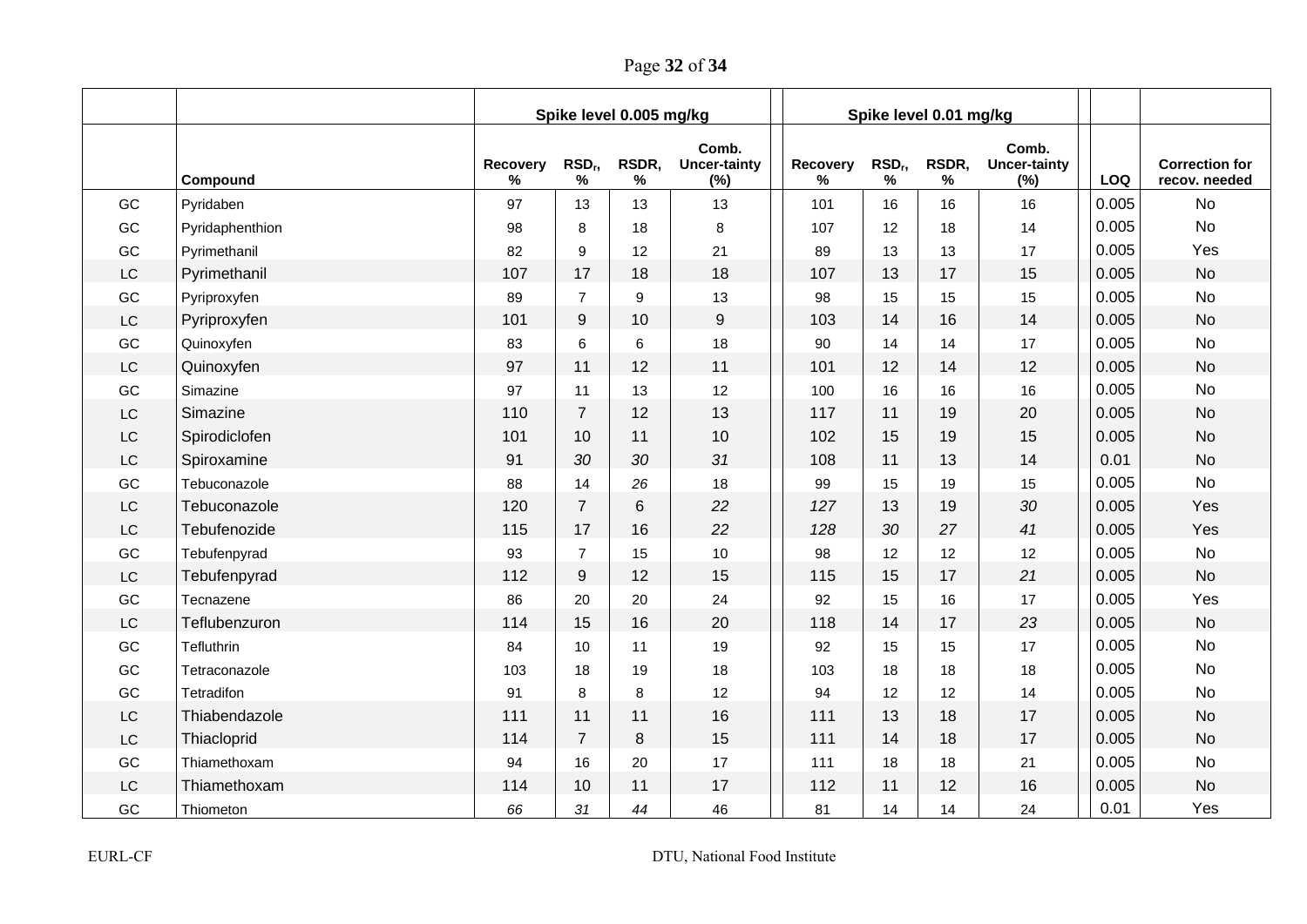Page **32** of **34**

|           |                 | Spike level 0.005 mg/kg |                            |            | Spike level 0.01 mg/kg              |               |                       |            |                                     |       |                                        |
|-----------|-----------------|-------------------------|----------------------------|------------|-------------------------------------|---------------|-----------------------|------------|-------------------------------------|-------|----------------------------------------|
|           | Compound        | Recovery<br>℅           | RSD <sub>r</sub> ,<br>$\%$ | RSDR,<br>% | Comb.<br><b>Uncer-tainty</b><br>(%) | Recovery<br>℅ | RSD <sub>r</sub><br>% | RSDR,<br>% | Comb.<br><b>Uncer-tainty</b><br>(%) | LOQ   | <b>Correction for</b><br>recov. needed |
| GC        | Pyridaben       | 97                      | 13                         | 13         | 13                                  | 101           | 16                    | 16         | 16                                  | 0.005 | <b>No</b>                              |
| GC        | Pyridaphenthion | 98                      | 8                          | 18         | 8                                   | 107           | 12                    | 18         | 14                                  | 0.005 | <b>No</b>                              |
| GC        | Pyrimethanil    | 82                      | 9                          | 12         | 21                                  | 89            | 13                    | 13         | 17                                  | 0.005 | Yes                                    |
| LC        | Pyrimethanil    | 107                     | 17                         | 18         | 18                                  | 107           | 13                    | 17         | 15                                  | 0.005 | <b>No</b>                              |
| GC        | Pyriproxyfen    | 89                      | $\overline{7}$             | 9          | 13                                  | 98            | 15                    | 15         | 15                                  | 0.005 | <b>No</b>                              |
| <b>LC</b> | Pyriproxyfen    | 101                     | 9                          | 10         | 9                                   | 103           | 14                    | 16         | 14                                  | 0.005 | <b>No</b>                              |
| GC        | Quinoxyfen      | 83                      | 6                          | 6          | 18                                  | 90            | 14                    | 14         | 17                                  | 0.005 | No                                     |
| <b>LC</b> | Quinoxyfen      | 97                      | 11                         | 12         | 11                                  | 101           | 12                    | 14         | 12                                  | 0.005 | <b>No</b>                              |
| GC        | Simazine        | 97                      | 11                         | 13         | 12                                  | 100           | 16                    | 16         | 16                                  | 0.005 | No                                     |
| <b>LC</b> | Simazine        | 110                     | $\overline{7}$             | 12         | 13                                  | 117           | 11                    | 19         | 20                                  | 0.005 | <b>No</b>                              |
| <b>LC</b> | Spirodiclofen   | 101                     | 10                         | 11         | 10                                  | 102           | 15                    | 19         | 15                                  | 0.005 | <b>No</b>                              |
| <b>LC</b> | Spiroxamine     | 91                      | 30                         | 30         | 31                                  | 108           | 11                    | 13         | 14                                  | 0.01  | <b>No</b>                              |
| GC        | Tebuconazole    | 88                      | 14                         | 26         | 18                                  | 99            | 15                    | 19         | 15                                  | 0.005 | <b>No</b>                              |
| <b>LC</b> | Tebuconazole    | 120                     | $\overline{7}$             | 6          | 22                                  | 127           | 13                    | 19         | 30                                  | 0.005 | Yes                                    |
| <b>LC</b> | Tebufenozide    | 115                     | 17                         | 16         | 22                                  | 128           | 30                    | 27         | 41                                  | 0.005 | Yes                                    |
| GC        | Tebufenpyrad    | 93                      | $\overline{7}$             | 15         | 10                                  | 98            | 12                    | 12         | 12                                  | 0.005 | <b>No</b>                              |
| LC        | Tebufenpyrad    | 112                     | 9                          | 12         | 15                                  | 115           | 15                    | 17         | 21                                  | 0.005 | <b>No</b>                              |
| GC        | Tecnazene       | 86                      | 20                         | 20         | 24                                  | 92            | 15                    | 16         | 17                                  | 0.005 | Yes                                    |
| <b>LC</b> | Teflubenzuron   | 114                     | 15                         | 16         | 20                                  | 118           | 14                    | 17         | 23                                  | 0.005 | <b>No</b>                              |
| GC        | Tefluthrin      | 84                      | 10                         | 11         | 19                                  | 92            | 15                    | 15         | 17                                  | 0.005 | <b>No</b>                              |
| GC        | Tetraconazole   | 103                     | 18                         | 19         | 18                                  | 103           | 18                    | 18         | 18                                  | 0.005 | <b>No</b>                              |
| GC        | Tetradifon      | 91                      | 8                          | 8          | 12                                  | 94            | 12                    | 12         | 14                                  | 0.005 | <b>No</b>                              |
| <b>LC</b> | Thiabendazole   | 111                     | 11                         | 11         | 16                                  | 111           | 13                    | 18         | 17                                  | 0.005 | <b>No</b>                              |
| <b>LC</b> | Thiacloprid     | 114                     | $\overline{7}$             | 8          | 15                                  | 111           | 14                    | 18         | 17                                  | 0.005 | <b>No</b>                              |
| GC        | Thiamethoxam    | 94                      | 16                         | 20         | 17                                  | 111           | 18                    | 18         | 21                                  | 0.005 | No                                     |
| <b>LC</b> | Thiamethoxam    | 114                     | 10                         | 11         | 17                                  | 112           | 11                    | 12         | 16                                  | 0.005 | <b>No</b>                              |
| GC        | Thiometon       | 66                      | 31                         | 44         | 46                                  | 81            | 14                    | 14         | 24                                  | 0.01  | Yes                                    |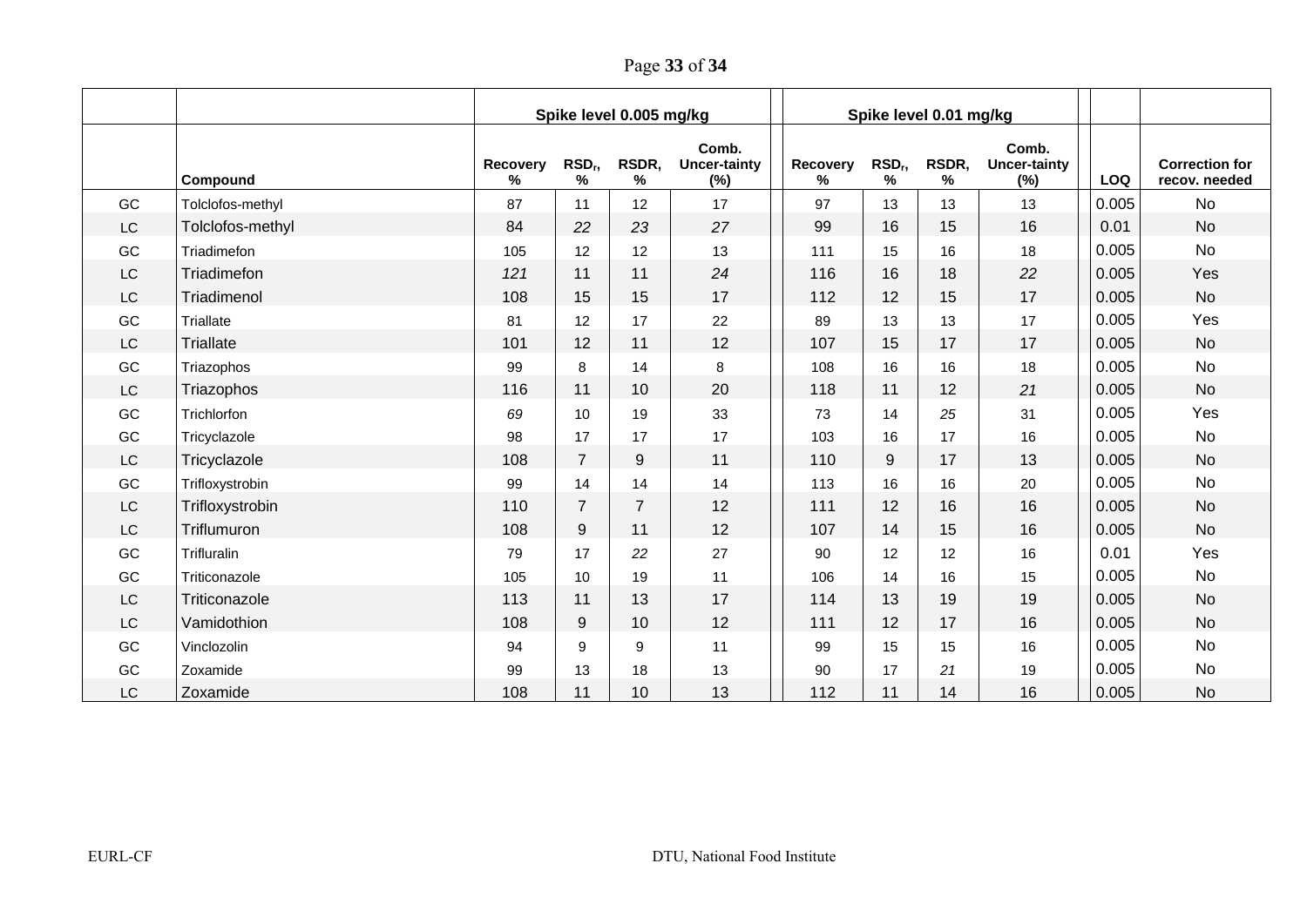Page **33** of **34**

|           |                  | Spike level 0.005 mg/kg |                         |                |                                     |                      | Spike level 0.01 mg/kg  |            |                                     |       |                                        |
|-----------|------------------|-------------------------|-------------------------|----------------|-------------------------------------|----------------------|-------------------------|------------|-------------------------------------|-------|----------------------------------------|
|           | Compound         | Recovery<br>%           | RSD <sub>r</sub> ,<br>% | RSDR,<br>%     | Comb.<br><b>Uncer-tainty</b><br>(%) | <b>Recovery</b><br>℅ | RSD <sub>r</sub> ,<br>% | RSDR,<br>℅ | Comb.<br><b>Uncer-tainty</b><br>(%) | LOQ   | <b>Correction for</b><br>recov. needed |
| GC        | Tolclofos-methyl | 87                      | 11                      | 12             | 17                                  | 97                   | 13                      | 13         | 13                                  | 0.005 | No                                     |
| LC        | Tolclofos-methyl | 84                      | 22                      | 23             | 27                                  | 99                   | 16                      | 15         | 16                                  | 0.01  | <b>No</b>                              |
| GC        | Triadimefon      | 105                     | 12                      | 12             | 13                                  | 111                  | 15                      | 16         | 18                                  | 0.005 | No                                     |
| LC        | Triadimefon      | 121                     | 11                      | 11             | 24                                  | 116                  | 16                      | 18         | 22                                  | 0.005 | Yes                                    |
| LC        | Triadimenol      | 108                     | 15                      | 15             | 17                                  | 112                  | 12                      | 15         | 17                                  | 0.005 | <b>No</b>                              |
| GC        | Triallate        | 81                      | 12                      | 17             | 22                                  | 89                   | 13                      | 13         | 17                                  | 0.005 | Yes                                    |
| LC        | <b>Triallate</b> | 101                     | 12                      | 11             | 12                                  | 107                  | 15                      | 17         | 17                                  | 0.005 | <b>No</b>                              |
| GC        | Triazophos       | 99                      | 8                       | 14             | 8                                   | 108                  | 16                      | 16         | 18                                  | 0.005 | <b>No</b>                              |
| <b>LC</b> | Triazophos       | 116                     | 11                      | 10             | 20                                  | 118                  | 11                      | 12         | 21                                  | 0.005 | <b>No</b>                              |
| GC        | Trichlorfon      | 69                      | 10                      | 19             | 33                                  | 73                   | 14                      | 25         | 31                                  | 0.005 | Yes                                    |
| GC        | Tricyclazole     | 98                      | 17                      | 17             | 17                                  | 103                  | 16                      | 17         | 16                                  | 0.005 | No                                     |
| <b>LC</b> | Tricyclazole     | 108                     | $\overline{7}$          | 9              | 11                                  | 110                  | 9                       | 17         | 13                                  | 0.005 | <b>No</b>                              |
| GC        | Trifloxystrobin  | 99                      | 14                      | 14             | 14                                  | 113                  | 16                      | 16         | 20                                  | 0.005 | <b>No</b>                              |
| LC        | Trifloxystrobin  | 110                     | $\overline{7}$          | $\overline{7}$ | 12                                  | 111                  | 12                      | 16         | 16                                  | 0.005 | <b>No</b>                              |
| <b>LC</b> | Triflumuron      | 108                     | 9                       | 11             | 12                                  | 107                  | 14                      | 15         | 16                                  | 0.005 | <b>No</b>                              |
| GC        | Trifluralin      | 79                      | 17                      | 22             | 27                                  | 90                   | 12                      | 12         | 16                                  | 0.01  | Yes                                    |
| GC        | Triticonazole    | 105                     | 10                      | 19             | 11                                  | 106                  | 14                      | 16         | 15                                  | 0.005 | No                                     |
| LC        | Triticonazole    | 113                     | 11                      | 13             | 17                                  | 114                  | 13                      | 19         | 19                                  | 0.005 | <b>No</b>                              |
| LC        | Vamidothion      | 108                     | 9                       | 10             | 12                                  | 111                  | 12                      | 17         | 16                                  | 0.005 | <b>No</b>                              |
| GC        | Vinclozolin      | 94                      | 9                       | 9              | 11                                  | 99                   | 15                      | 15         | 16                                  | 0.005 | <b>No</b>                              |
| GC        | Zoxamide         | 99                      | 13                      | 18             | 13                                  | 90                   | 17                      | 21         | 19                                  | 0.005 | No                                     |
| <b>LC</b> | Zoxamide         | 108                     | 11                      | 10             | 13                                  | 112                  | 11                      | 14         | 16                                  | 0.005 | <b>No</b>                              |